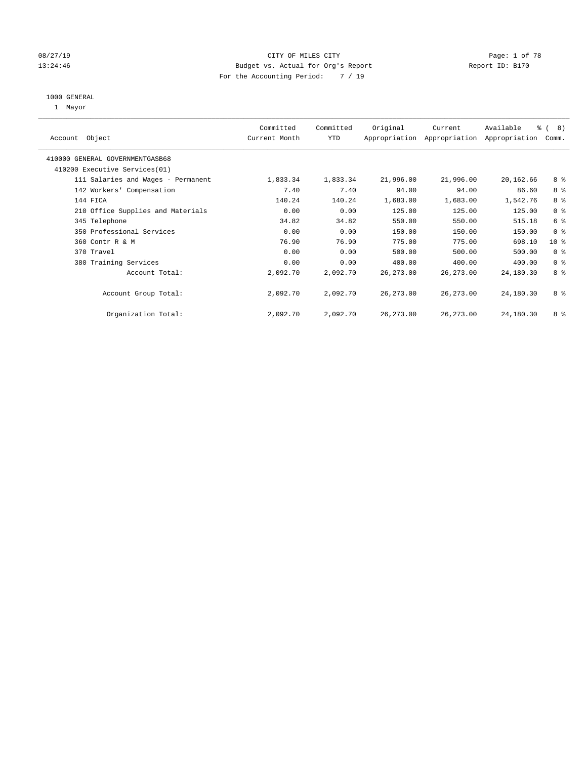### 08/27/19 CITY OF MILES CITY CHANNEL CITY CONTROL Page: 1 of 78 13:24:46 Budget vs. Actual for Org's Report Changer Report ID: B170 For the Accounting Period: 7 / 19

#### 1000 GENERAL

1 Mayor

| Object<br>Account                  | Committed<br>Current Month | Committed<br><b>YTD</b> | Original   | Current<br>Appropriation Appropriation | Available<br>Appropriation | $\frac{6}{6}$ ( 8)<br>Comm. |  |
|------------------------------------|----------------------------|-------------------------|------------|----------------------------------------|----------------------------|-----------------------------|--|
| 410000 GENERAL GOVERNMENTGASB68    |                            |                         |            |                                        |                            |                             |  |
| 410200 Executive Services (01)     |                            |                         |            |                                        |                            |                             |  |
| 111 Salaries and Wages - Permanent | 1,833.34                   | 1,833.34                | 21,996.00  | 21,996.00                              | 20,162.66                  | 8 %                         |  |
| 142 Workers' Compensation          | 7.40                       | 7.40                    | 94.00      | 94.00                                  | 86.60                      | 8 %                         |  |
| 144 FICA                           | 140.24                     | 140.24                  | 1,683.00   | 1,683.00                               | 1,542.76                   | 8 %                         |  |
| 210 Office Supplies and Materials  | 0.00                       | 0.00                    | 125.00     | 125.00                                 | 125.00                     | 0 <sup>8</sup>              |  |
| 345 Telephone                      | 34.82                      | 34.82                   | 550.00     | 550.00                                 | 515.18                     | 6 %                         |  |
| 350 Professional Services          | 0.00                       | 0.00                    | 150.00     | 150.00                                 | 150.00                     | 0 <sup>8</sup>              |  |
| 360 Contr R & M                    | 76.90                      | 76.90                   | 775.00     | 775.00                                 | 698.10                     | $10*$                       |  |
| 370 Travel                         | 0.00                       | 0.00                    | 500.00     | 500.00                                 | 500.00                     | 0 <sup>8</sup>              |  |
| 380 Training Services              | 0.00                       | 0.00                    | 400.00     | 400.00                                 | 400.00                     | 0 <sup>8</sup>              |  |
| Account Total:                     | 2,092.70                   | 2,092.70                | 26, 273.00 | 26, 273.00                             | 24,180.30                  | 8 %                         |  |
| Account Group Total:               | 2,092.70                   | 2,092.70                | 26, 273.00 | 26, 273.00                             | 24,180.30                  | 8 %                         |  |
| Organization Total:                | 2,092.70                   | 2,092.70                | 26, 273.00 | 26, 273.00                             | 24,180.30                  | 8 %                         |  |
|                                    |                            |                         |            |                                        |                            |                             |  |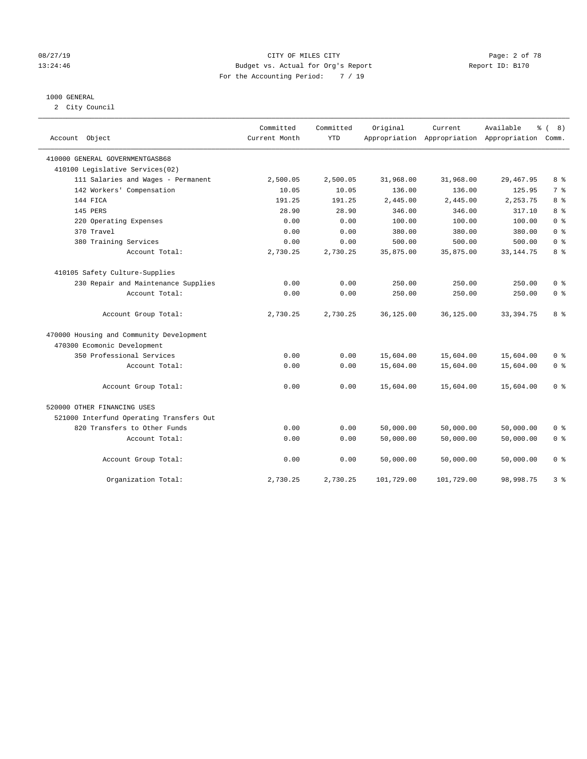#### 08/27/19 CITY OF MILES CITY Page: 2 of 78 13:24:46 Budget vs. Actual for Org's Report Changer Report ID: B170 For the Accounting Period: 7 / 19

#### 1000 GENERAL

2 City Council

| Account Object                           | Committed<br>Current Month | Committed<br><b>YTD</b> | Original   | Current    | Available<br>$\approx$<br>Appropriation Appropriation Appropriation Comm. | 8)<br>$\sqrt{ }$ |
|------------------------------------------|----------------------------|-------------------------|------------|------------|---------------------------------------------------------------------------|------------------|
| 410000 GENERAL GOVERNMENTGASB68          |                            |                         |            |            |                                                                           |                  |
| 410100 Legislative Services(02)          |                            |                         |            |            |                                                                           |                  |
| 111 Salaries and Wages - Permanent       | 2,500.05                   | 2,500.05                | 31,968.00  | 31,968.00  | 29, 467.95                                                                | 8 %              |
| 142 Workers' Compensation                | 10.05                      | 10.05                   | 136.00     | 136.00     | 125.95                                                                    | 7 <sup>°</sup>   |
| 144 FICA                                 | 191.25                     | 191.25                  | 2,445.00   | 2,445.00   | 2,253.75                                                                  | 8 %              |
| 145 PERS                                 | 28.90                      | 28.90                   | 346.00     | 346.00     | 317.10                                                                    | 8 <sup>8</sup>   |
| 220 Operating Expenses                   | 0.00                       | 0.00                    | 100.00     | 100.00     | 100.00                                                                    | 0 <sup>8</sup>   |
| 370 Travel                               | 0.00                       | 0.00                    | 380.00     | 380.00     | 380.00                                                                    | 0 <sup>8</sup>   |
| 380 Training Services                    | 0.00                       | 0.00                    | 500.00     | 500.00     | 500.00                                                                    | 0 <sup>8</sup>   |
| Account Total:                           | 2,730.25                   | 2,730.25                | 35,875.00  | 35,875.00  | 33, 144, 75                                                               | 8 %              |
| 410105 Safety Culture-Supplies           |                            |                         |            |            |                                                                           |                  |
| 230 Repair and Maintenance Supplies      | 0.00                       | 0.00                    | 250.00     | 250.00     | 250.00                                                                    | 0 <sup>8</sup>   |
| Account Total:                           | 0.00                       | 0.00                    | 250.00     | 250.00     | 250.00                                                                    | 0 <sup>8</sup>   |
| Account Group Total:                     | 2,730.25                   | 2,730.25                | 36,125.00  | 36,125.00  | 33, 394. 75                                                               | 8 %              |
| 470000 Housing and Community Development |                            |                         |            |            |                                                                           |                  |
| 470300 Ecomonic Development              |                            |                         |            |            |                                                                           |                  |
| 350 Professional Services                | 0.00                       | 0.00                    | 15,604.00  | 15,604.00  | 15,604.00                                                                 | 0 <sup>8</sup>   |
| Account Total:                           | 0.00                       | 0.00                    | 15,604.00  | 15,604.00  | 15,604.00                                                                 | 0 <sup>8</sup>   |
| Account Group Total:                     | 0.00                       | 0.00                    | 15,604.00  | 15,604.00  | 15,604.00                                                                 | 0 <sup>8</sup>   |
| 520000 OTHER FINANCING USES              |                            |                         |            |            |                                                                           |                  |
| 521000 Interfund Operating Transfers Out |                            |                         |            |            |                                                                           |                  |
| 820 Transfers to Other Funds             | 0.00                       | 0.00                    | 50,000.00  | 50,000.00  | 50,000.00                                                                 | 0 <sup>8</sup>   |
| Account Total:                           | 0.00                       | 0.00                    | 50,000.00  | 50,000.00  | 50,000.00                                                                 | 0 <sup>8</sup>   |
| Account Group Total:                     | 0.00                       | 0.00                    | 50,000.00  | 50,000.00  | 50,000.00                                                                 | 0 <sup>8</sup>   |
| Organization Total:                      | 2,730.25                   | 2,730.25                | 101,729.00 | 101,729.00 | 98,998.75                                                                 | 3%               |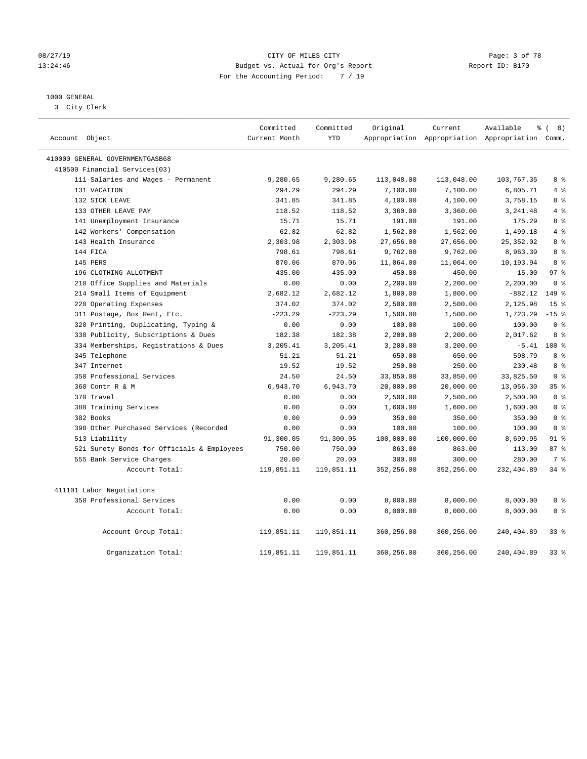#### 08/27/19 CITY OF MILES CITY Page: 3 of 78 13:24:46 Budget vs. Actual for Org's Report Changer Report ID: B170 For the Accounting Period: 7 / 19

### 1000 GENERAL

3 City Clerk

| Account Object                             | Committed<br>Current Month | Committed<br><b>YTD</b> | Original   | Current    | Available<br>Appropriation Appropriation Appropriation Comm. | $\frac{6}{6}$ ( 8) |
|--------------------------------------------|----------------------------|-------------------------|------------|------------|--------------------------------------------------------------|--------------------|
| 410000 GENERAL GOVERNMENTGASB68            |                            |                         |            |            |                                                              |                    |
| 410500 Financial Services(03)              |                            |                         |            |            |                                                              |                    |
| 111 Salaries and Wages - Permanent         | 9,280.65                   | 9,280.65                | 113,048.00 | 113,048.00 | 103,767.35                                                   | 8 %                |
| 131 VACATION                               | 294.29                     | 294.29                  | 7,100.00   | 7,100.00   | 6,805.71                                                     | 4%                 |
| 132 SICK LEAVE                             | 341.85                     | 341.85                  | 4,100.00   | 4,100.00   | 3,758.15                                                     | 8 %                |
| 133 OTHER LEAVE PAY                        | 118.52                     | 118.52                  | 3,360.00   | 3,360.00   | 3,241.48                                                     | 4%                 |
| 141 Unemployment Insurance                 | 15.71                      | 15.71                   | 191.00     | 191.00     | 175.29                                                       | 8 %                |
| 142 Workers' Compensation                  | 62.82                      | 62.82                   | 1,562.00   | 1,562.00   | 1,499.18                                                     | $4\degree$         |
| 143 Health Insurance                       | 2,303.98                   | 2,303.98                | 27,656.00  | 27,656.00  | 25, 352.02                                                   | 8 %                |
| 144 FICA                                   | 798.61                     | 798.61                  | 9,762.00   | 9,762.00   | 8,963.39                                                     | 8 %                |
| 145 PERS                                   | 870.06                     | 870.06                  | 11,064.00  | 11,064.00  | 10,193.94                                                    | 8 %                |
| 196 CLOTHING ALLOTMENT                     | 435.00                     | 435.00                  | 450.00     | 450.00     | 15.00                                                        | 97 <sub>8</sub>    |
| 210 Office Supplies and Materials          | 0.00                       | 0.00                    | 2,200.00   | 2,200.00   | 2,200.00                                                     | 0 <sup>8</sup>     |
| 214 Small Items of Equipment               | 2,682.12                   | 2,682.12                | 1,800.00   | 1,800.00   | $-882.12$                                                    | 149 %              |
| 220 Operating Expenses                     | 374.02                     | 374.02                  | 2,500.00   | 2,500.00   | 2,125.98                                                     | 15 <sup>°</sup>    |
| 311 Postage, Box Rent, Etc.                | $-223.29$                  | $-223.29$               | 1,500.00   | 1,500.00   | 1,723.29                                                     | $-15$ %            |
| 320 Printing, Duplicating, Typing &        | 0.00                       | 0.00                    | 100.00     | 100.00     | 100.00                                                       | 0 <sup>8</sup>     |
| 330 Publicity, Subscriptions & Dues        | 182.38                     | 182.38                  | 2,200.00   | 2,200.00   | 2,017.62                                                     | 8 %                |
| 334 Memberships, Registrations & Dues      | 3,205.41                   | 3,205.41                | 3,200.00   | 3,200.00   |                                                              | $-5.41$ 100 %      |
| 345 Telephone                              | 51.21                      | 51.21                   | 650.00     | 650.00     | 598.79                                                       | 8 %                |
| 347 Internet                               | 19.52                      | 19.52                   | 250.00     | 250.00     | 230.48                                                       | 8 %                |
| 350 Professional Services                  | 24.50                      | 24.50                   | 33,850.00  | 33,850.00  | 33,825.50                                                    | 0 <sup>8</sup>     |
| 360 Contr R & M                            | 6,943.70                   | 6,943.70                | 20,000.00  | 20,000.00  | 13,056.30                                                    | 35 <sup>8</sup>    |
| 370 Travel                                 | 0.00                       | 0.00                    | 2,500.00   | 2,500.00   | 2,500.00                                                     | 0 <sup>8</sup>     |
| 380 Training Services                      | 0.00                       | 0.00                    | 1,600.00   | 1,600.00   | 1,600.00                                                     | 0 <sup>8</sup>     |
| 382 Books                                  | 0.00                       | 0.00                    | 350.00     | 350.00     | 350.00                                                       | 0 <sup>8</sup>     |
| 390 Other Purchased Services (Recorded     | 0.00                       | 0.00                    | 100.00     | 100.00     | 100.00                                                       | 0 <sup>8</sup>     |
| 513 Liability                              | 91,300.05                  | 91,300.05               | 100,000.00 | 100,000.00 | 8,699.95                                                     | $91$ %             |
| 521 Surety Bonds for Officials & Employees | 750.00                     | 750.00                  | 863.00     | 863.00     | 113.00                                                       | 87%                |
| 555 Bank Service Charges                   | 20.00                      | 20.00                   | 300.00     | 300.00     | 280.00                                                       | 7 <sup>°</sup>     |
| Account Total:                             | 119,851.11                 | 119,851.11              | 352,256.00 | 352,256.00 | 232,404.89                                                   | 34%                |
| 411101 Labor Negotiations                  |                            |                         |            |            |                                                              |                    |
| 350 Professional Services                  | 0.00                       | 0.00                    | 8,000.00   | 8,000.00   | 8,000.00                                                     | 0 <sup>8</sup>     |
| Account Total:                             | 0.00                       | 0.00                    | 8,000.00   | 8,000.00   | 8,000.00                                                     | 0 <sup>8</sup>     |
| Account Group Total:                       | 119,851.11                 | 119,851.11              | 360,256.00 | 360,256.00 | 240,404.89                                                   | 338                |
| Organization Total:                        | 119,851.11                 | 119,851.11              | 360,256.00 | 360,256.00 | 240,404.89                                                   | 338                |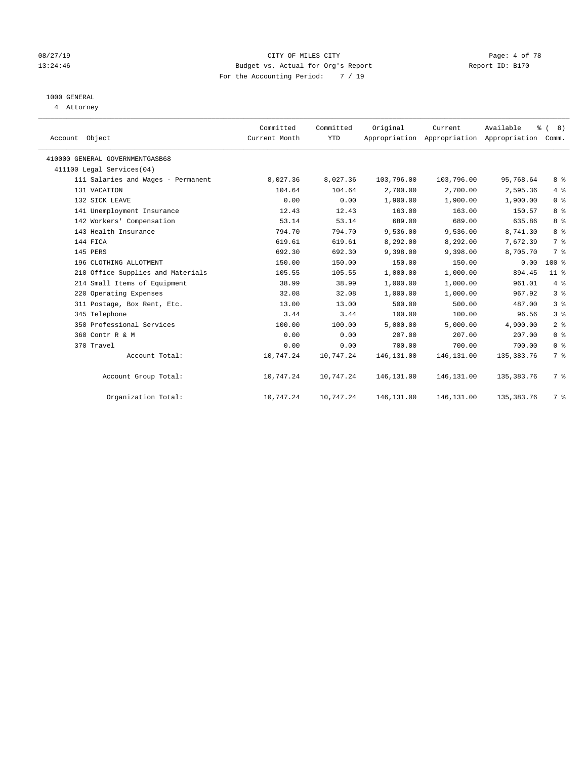#### 08/27/19 CITY OF MILES CITY Page: 4 of 78 13:24:46 Budget vs. Actual for Org's Report Changer Report ID: B170 For the Accounting Period: 7 / 19

## 1000 GENERAL

4 Attorney

|                                    | Committed     | Committed | Original   | Current                                   | Available    | $\frac{6}{6}$ ( 8) |
|------------------------------------|---------------|-----------|------------|-------------------------------------------|--------------|--------------------|
| Account Object                     | Current Month | YTD       |            | Appropriation Appropriation Appropriation |              | Comm.              |
| 410000 GENERAL GOVERNMENTGASB68    |               |           |            |                                           |              |                    |
| 411100 Legal Services(04)          |               |           |            |                                           |              |                    |
| 111 Salaries and Wages - Permanent | 8,027.36      | 8,027.36  | 103,796.00 | 103,796.00                                | 95,768.64    | 8%                 |
| 131 VACATION                       | 104.64        | 104.64    | 2,700.00   | 2,700.00                                  | 2,595.36     | 4%                 |
| 132 SICK LEAVE                     | 0.00          | 0.00      | 1,900.00   | 1,900.00                                  | 1,900.00     | 0 <sup>8</sup>     |
| 141 Unemployment Insurance         | 12.43         | 12.43     | 163.00     | 163.00                                    | 150.57       | 8%                 |
| 142 Workers' Compensation          | 53.14         | 53.14     | 689.00     | 689.00                                    | 635.86       | 8 %                |
| 143 Health Insurance               | 794.70        | 794.70    | 9,536.00   | 9,536.00                                  | 8,741.30     | 8 %                |
| 144 FICA                           | 619.61        | 619.61    | 8,292.00   | 8,292.00                                  | 7,672.39     | 7%                 |
| 145 PERS                           | 692.30        | 692.30    | 9,398.00   | 9,398.00                                  | 8,705.70     | 7 <sup>°</sup>     |
| 196 CLOTHING ALLOTMENT             | 150.00        | 150.00    | 150.00     | 150.00                                    | 0.00         | 100 %              |
| 210 Office Supplies and Materials  | 105.55        | 105.55    | 1,000.00   | 1,000.00                                  | 894.45       | $11$ %             |
| 214 Small Items of Equipment       | 38.99         | 38.99     | 1,000.00   | 1,000.00                                  | 961.01       | 4%                 |
| 220 Operating Expenses             | 32.08         | 32.08     | 1,000.00   | 1,000.00                                  | 967.92       | 3%                 |
| 311 Postage, Box Rent, Etc.        | 13.00         | 13.00     | 500.00     | 500.00                                    | 487.00       | 3%                 |
| 345 Telephone                      | 3.44          | 3.44      | 100.00     | 100.00                                    | 96.56        | 3%                 |
| 350 Professional Services          | 100.00        | 100.00    | 5,000.00   | 5,000.00                                  | 4,900.00     | 2 <sup>°</sup>     |
| 360 Contr R & M                    | 0.00          | 0.00      | 207.00     | 207.00                                    | 207.00       | 0 <sup>8</sup>     |
| 370 Travel                         | 0.00          | 0.00      | 700.00     | 700.00                                    | 700.00       | 0 <sup>8</sup>     |
| Account Total:                     | 10,747.24     | 10,747.24 | 146,131.00 | 146, 131.00                               | 135, 383. 76 | 7 %                |
| Account Group Total:               | 10,747.24     | 10,747.24 | 146,131.00 | 146, 131.00                               | 135, 383. 76 | 7 %                |
| Organization Total:                | 10,747.24     | 10,747.24 | 146,131.00 | 146,131.00                                | 135,383.76   | 7 %                |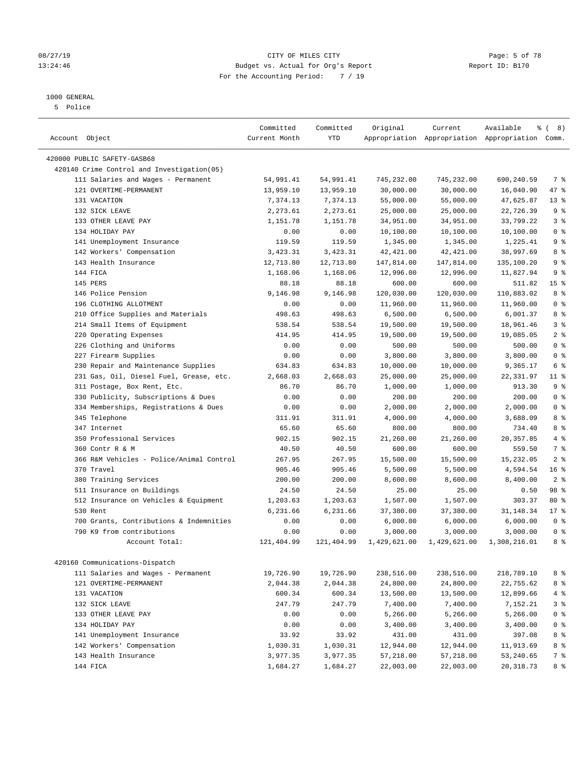#### 1000 GENERAL

5 Police

| Account Object                              | Committed<br>Current Month | Committed<br>YTD | Original     | Current      | Available<br>Appropriation Appropriation Appropriation Comm. | $\frac{6}{6}$ ( 8) |
|---------------------------------------------|----------------------------|------------------|--------------|--------------|--------------------------------------------------------------|--------------------|
| 420000 PUBLIC SAFETY-GASB68                 |                            |                  |              |              |                                                              |                    |
| 420140 Crime Control and Investigation (05) |                            |                  |              |              |                                                              |                    |
| 111 Salaries and Wages - Permanent          | 54,991.41                  | 54,991.41        | 745,232.00   | 745,232.00   | 690,240.59                                                   | 7 %                |
| 121 OVERTIME-PERMANENT                      | 13,959.10                  | 13,959.10        | 30,000.00    | 30,000.00    | 16,040.90                                                    | 47 %               |
| 131 VACATION                                | 7,374.13                   | 7,374.13         | 55,000.00    | 55,000.00    | 47,625.87                                                    | $13*$              |
| 132 SICK LEAVE                              | 2,273.61                   | 2,273.61         | 25,000.00    | 25,000.00    | 22,726.39                                                    | 9 <sup>°</sup>     |
| 133 OTHER LEAVE PAY                         | 1,151.78                   | 1,151.78         | 34,951.00    | 34,951.00    | 33,799.22                                                    | 3 <sup>8</sup>     |
| 134 HOLIDAY PAY                             | 0.00                       | 0.00             | 10,100.00    | 10,100.00    | 10,100.00                                                    | 0 <sup>8</sup>     |
| 141 Unemployment Insurance                  | 119.59                     | 119.59           | 1,345.00     | 1,345.00     | 1,225.41                                                     | 9 <sup>°</sup>     |
| 142 Workers' Compensation                   | 3,423.31                   | 3,423.31         | 42, 421.00   | 42, 421.00   | 38,997.69                                                    | 8 %                |
| 143 Health Insurance                        | 12,713.80                  | 12,713.80        | 147,814.00   | 147,814.00   | 135,100.20                                                   | 9 <sub>8</sub>     |
| 144 FICA                                    | 1,168.06                   | 1,168.06         | 12,996.00    | 12,996.00    | 11,827.94                                                    | 9 <sup>°</sup>     |
| 145 PERS                                    | 88.18                      | 88.18            | 600.00       | 600.00       | 511.82                                                       | 15 <sup>°</sup>    |
| 146 Police Pension                          | 9,146.98                   | 9,146.98         | 120,030.00   | 120,030.00   | 110,883.02                                                   | 8 %                |
| 196 CLOTHING ALLOTMENT                      | 0.00                       | 0.00             | 11,960.00    | 11,960.00    | 11,960.00                                                    | 0 <sup>8</sup>     |
| 210 Office Supplies and Materials           | 498.63                     | 498.63           | 6,500.00     | 6,500.00     | 6,001.37                                                     | 8 %                |
| 214 Small Items of Equipment                | 538.54                     | 538.54           | 19,500.00    | 19,500.00    | 18,961.46                                                    | 3 <sup>8</sup>     |
| 220 Operating Expenses                      | 414.95                     | 414.95           | 19,500.00    | 19,500.00    | 19,085.05                                                    | 2 <sub>8</sub>     |
| 226 Clothing and Uniforms                   | 0.00                       | 0.00             | 500.00       | 500.00       | 500.00                                                       | 0 <sup>8</sup>     |
| 227 Firearm Supplies                        | 0.00                       | 0.00             | 3,800.00     | 3,800.00     | 3,800.00                                                     | 0 <sup>8</sup>     |
| 230 Repair and Maintenance Supplies         | 634.83                     | 634.83           | 10,000.00    | 10,000.00    | 9,365.17                                                     | 6 %                |
| 231 Gas, Oil, Diesel Fuel, Grease, etc.     | 2,668.03                   | 2,668.03         | 25,000.00    | 25,000.00    | 22,331.97                                                    | $11$ %             |
| 311 Postage, Box Rent, Etc.                 | 86.70                      | 86.70            | 1,000.00     | 1,000.00     | 913.30                                                       | 9 <sup>°</sup>     |
| 330 Publicity, Subscriptions & Dues         | 0.00                       | 0.00             | 200.00       | 200.00       | 200.00                                                       | 0 <sup>8</sup>     |
| 334 Memberships, Registrations & Dues       | 0.00                       | 0.00             | 2,000.00     | 2,000.00     | 2,000.00                                                     | 0 <sup>8</sup>     |
| 345 Telephone                               | 311.91                     | 311.91           | 4,000.00     | 4,000.00     | 3,688.09                                                     | 8 %                |
| 347 Internet                                | 65.60                      | 65.60            | 800.00       | 800.00       | 734.40                                                       | 8 %                |
| 350 Professional Services                   | 902.15                     | 902.15           | 21,260.00    | 21,260.00    | 20, 357.85                                                   | 4%                 |
| 360 Contr R & M                             | 40.50                      | 40.50            | 600.00       | 600.00       | 559.50                                                       | 7 %                |
| 366 R&M Vehicles - Police/Animal Control    | 267.95                     | 267.95           | 15,500.00    | 15,500.00    | 15,232.05                                                    | 2 <sup>°</sup>     |
| 370 Travel                                  | 905.46                     | 905.46           | 5,500.00     | 5,500.00     | 4,594.54                                                     | 16 <sup>°</sup>    |
| 380 Training Services                       | 200.00                     | 200.00           | 8,600.00     | 8,600.00     | 8,400.00                                                     | 2 <sup>8</sup>     |
| 511 Insurance on Buildings                  | 24.50                      | 24.50            | 25.00        | 25.00        | 0.50                                                         | 98 %               |
| 512 Insurance on Vehicles & Equipment       | 1,203.63                   | 1,203.63         | 1,507.00     | 1,507.00     | 303.37                                                       | $80*$              |
| 530 Rent                                    | 6,231.66                   | 6,231.66         | 37,380.00    | 37,380.00    | 31, 148. 34                                                  | $17*$              |
| 700 Grants, Contributions & Indemnities     | 0.00                       | 0.00             | 6,000.00     | 6,000.00     | 6,000.00                                                     | 0 <sup>8</sup>     |
| 790 K9 from contributions                   | 0.00                       | 0.00             | 3,000.00     | 3,000.00     | 3,000.00                                                     | 0 <sup>8</sup>     |
| Account Total:                              | 121,404.99                 | 121,404.99       | 1,429,621.00 | 1,429,621.00 | 1,308,216.01                                                 | 8 %                |
| 420160 Communications-Dispatch              |                            |                  |              |              |                                                              |                    |
| 111 Salaries and Wages - Permanent          | 19,726.90                  | 19,726.90        | 238,516.00   | 238,516.00   | 218,789.10                                                   | 8 %                |
| 121 OVERTIME-PERMANENT                      | 2,044.38                   | 2,044.38         | 24,800.00    | 24,800.00    | 22,755.62                                                    | 8%                 |
| 131 VACATION                                | 600.34                     | 600.34           | 13,500.00    | 13,500.00    | 12,899.66                                                    | 4%                 |
| 132 SICK LEAVE                              | 247.79                     | 247.79           | 7,400.00     | 7,400.00     | 7,152.21                                                     | 3 <sup>°</sup>     |
| 133 OTHER LEAVE PAY                         | 0.00                       | 0.00             | 5,266.00     | 5,266.00     | 5,266.00                                                     | 0 <sup>8</sup>     |
| 134 HOLIDAY PAY                             | 0.00                       | 0.00             | 3,400.00     | 3,400.00     | 3,400.00                                                     | 0 <sup>8</sup>     |
| 141 Unemployment Insurance                  | 33.92                      | 33.92            | 431.00       | 431.00       | 397.08                                                       | 8%                 |
| 142 Workers' Compensation                   | 1,030.31                   | 1,030.31         | 12,944.00    | 12,944.00    | 11,913.69                                                    | 8 %                |
| 143 Health Insurance                        | 3,977.35                   | 3,977.35         | 57,218.00    | 57,218.00    | 53,240.65                                                    | 7 %                |
| 144 FICA                                    | 1,684.27                   | 1,684.27         | 22,003.00    | 22,003.00    | 20, 318.73                                                   | 8 %                |

### 08/27/19 **CITY OF MILES CITY CITY CITY CITY Page: 5 of 78** 13:24:46 Budget vs. Actual for Org's Report Report ID: B170 For the Accounting Period: 7 / 19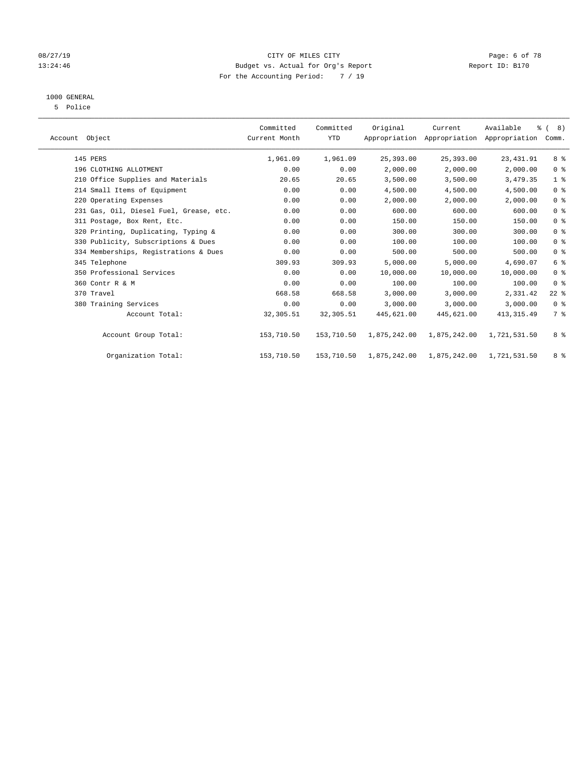### 08/27/19 **CITY OF MILES CITY CITY CITY CITY Page: 6 of 78** 13:24:46 Budget vs. Actual for Org's Report Report ID: B170 For the Accounting Period: 7 / 19

## 1000 GENERAL

5 Police

| Account Object                          | Committed<br>Current Month | Committed<br><b>YTD</b> | Original     | Current      | Available<br>Appropriation Appropriation Appropriation | $\frac{6}{6}$ ( 8)<br>Comm. |  |
|-----------------------------------------|----------------------------|-------------------------|--------------|--------------|--------------------------------------------------------|-----------------------------|--|
| 145 PERS                                | 1,961.09                   | 1,961.09                | 25,393.00    | 25,393.00    | 23, 431.91                                             | 8 %                         |  |
| 196 CLOTHING ALLOTMENT                  | 0.00                       | 0.00                    | 2,000.00     | 2,000.00     | 2,000.00                                               | 0 <sup>8</sup>              |  |
| 210 Office Supplies and Materials       | 20.65                      | 20.65                   | 3,500.00     | 3,500.00     | 3,479.35                                               | 1 <sup>8</sup>              |  |
| 214 Small Items of Equipment            | 0.00                       | 0.00                    | 4,500.00     | 4,500.00     | 4,500.00                                               | 0 <sup>8</sup>              |  |
| 220 Operating Expenses                  | 0.00                       | 0.00                    | 2,000.00     | 2,000.00     | 2,000.00                                               | 0 <sup>8</sup>              |  |
| 231 Gas, Oil, Diesel Fuel, Grease, etc. | 0.00                       | 0.00                    | 600.00       | 600.00       | 600.00                                                 | 0 <sup>8</sup>              |  |
| 311 Postage, Box Rent, Etc.             | 0.00                       | 0.00                    | 150.00       | 150.00       | 150.00                                                 | 0 <sup>8</sup>              |  |
| 320 Printing, Duplicating, Typing &     | 0.00                       | 0.00                    | 300.00       | 300.00       | 300.00                                                 | 0 <sup>8</sup>              |  |
| 330 Publicity, Subscriptions & Dues     | 0.00                       | 0.00                    | 100.00       | 100.00       | 100.00                                                 | 0 <sup>8</sup>              |  |
| 334 Memberships, Registrations & Dues   | 0.00                       | 0.00                    | 500.00       | 500.00       | 500.00                                                 | 0 <sup>8</sup>              |  |
| 345 Telephone                           | 309.93                     | 309.93                  | 5,000.00     | 5,000.00     | 4,690.07                                               | 6 <sup>°</sup>              |  |
| 350 Professional Services               | 0.00                       | 0.00                    | 10,000.00    | 10,000.00    | 10,000.00                                              | 0 <sup>8</sup>              |  |
| 360 Contr R & M                         | 0.00                       | 0.00                    | 100.00       | 100.00       | 100.00                                                 | 0 <sup>8</sup>              |  |
| 370 Travel                              | 668.58                     | 668.58                  | 3,000.00     | 3,000.00     | 2,331.42                                               | $22$ %                      |  |
| 380 Training Services                   | 0.00                       | 0.00                    | 3,000.00     | 3,000.00     | 3,000.00                                               | 0 <sup>8</sup>              |  |
| Account Total:                          | 32,305.51                  | 32,305.51               | 445,621.00   | 445,621.00   | 413, 315.49                                            | 7 %                         |  |
| Account Group Total:                    | 153,710.50                 | 153,710.50              | 1,875,242.00 | 1,875,242.00 | 1,721,531.50                                           | 8 %                         |  |
| Organization Total:                     | 153,710.50                 | 153,710.50              | 1,875,242.00 | 1,875,242.00 | 1,721,531.50                                           | 8 %                         |  |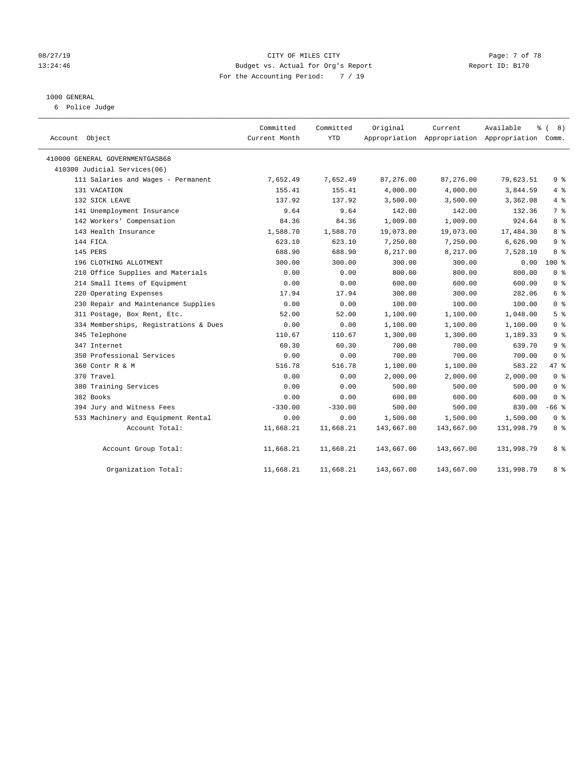#### 08/27/19 Page: 7 of 78 13:24:46 Budget vs. Actual for Org's Report Changer Report ID: B170 For the Accounting Period: 7 / 19

#### 1000 GENERAL

6 Police Judge

| Account Object                        | Committed<br>Current Month | Committed<br>YTD | Original   | Current<br>Appropriation Appropriation Appropriation Comm. | Available  | နွ<br>$\sqrt{ }$<br>8) |
|---------------------------------------|----------------------------|------------------|------------|------------------------------------------------------------|------------|------------------------|
| 410000 GENERAL GOVERNMENTGASB68       |                            |                  |            |                                                            |            |                        |
| 410300 Judicial Services(06)          |                            |                  |            |                                                            |            |                        |
| 111 Salaries and Wages - Permanent    | 7,652.49                   | 7,652.49         | 87,276.00  | 87,276.00                                                  | 79,623.51  | 9%                     |
| 131 VACATION                          | 155.41                     | 155.41           | 4,000.00   | 4,000.00                                                   | 3,844.59   | 4%                     |
| 132 SICK LEAVE                        | 137.92                     | 137.92           | 3,500.00   | 3,500.00                                                   | 3,362.08   | 4%                     |
| 141 Unemployment Insurance            | 9.64                       | 9.64             | 142.00     | 142.00                                                     | 132.36     | 7 <sup>°</sup>         |
| 142 Workers' Compensation             | 84.36                      | 84.36            | 1,009.00   | 1,009.00                                                   | 924.64     | 8 %                    |
| 143 Health Insurance                  | 1,588.70                   | 1,588.70         | 19,073.00  | 19,073.00                                                  | 17,484.30  | 8 %                    |
| 144 FICA                              | 623.10                     | 623.10           | 7,250.00   | 7,250.00                                                   | 6,626.90   | 9 <sup>°</sup>         |
| 145 PERS                              | 688.90                     | 688.90           | 8,217.00   | 8,217.00                                                   | 7,528.10   | 8 %                    |
| 196 CLOTHING ALLOTMENT                | 300.00                     | 300.00           | 300.00     | 300.00                                                     | 0.00       | $100*$                 |
| 210 Office Supplies and Materials     | 0.00                       | 0.00             | 800.00     | 800.00                                                     | 800.00     | 0 <sup>8</sup>         |
| 214 Small Items of Equipment          | 0.00                       | 0.00             | 600.00     | 600.00                                                     | 600.00     | 0 <sup>8</sup>         |
| 220 Operating Expenses                | 17.94                      | 17.94            | 300.00     | 300.00                                                     | 282.06     | 6 %                    |
| 230 Repair and Maintenance Supplies   | 0.00                       | 0.00             | 100.00     | 100.00                                                     | 100.00     | 0 <sup>8</sup>         |
| 311 Postage, Box Rent, Etc.           | 52.00                      | 52.00            | 1,100.00   | 1,100.00                                                   | 1,048.00   | 5 <sup>°</sup>         |
| 334 Memberships, Registrations & Dues | 0.00                       | 0.00             | 1,100.00   | 1,100.00                                                   | 1,100.00   | 0 <sup>8</sup>         |
| 345 Telephone                         | 110.67                     | 110.67           | 1,300.00   | 1,300.00                                                   | 1,189.33   | 9 <sup>°</sup>         |
| 347 Internet                          | 60.30                      | 60.30            | 700.00     | 700.00                                                     | 639.70     | 9 <sup>°</sup>         |
| 350 Professional Services             | 0.00                       | 0.00             | 700.00     | 700.00                                                     | 700.00     | 0 <sup>8</sup>         |
| 360 Contr R & M                       | 516.78                     | 516.78           | 1,100.00   | 1,100.00                                                   | 583.22     | 47.8                   |
| 370 Travel                            | 0.00                       | 0.00             | 2,000.00   | 2,000.00                                                   | 2,000.00   | 0 <sup>8</sup>         |
| 380 Training Services                 | 0.00                       | 0.00             | 500.00     | 500.00                                                     | 500.00     | 0 <sup>8</sup>         |
| 382 Books                             | 0.00                       | 0.00             | 600.00     | 600.00                                                     | 600.00     | 0 <sup>8</sup>         |
| 394 Jury and Witness Fees             | $-330.00$                  | $-330.00$        | 500.00     | 500.00                                                     | 830.00     | $-66$ %                |
| 533 Machinery and Equipment Rental    | 0.00                       | 0.00             | 1,500.00   | 1,500.00                                                   | 1,500.00   | 0 <sup>8</sup>         |
| Account Total:                        | 11,668.21                  | 11,668.21        | 143,667.00 | 143,667.00                                                 | 131,998.79 | 8 %                    |
| Account Group Total:                  | 11,668.21                  | 11,668.21        | 143,667.00 | 143,667.00                                                 | 131,998.79 | 8 %                    |
| Organization Total:                   | 11,668.21                  | 11,668.21        | 143,667.00 | 143,667.00                                                 | 131,998.79 | 8 %                    |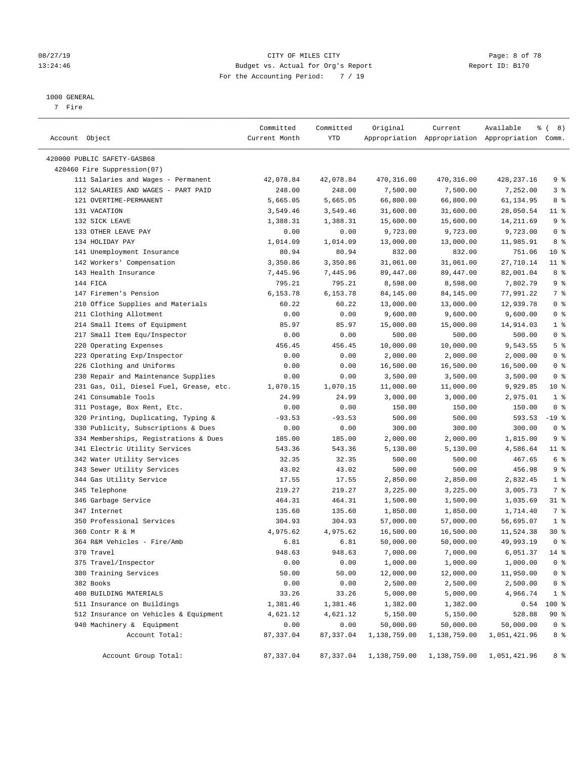#### 08/27/19 CITY OF MILES CITY Page: 8 of 78 13:24:46 Budget vs. Actual for Org's Report Changer Report ID: B170 For the Accounting Period: 7 / 19

#### 1000 GENERAL

7 Fire

| Account Object                          | Committed<br>Current Month | Committed<br>YTD | Original     | Current      | Available<br>Appropriation Appropriation Appropriation Comm. | <sub>රි</sub> ( 8 ) |
|-----------------------------------------|----------------------------|------------------|--------------|--------------|--------------------------------------------------------------|---------------------|
| 420000 PUBLIC SAFETY-GASB68             |                            |                  |              |              |                                                              |                     |
| 420460 Fire Suppression(07)             |                            |                  |              |              |                                                              |                     |
| 111 Salaries and Wages - Permanent      | 42,078.84                  | 42,078.84        | 470,316.00   | 470,316.00   | 428,237.16                                                   | 9%                  |
| 112 SALARIES AND WAGES - PART PAID      | 248.00                     | 248.00           | 7,500.00     | 7,500.00     | 7,252.00                                                     | 3 <sup>°</sup>      |
| 121 OVERTIME-PERMANENT                  | 5,665.05                   | 5,665.05         | 66,800.00    | 66,800.00    | 61,134.95                                                    | 8 %                 |
| 131 VACATION                            | 3,549.46                   | 3,549.46         | 31,600.00    | 31,600.00    | 28,050.54                                                    | $11$ %              |
| 132 SICK LEAVE                          | 1,388.31                   | 1,388.31         | 15,600.00    | 15,600.00    | 14,211.69                                                    | 9 <sup>°</sup>      |
| 133 OTHER LEAVE PAY                     | 0.00                       | 0.00             | 9,723.00     | 9,723.00     | 9,723.00                                                     | 0 <sup>8</sup>      |
| 134 HOLIDAY PAY                         | 1,014.09                   | 1,014.09         | 13,000.00    | 13,000.00    | 11,985.91                                                    | 8 %                 |
| 141 Unemployment Insurance              | 80.94                      | 80.94            | 832.00       | 832.00       | 751.06                                                       | $10*$               |
| 142 Workers' Compensation               | 3,350.86                   | 3,350.86         | 31,061.00    | 31,061.00    | 27,710.14                                                    | $11$ %              |
| 143 Health Insurance                    | 7,445.96                   | 7,445.96         | 89,447.00    | 89,447.00    | 82,001.04                                                    | 8%                  |
| 144 FICA                                | 795.21                     | 795.21           | 8,598.00     | 8,598.00     | 7,802.79                                                     | 9 <sup>°</sup>      |
| 147 Firemen's Pension                   | 6,153.78                   | 6,153.78         | 84,145.00    | 84,145.00    | 77,991.22                                                    | 7 %                 |
| 210 Office Supplies and Materials       | 60.22                      | 60.22            | 13,000.00    | 13,000.00    | 12,939.78                                                    | 0 <sup>8</sup>      |
| 211 Clothing Allotment                  | 0.00                       | 0.00             | 9,600.00     | 9,600.00     | 9,600.00                                                     | 0 <sup>8</sup>      |
| 214 Small Items of Equipment            | 85.97                      | 85.97            | 15,000.00    | 15,000.00    | 14,914.03                                                    | 1 <sup>8</sup>      |
| 217 Small Item Equ/Inspector            | 0.00                       | 0.00             | 500.00       | 500.00       | 500.00                                                       | 0 <sup>8</sup>      |
| 220 Operating Expenses                  | 456.45                     | 456.45           | 10,000.00    | 10,000.00    | 9,543.55                                                     | 5 <sup>8</sup>      |
| 223 Operating Exp/Inspector             | 0.00                       | 0.00             | 2,000.00     | 2,000.00     | 2,000.00                                                     | 0 <sup>8</sup>      |
| 226 Clothing and Uniforms               | 0.00                       | 0.00             | 16,500.00    | 16,500.00    | 16,500.00                                                    | 0 <sup>8</sup>      |
| 230 Repair and Maintenance Supplies     | 0.00                       | 0.00             | 3,500.00     | 3,500.00     | 3,500.00                                                     | 0 <sup>8</sup>      |
| 231 Gas, Oil, Diesel Fuel, Grease, etc. | 1,070.15                   | 1,070.15         | 11,000.00    | 11,000.00    | 9,929.85                                                     | $10*$               |
| 241 Consumable Tools                    | 24.99                      | 24.99            | 3,000.00     | 3,000.00     | 2,975.01                                                     | 1 <sup>8</sup>      |
| 311 Postage, Box Rent, Etc.             | 0.00                       | 0.00             | 150.00       | 150.00       | 150.00                                                       | 0 <sup>8</sup>      |
| 320 Printing, Duplicating, Typing &     | $-93.53$                   | $-93.53$         | 500.00       | 500.00       | 593.53                                                       | $-19$ %             |
| 330 Publicity, Subscriptions & Dues     | 0.00                       | 0.00             | 300.00       | 300.00       | 300.00                                                       | 0 <sup>8</sup>      |
| 334 Memberships, Registrations & Dues   | 185.00                     | 185.00           | 2,000.00     | 2,000.00     | 1,815.00                                                     | 9 <sup>°</sup>      |
| 341 Electric Utility Services           | 543.36                     | 543.36           | 5,130.00     | 5,130.00     | 4,586.64                                                     | $11$ %              |
| 342 Water Utility Services              | 32.35                      | 32.35            | 500.00       | 500.00       | 467.65                                                       | 6 <sup>°</sup>      |
| 343 Sewer Utility Services              | 43.02                      | 43.02            | 500.00       | 500.00       | 456.98                                                       | 9 <sup>°</sup>      |
| 344 Gas Utility Service                 | 17.55                      | 17.55            | 2,850.00     | 2,850.00     | 2,832.45                                                     | 1 <sup>8</sup>      |
| 345 Telephone                           | 219.27                     | 219.27           | 3,225.00     | 3,225.00     | 3,005.73                                                     | 7 %                 |
| 346 Garbage Service                     | 464.31                     | 464.31           | 1,500.00     | 1,500.00     | 1,035.69                                                     | $31$ %              |
| 347 Internet                            | 135.60                     | 135.60           | 1,850.00     | 1,850.00     | 1,714.40                                                     | 7%                  |
| 350 Professional Services               | 304.93                     | 304.93           | 57,000.00    | 57,000.00    | 56,695.07                                                    | 1 <sup>°</sup>      |
| 360 Contr R & M                         | 4,975.62                   | 4,975.62         | 16,500.00    | 16,500.00    | 11,524.38                                                    | $30*$               |
| 364 R&M Vehicles - Fire/Amb             | 6.81                       | 6.81             | 50,000.00    | 50,000.00    | 49,993.19                                                    | 0 <sup>8</sup>      |
| 370 Travel                              | 948.63                     | 948.63           | 7,000.00     | 7,000.00     | 6,051.37                                                     | $14*$               |
| 375 Travel/Inspector                    | 0.00                       | 0.00             | 1,000.00     | 1,000.00     | 1,000.00                                                     | 0 <sup>°</sup>      |
| 380 Training Services                   | 50.00                      | 50.00            | 12,000.00    | 12,000.00    | 11,950.00                                                    | 0 <sup>8</sup>      |
| 382 Books                               | 0.00                       | 0.00             | 2,500.00     | 2,500.00     | 2,500.00                                                     | 0 <sup>8</sup>      |
| 400 BUILDING MATERIALS                  | 33.26                      | 33.26            | 5,000.00     | 5,000.00     | 4,966.74                                                     | 1 <sup>8</sup>      |
| 511 Insurance on Buildings              | 1,381.46                   | 1,381.46         | 1,382.00     | 1,382.00     | 0.54                                                         | 100 %               |
| 512 Insurance on Vehicles & Equipment   | 4,621.12                   | 4,621.12         | 5,150.00     | 5,150.00     | 528.88                                                       | 90 %                |
| 940 Machinery & Equipment               | 0.00                       | 0.00             | 50,000.00    | 50,000.00    | 50,000.00                                                    | 0 <sup>8</sup>      |
| Account Total:                          | 87, 337.04                 | 87,337.04        | 1,138,759.00 | 1,138,759.00 | 1,051,421.96                                                 | 8 %                 |
| Account Group Total:                    | 87, 337.04                 | 87,337.04        | 1,138,759.00 | 1,138,759.00 | 1,051,421.96                                                 | 8 %                 |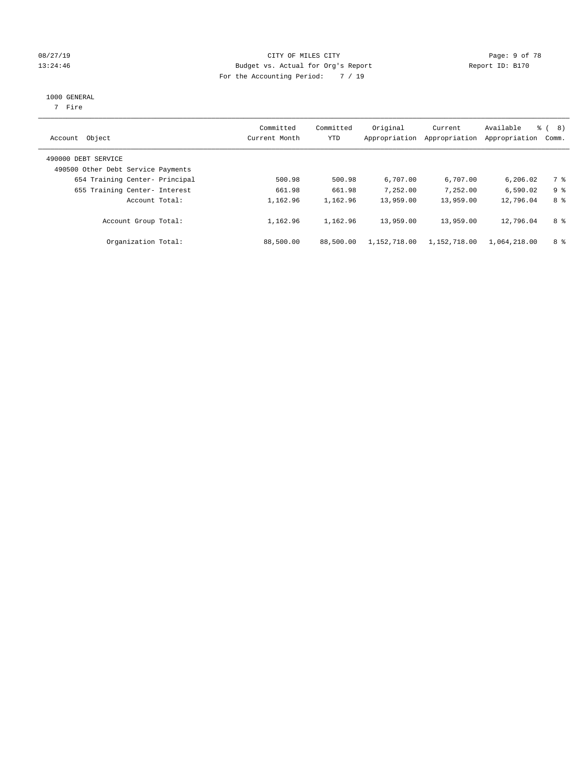### 08/27/19 **CITY OF MILES CITY CITY CITY CITY Page: 9 of 78** 13:24:46 Budget vs. Actual for Org's Report Report ID: B170 For the Accounting Period: 7 / 19

#### 1000 GENERAL

7 Fire

| Account Object                                            | Committed<br>Current Month | Committed<br>YTD | Original<br>Appropriation | Current<br>Appropriation | Available<br>Appropriation | ී ( 8 )<br>Comm. |
|-----------------------------------------------------------|----------------------------|------------------|---------------------------|--------------------------|----------------------------|------------------|
| 490000 DEBT SERVICE<br>490500 Other Debt Service Payments |                            |                  |                           |                          |                            |                  |
| 654 Training Center- Principal                            | 500.98                     | 500.98           | 6,707.00                  | 6,707.00                 | 6.206.02                   | 7 %              |
| 655 Training Center- Interest                             | 661.98                     | 661.98           | 7,252.00                  | 7,252.00                 | 6,590.02                   | 9 <sup>8</sup>   |
| Account Total:                                            | 1,162.96                   | 1,162.96         | 13,959.00                 | 13,959.00                | 12,796.04                  | 8 %              |
| Account Group Total:                                      | 1,162.96                   | 1,162.96         | 13,959.00                 | 13,959.00                | 12,796.04                  | 8 %              |
| Organization Total:                                       | 88,500.00                  | 88,500.00        | 1,152,718.00              | 1,152,718.00             | 1,064,218.00               | 8 %              |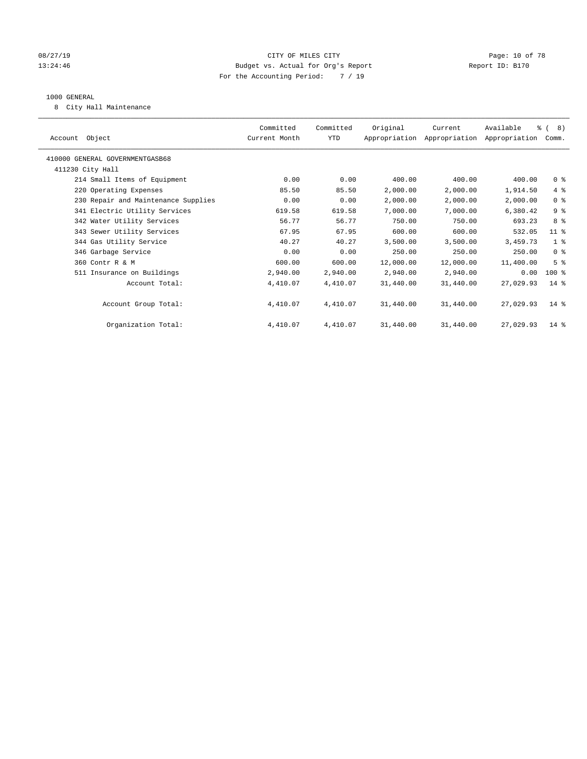#### 08/27/19 **Page: 10 of 78** CITY OF MILES CITY **Page: 10 of 78** 13:24:46 Budget vs. Actual for Org's Report Changer Report ID: B170 For the Accounting Period: 7 / 19

#### 1000 GENERAL

8 City Hall Maintenance

| Account Object                      | Committed<br>Current Month | Committed<br>YTD | Original  | Current<br>Appropriation Appropriation Appropriation | Available | % ( 8)<br>Comm. |
|-------------------------------------|----------------------------|------------------|-----------|------------------------------------------------------|-----------|-----------------|
|                                     |                            |                  |           |                                                      |           |                 |
| 410000 GENERAL GOVERNMENTGASB68     |                            |                  |           |                                                      |           |                 |
| 411230 City Hall                    |                            |                  |           |                                                      |           |                 |
| 214 Small Items of Equipment        | 0.00                       | 0.00             | 400.00    | 400.00                                               | 400.00    | 0 <sup>8</sup>  |
| 220 Operating Expenses              | 85.50                      | 85.50            | 2,000.00  | 2,000.00                                             | 1,914.50  | 4%              |
| 230 Repair and Maintenance Supplies | 0.00                       | 0.00             | 2,000.00  | 2,000.00                                             | 2,000.00  | 0 <sup>8</sup>  |
| 341 Electric Utility Services       | 619.58                     | 619.58           | 7,000.00  | 7,000.00                                             | 6,380.42  | 9%              |
| 342 Water Utility Services          | 56.77                      | 56.77            | 750.00    | 750.00                                               | 693.23    | 8 %             |
| 343 Sewer Utility Services          | 67.95                      | 67.95            | 600.00    | 600.00                                               | 532.05    | $11$ %          |
| 344 Gas Utility Service             | 40.27                      | 40.27            | 3,500.00  | 3,500.00                                             | 3,459.73  | 1 <sup>8</sup>  |
| 346 Garbage Service                 | 0.00                       | 0.00             | 250.00    | 250.00                                               | 250.00    | 0 <sup>8</sup>  |
| 360 Contr R & M                     | 600.00                     | 600.00           | 12,000.00 | 12,000.00                                            | 11,400.00 | 5 <sup>8</sup>  |
| 511 Insurance on Buildings          | 2,940.00                   | 2,940.00         | 2,940.00  | 2,940.00                                             | 0.00      | $100*$          |
| Account Total:                      | 4,410.07                   | 4,410.07         | 31,440.00 | 31,440.00                                            | 27,029.93 | $14*$           |
|                                     |                            |                  |           |                                                      |           |                 |
| Account Group Total:                | 4,410.07                   | 4,410.07         | 31,440.00 | 31,440.00                                            | 27,029.93 | $14*$           |
|                                     |                            |                  |           |                                                      |           |                 |
| Organization Total:                 | 4,410.07                   | 4,410.07         | 31,440.00 | 31,440.00                                            | 27,029.93 | $14*$           |
|                                     |                            |                  |           |                                                      |           |                 |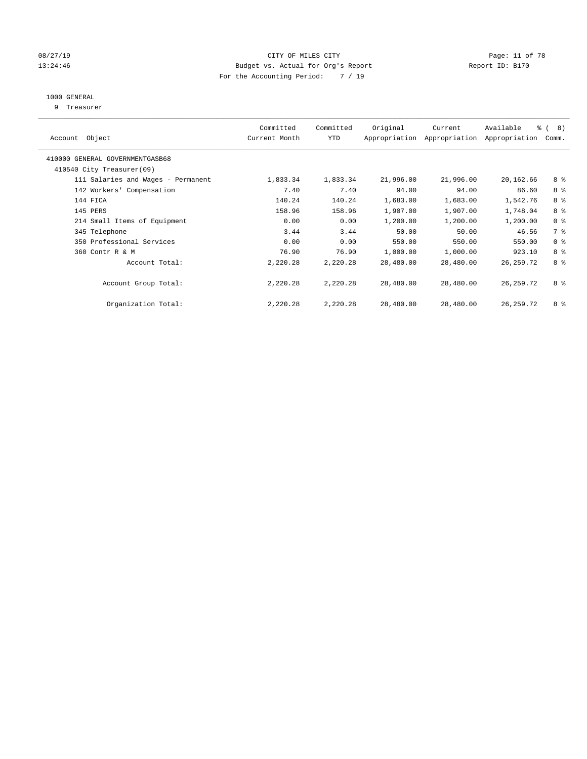#### 08/27/19 Page: 11 of 78 13:24:46 Budget vs. Actual for Org's Report Changer Report ID: B170 For the Accounting Period: 7 / 19

### 1000 GENERAL

9 Treasurer

| Object<br>Account                  | Committed<br>Current Month | Committed<br><b>YTD</b> | Original  | Current<br>Appropriation Appropriation | Available<br>Appropriation | $\frac{6}{6}$ ( 8)<br>Comm. |
|------------------------------------|----------------------------|-------------------------|-----------|----------------------------------------|----------------------------|-----------------------------|
| 410000 GENERAL GOVERNMENTGASB68    |                            |                         |           |                                        |                            |                             |
| 410540 City Treasurer(09)          |                            |                         |           |                                        |                            |                             |
| 111 Salaries and Wages - Permanent | 1,833.34                   | 1,833.34                | 21,996.00 | 21,996.00                              | 20,162.66                  | 8 %                         |
| 142 Workers' Compensation          | 7.40                       | 7.40                    | 94.00     | 94.00                                  | 86.60                      | 8 %                         |
| 144 FICA                           | 140.24                     | 140.24                  | 1,683.00  | 1,683.00                               | 1,542.76                   | 8 %                         |
| 145 PERS                           | 158.96                     | 158.96                  | 1,907.00  | 1,907.00                               | 1,748.04                   | 8 %                         |
| 214 Small Items of Equipment       | 0.00                       | 0.00                    | 1,200.00  | 1,200.00                               | 1,200.00                   | 0 <sup>8</sup>              |
| 345 Telephone                      | 3.44                       | 3.44                    | 50.00     | 50.00                                  | 46.56                      | 7 %                         |
| 350 Professional Services          | 0.00                       | 0.00                    | 550.00    | 550.00                                 | 550.00                     | 0 <sup>8</sup>              |
| 360 Contr R & M                    | 76.90                      | 76.90                   | 1,000.00  | 1,000.00                               | 923.10                     | 8 %                         |
| Account Total:                     | 2,220.28                   | 2,220.28                | 28,480.00 | 28,480.00                              | 26, 259. 72                | 8 %                         |
| Account Group Total:               | 2,220.28                   | 2,220.28                | 28,480.00 | 28,480.00                              | 26, 259. 72                | 8 %                         |
| Organization Total:                | 2,220.28                   | 2,220.28                | 28,480.00 | 28,480.00                              | 26, 259. 72                | 8 %                         |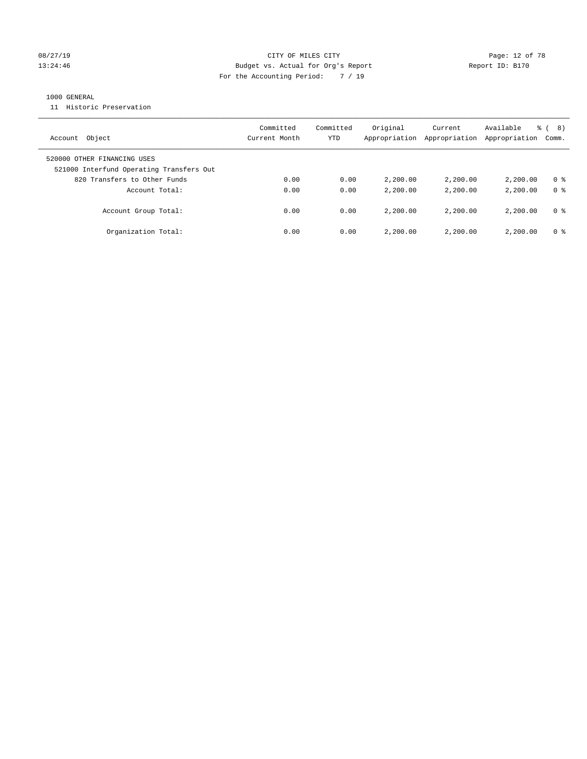#### 08/27/19 **Page: 12 of 78** CITY OF MILES CITY **Page: 12 of 78** 13:24:46 Budget vs. Actual for Org's Report Changer Report ID: B170 For the Accounting Period: 7 / 19

#### 1000 GENERAL

11 Historic Preservation

| Object<br>Account                                                       | Committed<br>Current Month | Committed<br>YTD | Original<br>Appropriation | Current<br>Appropriation | Available<br>Appropriation | 8)<br>응 (<br>Comm. |
|-------------------------------------------------------------------------|----------------------------|------------------|---------------------------|--------------------------|----------------------------|--------------------|
| 520000 OTHER FINANCING USES<br>521000 Interfund Operating Transfers Out |                            |                  |                           |                          |                            |                    |
| 820 Transfers to Other Funds                                            | 0.00                       | 0.00             | 2,200.00                  | 2,200,00                 | 2,200.00                   | 0 %                |
| Account Total:                                                          | 0.00                       | 0.00             | 2,200.00                  | 2,200.00                 | 2,200.00                   | 0 <sup>8</sup>     |
| Account Group Total:                                                    | 0.00                       | 0.00             | 2,200.00                  | 2,200.00                 | 2,200.00                   | 0 %                |
| Organization Total:                                                     | 0.00                       | 0.00             | 2,200.00                  | 2,200.00                 | 2,200.00                   | 0 %                |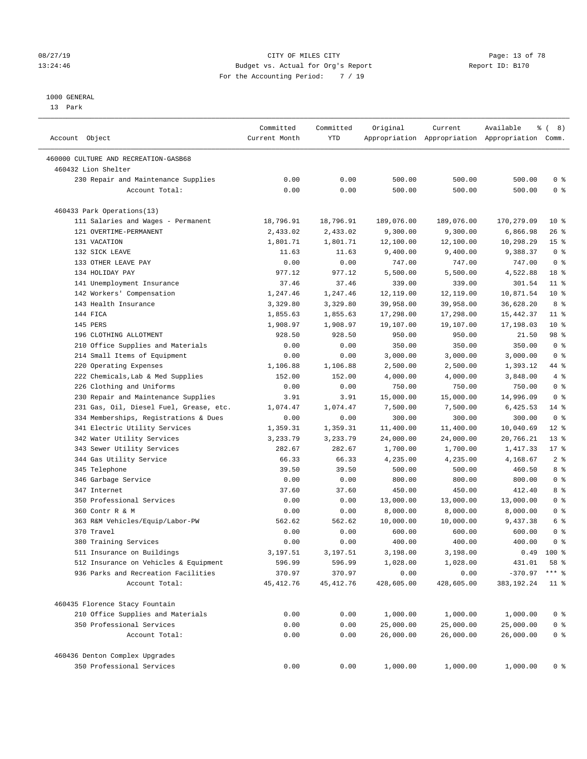#### 1000 GENERAL

13 Park

| Account Object                          | Committed<br>Current Month | Committed<br>YTD | Original   | Current    | Available<br>Appropriation Appropriation Appropriation Comm. | १८) ह           |
|-----------------------------------------|----------------------------|------------------|------------|------------|--------------------------------------------------------------|-----------------|
| 460000 CULTURE AND RECREATION-GASB68    |                            |                  |            |            |                                                              |                 |
| 460432 Lion Shelter                     |                            |                  |            |            |                                                              |                 |
| 230 Repair and Maintenance Supplies     | 0.00                       | 0.00             | 500.00     | 500.00     | 500.00                                                       | 0 <sup>8</sup>  |
| Account Total:                          | 0.00                       | 0.00             | 500.00     | 500.00     | 500.00                                                       | 0 <sup>8</sup>  |
| 460433 Park Operations(13)              |                            |                  |            |            |                                                              |                 |
| 111 Salaries and Wages - Permanent      | 18,796.91                  | 18,796.91        | 189,076.00 | 189,076.00 | 170,279.09                                                   | $10*$           |
| 121 OVERTIME-PERMANENT                  | 2,433.02                   | 2,433.02         | 9,300.00   | 9,300.00   | 6,866.98                                                     | $26$ %          |
| 131 VACATION                            | 1,801.71                   | 1,801.71         | 12,100.00  | 12,100.00  | 10,298.29                                                    | 15 <sup>°</sup> |
| 132 SICK LEAVE                          | 11.63                      | 11.63            | 9,400.00   | 9,400.00   | 9,388.37                                                     | 0 <sup>8</sup>  |
| 133 OTHER LEAVE PAY                     | 0.00                       | 0.00             | 747.00     | 747.00     | 747.00                                                       | 0 <sup>8</sup>  |
| 134 HOLIDAY PAY                         | 977.12                     | 977.12           | 5,500.00   | 5,500.00   | 4,522.88                                                     | 18 %            |
| 141 Unemployment Insurance              | 37.46                      | 37.46            | 339.00     | 339.00     | 301.54                                                       | $11$ %          |
| 142 Workers' Compensation               | 1,247.46                   | 1,247.46         | 12,119.00  | 12,119.00  | 10,871.54                                                    | $10*$           |
| 143 Health Insurance                    | 3,329.80                   | 3,329.80         | 39,958.00  | 39,958.00  | 36,628.20                                                    | 8 %             |
| 144 FICA                                | 1,855.63                   | 1,855.63         | 17,298.00  | 17,298.00  | 15,442.37                                                    | $11$ %          |
| 145 PERS                                | 1,908.97                   | 1,908.97         | 19,107.00  | 19,107.00  | 17,198.03                                                    | $10*$           |
| 196 CLOTHING ALLOTMENT                  | 928.50                     | 928.50           | 950.00     | 950.00     | 21.50                                                        | 98 %            |
| 210 Office Supplies and Materials       | 0.00                       | 0.00             | 350.00     | 350.00     | 350.00                                                       | 0 <sup>8</sup>  |
| 214 Small Items of Equipment            | 0.00                       | 0.00             | 3,000.00   | 3,000.00   | 3,000.00                                                     | 0 <sup>8</sup>  |
| 220 Operating Expenses                  | 1,106.88                   | 1,106.88         | 2,500.00   | 2,500.00   | 1,393.12                                                     | 44 %            |
| 222 Chemicals, Lab & Med Supplies       | 152.00                     | 152.00           | 4,000.00   | 4,000.00   | 3,848.00                                                     | 4%              |
| 226 Clothing and Uniforms               | 0.00                       | 0.00             | 750.00     | 750.00     | 750.00                                                       | 0 <sup>8</sup>  |
| 230 Repair and Maintenance Supplies     | 3.91                       | 3.91             | 15,000.00  | 15,000.00  | 14,996.09                                                    | 0 <sup>8</sup>  |
| 231 Gas, Oil, Diesel Fuel, Grease, etc. | 1,074.47                   | 1,074.47         | 7,500.00   | 7,500.00   | 6,425.53                                                     | $14*$           |
| 334 Memberships, Registrations & Dues   | 0.00                       | 0.00             | 300.00     | 300.00     | 300.00                                                       | 0 <sup>8</sup>  |
| 341 Electric Utility Services           | 1,359.31                   | 1,359.31         | 11,400.00  | 11,400.00  | 10,040.69                                                    | $12*$           |
| 342 Water Utility Services              | 3,233.79                   | 3,233.79         | 24,000.00  | 24,000.00  | 20,766.21                                                    | $13*$           |
| 343 Sewer Utility Services              | 282.67                     | 282.67           | 1,700.00   | 1,700.00   | 1,417.33                                                     | $17*$           |
| 344 Gas Utility Service                 | 66.33                      | 66.33            | 4,235.00   | 4,235.00   | 4,168.67                                                     | 2 <sup>°</sup>  |
| 345 Telephone                           | 39.50                      | 39.50            | 500.00     | 500.00     | 460.50                                                       | 8 %             |
| 346 Garbage Service                     | 0.00                       | 0.00             | 800.00     | 800.00     | 800.00                                                       | 0 <sup>8</sup>  |
| 347 Internet                            | 37.60                      | 37.60            | 450.00     | 450.00     | 412.40                                                       | 8 %             |
| 350 Professional Services               | 0.00                       | 0.00             | 13,000.00  | 13,000.00  | 13,000.00                                                    | 0 <sup>8</sup>  |
| 360 Contr R & M                         | 0.00                       | 0.00             | 8,000.00   | 8,000.00   | 8,000.00                                                     | 0 <sup>8</sup>  |
| 363 R&M Vehicles/Equip/Labor-PW         | 562.62                     | 562.62           | 10,000.00  | 10,000.00  | 9,437.38                                                     | 6 %             |
| 370 Travel                              | 0.00                       | 0.00             | 600.00     | 600.00     | 600.00                                                       | 0 <sup>8</sup>  |
| 380 Training Services                   | 0.00                       | 0.00             | 400.00     | 400.00     | 400.00                                                       | 0 <sup>8</sup>  |
| 511 Insurance on Buildings              | 3,197.51                   | 3,197.51         | 3,198.00   | 3,198.00   | 0.49                                                         | $100*$          |
| 512 Insurance on Vehicles & Equipment   | 596.99                     | 596.99           | 1,028.00   | 1,028.00   | 431.01                                                       | 58 %            |
| 936 Parks and Recreation Facilities     | 370.97                     | 370.97           | 0.00       | 0.00       | $-370.97$                                                    | $***$ $_{8}$    |
| Account Total:                          | 45, 412.76                 | 45, 412.76       | 428,605.00 | 428,605.00 | 383, 192. 24                                                 | 11 <sub>8</sub> |
|                                         |                            |                  |            |            |                                                              |                 |
| 460435 Florence Stacy Fountain          |                            |                  |            |            |                                                              |                 |
| 210 Office Supplies and Materials       | 0.00                       | 0.00             | 1,000.00   | 1,000.00   | 1,000.00                                                     | 0 <sup>8</sup>  |
| 350 Professional Services               | 0.00                       | 0.00             | 25,000.00  | 25,000.00  | 25,000.00                                                    | $0$ %           |
| Account Total:                          | 0.00                       | 0.00             | 26,000.00  | 26,000.00  | 26,000.00                                                    | $0$ %           |
| 460436 Denton Complex Upgrades          |                            |                  |            |            |                                                              |                 |
| 350 Professional Services               | 0.00                       | 0.00             | 1,000.00   | 1,000.00   | 1,000.00                                                     | 0 <sup>8</sup>  |
|                                         |                            |                  |            |            |                                                              |                 |

#### 08/27/19 CITY OF MILES CITY Page: 13 of 78 13:24:46 Budget vs. Actual for Org's Report For the Accounting Period: 7 / 19

————————————————————————————————————————————————————————————————————————————————————————————————————————————————————————————————————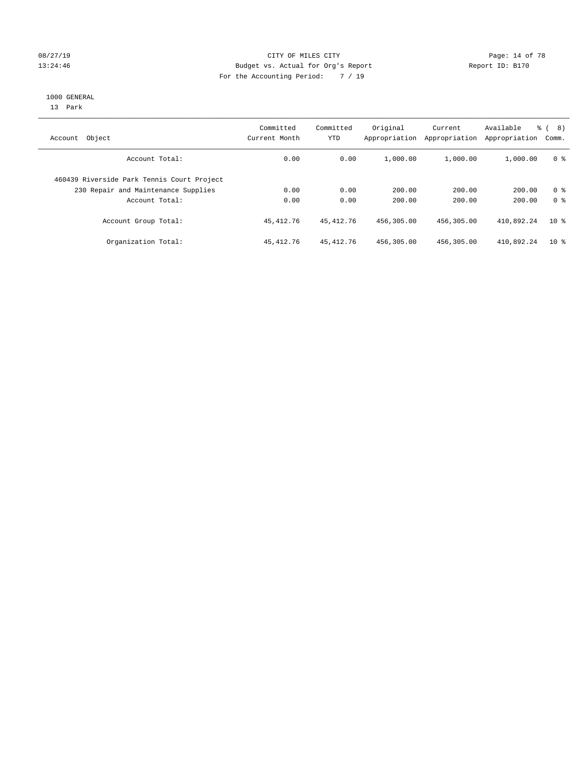#### 08/27/19 **Page: 14 of 78** CITY OF MILES CITY **Page: 14 of 78** 13:24:46 Budget vs. Actual for Org's Report Changer Report ID: B170 For the Accounting Period: 7 / 19

#### 1000 GENERAL

13 Park

| Object<br>Account                          | Committed<br>Current Month | Committed<br><b>YTD</b> | Original<br>Appropriation | Current<br>Appropriation | Available<br>Appropriation | % ( 8 )<br>Comm. |
|--------------------------------------------|----------------------------|-------------------------|---------------------------|--------------------------|----------------------------|------------------|
| Account Total:                             | 0.00                       | 0.00                    | 1,000.00                  | 1,000.00                 | 1,000.00                   | 0 <sup>8</sup>   |
| 460439 Riverside Park Tennis Court Project |                            |                         |                           |                          |                            |                  |
| 230 Repair and Maintenance Supplies        | 0.00                       | 0.00                    | 200.00                    | 200.00                   | 200.00                     | 0 <sup>8</sup>   |
| Account Total:                             | 0.00                       | 0.00                    | 200.00                    | 200.00                   | 200.00                     | 0 <sup>8</sup>   |
| Account Group Total:                       | 45, 412.76                 | 45, 412. 76             | 456,305.00                | 456,305.00               | 410,892.24                 | 10 <sup>8</sup>  |
| Organization Total:                        | 45,412.76                  | 45, 412.76              | 456,305.00                | 456,305.00               | 410,892.24                 | $10*$            |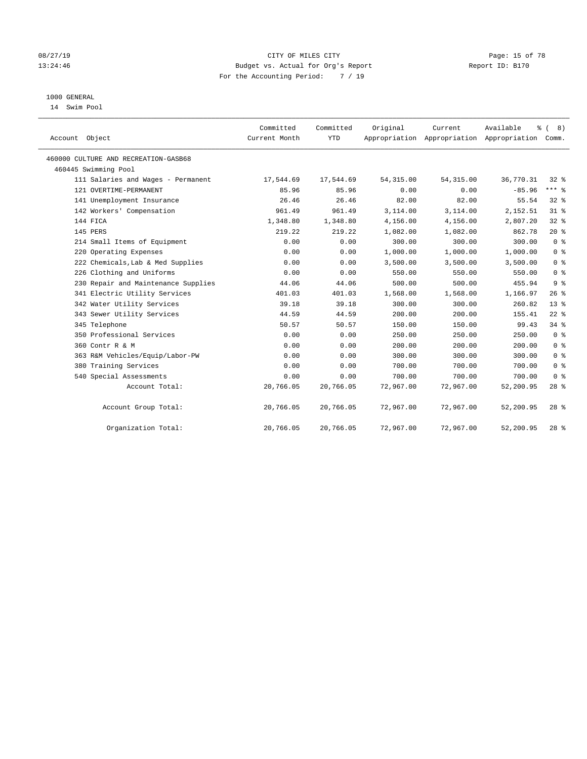#### 08/27/19 **Page: 15 of 78** CITY OF MILES CITY **Page: 15 of 78** 13:24:46 Budget vs. Actual for Org's Report Report ID: B170 For the Accounting Period: 7 / 19

## 1000 GENERAL

14 Swim Pool

| Account Object                       | Committed<br>Current Month | Committed<br><b>YTD</b> | Original   | Current<br>Appropriation Appropriation Appropriation | Available<br>နွ | (8)<br>Comm.   |
|--------------------------------------|----------------------------|-------------------------|------------|------------------------------------------------------|-----------------|----------------|
| 460000 CULTURE AND RECREATION-GASB68 |                            |                         |            |                                                      |                 |                |
| 460445 Swimming Pool                 |                            |                         |            |                                                      |                 |                |
| 111 Salaries and Wages - Permanent   | 17,544.69                  | 17,544.69               | 54, 315.00 | 54, 315.00                                           | 36,770.31       | $32$ $%$       |
| 121 OVERTIME-PERMANENT               | 85.96                      | 85.96                   | 0.00       | 0.00                                                 | $-85.96$        | $***$ $-$      |
| 141 Unemployment Insurance           | 26.46                      | 26.46                   | 82.00      | 82.00                                                | 55.54           | 32%            |
| 142 Workers' Compensation            | 961.49                     | 961.49                  | 3,114.00   | 3,114.00                                             | 2,152.51        | 31.8           |
| 144 FICA                             | 1,348.80                   | 1,348.80                | 4,156.00   | 4,156.00                                             | 2,807.20        | 32%            |
| 145 PERS                             | 219.22                     | 219.22                  | 1,082.00   | 1,082.00                                             | 862.78          | $20*$          |
| 214 Small Items of Equipment         | 0.00                       | 0.00                    | 300.00     | 300.00                                               | 300.00          | 0 <sup>8</sup> |
| 220 Operating Expenses               | 0.00                       | 0.00                    | 1,000.00   | 1,000.00                                             | 1,000.00        | 0 <sup>8</sup> |
| 222 Chemicals, Lab & Med Supplies    | 0.00                       | 0.00                    | 3,500.00   | 3,500.00                                             | 3,500.00        | 0 <sup>8</sup> |
| 226 Clothing and Uniforms            | 0.00                       | 0.00                    | 550.00     | 550.00                                               | 550.00          | 0 <sup>8</sup> |
| 230 Repair and Maintenance Supplies  | 44.06                      | 44.06                   | 500.00     | 500.00                                               | 455.94          | 9 <sup>°</sup> |
| 341 Electric Utility Services        | 401.03                     | 401.03                  | 1,568.00   | 1,568.00                                             | 1,166.97        | 26%            |
| 342 Water Utility Services           | 39.18                      | 39.18                   | 300.00     | 300.00                                               | 260.82          | $13*$          |
| 343 Sewer Utility Services           | 44.59                      | 44.59                   | 200.00     | 200.00                                               | 155.41          | $22$ %         |
| 345 Telephone                        | 50.57                      | 50.57                   | 150.00     | 150.00                                               | 99.43           | 34%            |
| 350 Professional Services            | 0.00                       | 0.00                    | 250.00     | 250.00                                               | 250.00          | 0 <sup>8</sup> |
| 360 Contr R & M                      | 0.00                       | 0.00                    | 200.00     | 200.00                                               | 200.00          | 0 <sup>8</sup> |
| 363 R&M Vehicles/Equip/Labor-PW      | 0.00                       | 0.00                    | 300.00     | 300.00                                               | 300.00          | 0 <sup>8</sup> |
| 380 Training Services                | 0.00                       | 0.00                    | 700.00     | 700.00                                               | 700.00          | 0 <sup>8</sup> |
| 540 Special Assessments              | 0.00                       | 0.00                    | 700.00     | 700.00                                               | 700.00          | 0 <sup>8</sup> |
| Account Total:                       | 20,766.05                  | 20,766.05               | 72,967.00  | 72,967.00                                            | 52,200.95       | $28$ %         |
| Account Group Total:                 | 20,766.05                  | 20,766.05               | 72,967.00  | 72,967.00                                            | 52,200.95       | $28$ $%$       |
| Organization Total:                  | 20,766.05                  | 20,766.05               | 72,967.00  | 72,967.00                                            | 52,200.95       | $28$ %         |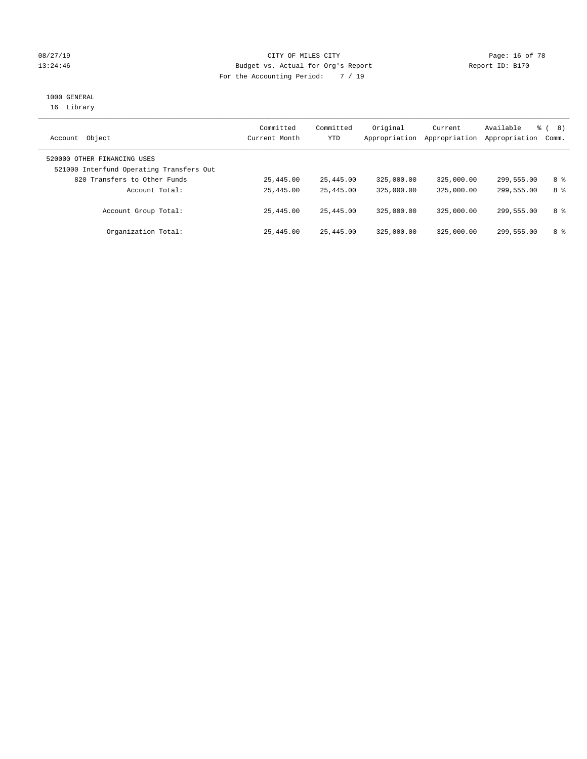### 08/27/19 Page: 16 of 78 13:24:46 Budget vs. Actual for Org's Report Changer Report ID: B170 For the Accounting Period: 7 / 19

# 1000 GENERAL

16 Library

| Object<br>Account                                                       | Committed<br>Current Month | Committed<br>YTD | Original<br>Appropriation | Current<br>Appropriation | Available<br>Appropriation | 응 (<br>8)<br>Comm. |
|-------------------------------------------------------------------------|----------------------------|------------------|---------------------------|--------------------------|----------------------------|--------------------|
| 520000 OTHER FINANCING USES<br>521000 Interfund Operating Transfers Out |                            |                  |                           |                          |                            |                    |
| 820 Transfers to Other Funds                                            | 25,445.00                  | 25,445.00        | 325,000.00                | 325,000.00               | 299,555.00                 | 8 %                |
| Account Total:                                                          | 25,445.00                  | 25,445.00        | 325,000.00                | 325,000.00               | 299,555.00                 | 8 %                |
| Account Group Total:                                                    | 25,445.00                  | 25,445.00        | 325,000.00                | 325,000.00               | 299,555.00                 | 8 %                |
| Organization Total:                                                     | 25,445.00                  | 25,445.00        | 325,000.00                | 325,000.00               | 299,555.00                 | 8 %                |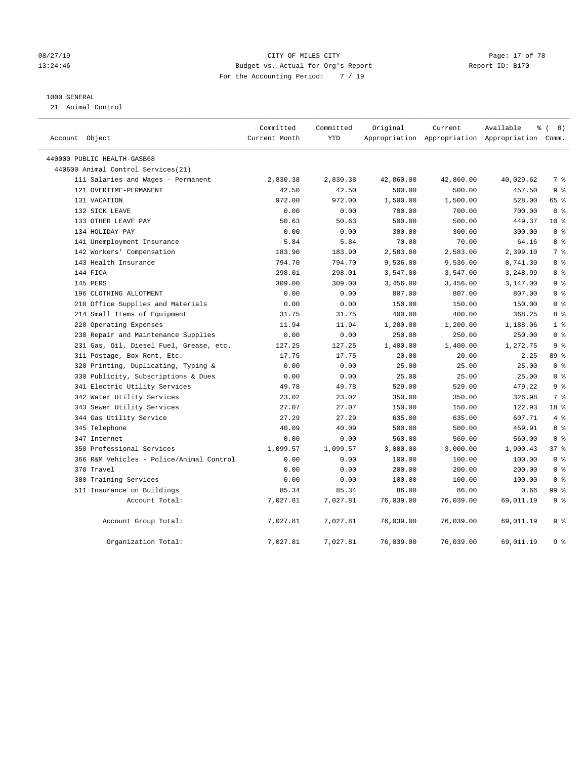#### 08/27/19 **Page: 17 of 78** CITY OF MILES CITY **Page: 17 of 78** 13:24:46 Budget vs. Actual for Org's Report Changer Report ID: B170 For the Accounting Period: 7 / 19

#### 1000 GENERAL

21 Animal Control

| Account Object                           | Committed<br>Current Month | Committed<br>YTD | Original  | Current   | Available<br>Appropriation Appropriation Appropriation Comm. | $\frac{6}{6}$ ( 8) |
|------------------------------------------|----------------------------|------------------|-----------|-----------|--------------------------------------------------------------|--------------------|
| 440000 PUBLIC HEALTH-GASB68              |                            |                  |           |           |                                                              |                    |
| 440600 Animal Control Services(21)       |                            |                  |           |           |                                                              |                    |
| 111 Salaries and Wages - Permanent       | 2,830.38                   | 2,830.38         | 42,860.00 | 42,860.00 | 40,029.62                                                    | 7 %                |
| 121 OVERTIME-PERMANENT                   | 42.50                      | 42.50            | 500.00    | 500.00    | 457.50                                                       | 9 <sup>8</sup>     |
| 131 VACATION                             | 972.00                     | 972.00           | 1,500.00  | 1,500.00  | 528.00                                                       | 65 %               |
| 132 SICK LEAVE                           | 0.00                       | 0.00             | 700.00    | 700.00    | 700.00                                                       | 0 <sup>8</sup>     |
| 133 OTHER LEAVE PAY                      | 50.63                      | 50.63            | 500.00    | 500.00    | 449.37                                                       | $10*$              |
| 134 HOLIDAY PAY                          | 0.00                       | 0.00             | 300.00    | 300.00    | 300.00                                                       | 0 <sup>8</sup>     |
| 141 Unemployment Insurance               | 5.84                       | 5.84             | 70.00     | 70.00     | 64.16                                                        | 8 %                |
| 142 Workers' Compensation                | 183.90                     | 183.90           | 2,583.00  | 2,583.00  | 2,399.10                                                     | 7 %                |
| 143 Health Insurance                     | 794.70                     | 794.70           | 9,536.00  | 9,536.00  | 8,741.30                                                     | 8 %                |
| 144 FICA                                 | 298.01                     | 298.01           | 3,547.00  | 3,547.00  | 3,248.99                                                     | 8 %                |
| 145 PERS                                 | 309.00                     | 309.00           | 3,456.00  | 3,456.00  | 3,147.00                                                     | 9 <sup>°</sup>     |
| 196 CLOTHING ALLOTMENT                   | 0.00                       | 0.00             | 807.00    | 807.00    | 807.00                                                       | 0 <sup>8</sup>     |
| 210 Office Supplies and Materials        | 0.00                       | 0.00             | 150.00    | 150.00    | 150.00                                                       | 0 <sup>8</sup>     |
| 214 Small Items of Equipment             | 31.75                      | 31.75            | 400.00    | 400.00    | 368.25                                                       | 8 %                |
| 220 Operating Expenses                   | 11.94                      | 11.94            | 1,200.00  | 1,200.00  | 1,188.06                                                     | 1 <sup>°</sup>     |
| 230 Repair and Maintenance Supplies      | 0.00                       | 0.00             | 250.00    | 250.00    | 250.00                                                       | 0 <sup>8</sup>     |
| 231 Gas, Oil, Diesel Fuel, Grease, etc.  | 127.25                     | 127.25           | 1,400.00  | 1,400.00  | 1,272.75                                                     | 9 <sup>°</sup>     |
| 311 Postage, Box Rent, Etc.              | 17.75                      | 17.75            | 20.00     | 20.00     | 2.25                                                         | 89 %               |
| 320 Printing, Duplicating, Typing &      | 0.00                       | 0.00             | 25.00     | 25.00     | 25.00                                                        | 0 <sup>8</sup>     |
| 330 Publicity, Subscriptions & Dues      | 0.00                       | 0.00             | 25.00     | 25.00     | 25.00                                                        | 0 <sup>8</sup>     |
| 341 Electric Utility Services            | 49.78                      | 49.78            | 529.00    | 529.00    | 479.22                                                       | 9 <sup>°</sup>     |
| 342 Water Utility Services               | 23.02                      | 23.02            | 350.00    | 350.00    | 326.98                                                       | 7 %                |
| 343 Sewer Utility Services               | 27.07                      | 27.07            | 150.00    | 150.00    | 122.93                                                       | 18 %               |
| 344 Gas Utility Service                  | 27.29                      | 27.29            | 635.00    | 635.00    | 607.71                                                       | $4\degree$         |
| 345 Telephone                            | 40.09                      | 40.09            | 500.00    | 500.00    | 459.91                                                       | 8 %                |
| 347 Internet                             | 0.00                       | 0.00             | 560.00    | 560.00    | 560.00                                                       | 0 <sup>8</sup>     |
| 350 Professional Services                | 1,099.57                   | 1,099.57         | 3,000.00  | 3,000.00  | 1,900.43                                                     | 37%                |
| 366 R&M Vehicles - Police/Animal Control | 0.00                       | 0.00             | 100.00    | 100.00    | 100.00                                                       | 0 <sup>8</sup>     |
| 370 Travel                               | 0.00                       | 0.00             | 200.00    | 200.00    | 200.00                                                       | 0 <sup>8</sup>     |
| 380 Training Services                    | 0.00                       | 0.00             | 100.00    | 100.00    | 100.00                                                       | 0 <sup>8</sup>     |
| 511 Insurance on Buildings               | 85.34                      | 85.34            | 86.00     | 86.00     | 0.66                                                         | 99 %               |
| Account Total:                           | 7,027.81                   | 7,027.81         | 76,039.00 | 76,039.00 | 69,011.19                                                    | 9 <sup>°</sup>     |
| Account Group Total:                     | 7,027.81                   | 7,027.81         | 76,039.00 | 76,039.00 | 69,011.19                                                    | 9 %                |
| Organization Total:                      | 7,027.81                   | 7,027.81         | 76,039.00 | 76,039.00 | 69,011.19                                                    | 9 %                |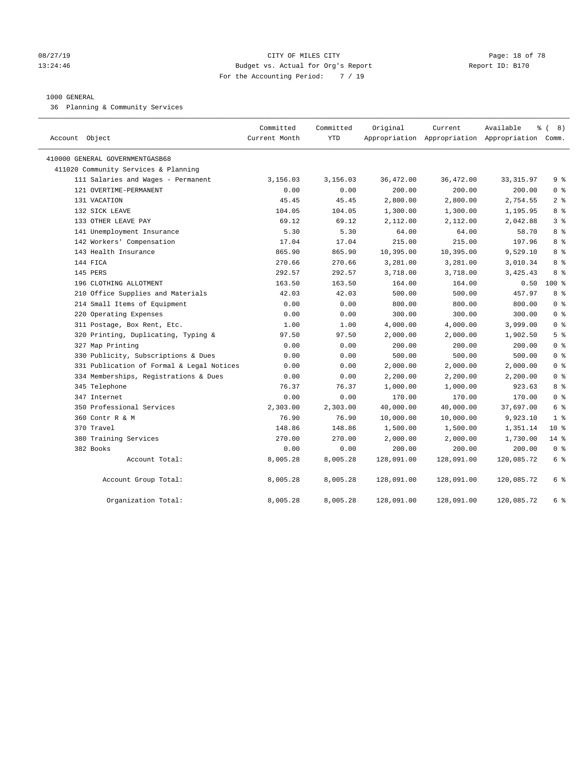#### 08/27/19 **Page: 18 of 78** CITY OF MILES CITY **Page: 18 of 78** 13:24:46 Budget vs. Actual for Org's Report Changer Report ID: B170 For the Accounting Period: 7 / 19

#### 1000 GENERAL

36 Planning & Community Services

| Account Object                            | Committed<br>Current Month | Committed<br><b>YTD</b> | Original   | Current    | Available<br>Appropriation Appropriation Appropriation Comm. | $\frac{6}{6}$ ( 8) |
|-------------------------------------------|----------------------------|-------------------------|------------|------------|--------------------------------------------------------------|--------------------|
| 410000 GENERAL GOVERNMENTGASB68           |                            |                         |            |            |                                                              |                    |
| 411020 Community Services & Planning      |                            |                         |            |            |                                                              |                    |
| 111 Salaries and Wages - Permanent        | 3,156.03                   | 3,156.03                | 36,472.00  | 36,472.00  | 33, 315.97                                                   | 9 <sup>°</sup>     |
| 121 OVERTIME-PERMANENT                    | 0.00                       | 0.00                    | 200.00     | 200.00     | 200.00                                                       | 0 <sup>8</sup>     |
| 131 VACATION                              | 45.45                      | 45.45                   | 2,800.00   | 2,800.00   | 2,754.55                                                     | 2 <sup>°</sup>     |
| 132 SICK LEAVE                            | 104.05                     | 104.05                  | 1,300.00   | 1,300.00   | 1,195.95                                                     | 8 %                |
| 133 OTHER LEAVE PAY                       | 69.12                      | 69.12                   | 2,112.00   | 2,112.00   | 2,042.88                                                     | 3 <sup>8</sup>     |
| 141 Unemployment Insurance                | 5.30                       | 5.30                    | 64.00      | 64.00      | 58.70                                                        | 8%                 |
| 142 Workers' Compensation                 | 17.04                      | 17.04                   | 215.00     | 215.00     | 197.96                                                       | 8 %                |
| 143 Health Insurance                      | 865.90                     | 865.90                  | 10,395.00  | 10,395.00  | 9,529.10                                                     | 8 %                |
| 144 FICA                                  | 270.66                     | 270.66                  | 3,281.00   | 3,281.00   | 3,010.34                                                     | 8 %                |
| 145 PERS                                  | 292.57                     | 292.57                  | 3,718.00   | 3,718.00   | 3,425.43                                                     | 8 %                |
| 196 CLOTHING ALLOTMENT                    | 163.50                     | 163.50                  | 164.00     | 164.00     | 0.50                                                         | $100*$             |
| 210 Office Supplies and Materials         | 42.03                      | 42.03                   | 500.00     | 500.00     | 457.97                                                       | 8 %                |
| 214 Small Items of Equipment              | 0.00                       | 0.00                    | 800.00     | 800.00     | 800.00                                                       | 0 <sup>8</sup>     |
| 220 Operating Expenses                    | 0.00                       | 0.00                    | 300.00     | 300.00     | 300.00                                                       | 0 <sup>8</sup>     |
| 311 Postage, Box Rent, Etc.               | 1.00                       | 1.00                    | 4,000.00   | 4,000.00   | 3,999.00                                                     | 0 <sup>8</sup>     |
| 320 Printing, Duplicating, Typing &       | 97.50                      | 97.50                   | 2,000.00   | 2,000.00   | 1,902.50                                                     | 5 <sup>8</sup>     |
| 327 Map Printing                          | 0.00                       | 0.00                    | 200.00     | 200.00     | 200.00                                                       | 0 <sup>8</sup>     |
| 330 Publicity, Subscriptions & Dues       | 0.00                       | 0.00                    | 500.00     | 500.00     | 500.00                                                       | 0 <sup>8</sup>     |
| 331 Publication of Formal & Legal Notices | 0.00                       | 0.00                    | 2,000.00   | 2,000.00   | 2,000.00                                                     | 0 <sup>8</sup>     |
| 334 Memberships, Registrations & Dues     | 0.00                       | 0.00                    | 2,200.00   | 2,200.00   | 2,200.00                                                     | 0 <sup>8</sup>     |
| 345 Telephone                             | 76.37                      | 76.37                   | 1,000.00   | 1,000.00   | 923.63                                                       | 8 %                |
| 347 Internet                              | 0.00                       | 0.00                    | 170.00     | 170.00     | 170.00                                                       | 0 <sup>8</sup>     |
| 350 Professional Services                 | 2,303.00                   | 2,303.00                | 40,000.00  | 40,000.00  | 37,697.00                                                    | 6 %                |
| 360 Contr R & M                           | 76.90                      | 76.90                   | 10,000.00  | 10,000.00  | 9,923.10                                                     | 1 <sup>8</sup>     |
| 370 Travel                                | 148.86                     | 148.86                  | 1,500.00   | 1,500.00   | 1,351.14                                                     | $10*$              |
| 380 Training Services                     | 270.00                     | 270.00                  | 2,000.00   | 2,000.00   | 1,730.00                                                     | $14$ %             |
| 382 Books                                 | 0.00                       | 0.00                    | 200.00     | 200.00     | 200.00                                                       | 0 <sup>8</sup>     |
| Account Total:                            | 8,005.28                   | 8,005.28                | 128,091.00 | 128,091.00 | 120,085.72                                                   | 6 %                |
| Account Group Total:                      | 8,005.28                   | 8,005.28                | 128,091.00 | 128,091.00 | 120,085.72                                                   | 6 %                |
| Organization Total:                       | 8,005.28                   | 8,005.28                | 128,091.00 | 128,091.00 | 120,085.72                                                   | 6 %                |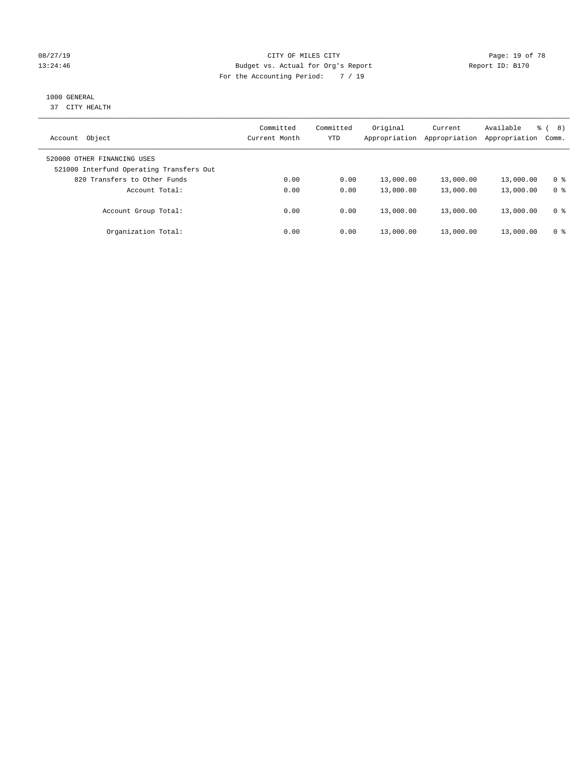#### 08/27/19 **Page: 19 of 78** CITY OF MILES CITY **Page: 19 of 78** 13:24:46 Budget vs. Actual for Org's Report Changer Report ID: B170 For the Accounting Period: 7 / 19

## 1000 GENERAL

37 CITY HEALTH

| Object<br>Account                                                       | Committed<br>Current Month | Committed<br><b>YTD</b> | Original<br>Appropriation | Current<br>Appropriation | Available<br>Appropriation | ී (<br>8)<br>Comm. |
|-------------------------------------------------------------------------|----------------------------|-------------------------|---------------------------|--------------------------|----------------------------|--------------------|
| 520000 OTHER FINANCING USES<br>521000 Interfund Operating Transfers Out |                            |                         |                           |                          |                            |                    |
| 820 Transfers to Other Funds                                            | 0.00                       | 0.00                    | 13,000.00                 | 13,000.00                | 13,000.00                  | 0 %                |
| Account Total:                                                          | 0.00                       | 0.00                    | 13,000.00                 | 13,000.00                | 13,000.00                  | 0 <sup>8</sup>     |
| Account Group Total:                                                    | 0.00                       | 0.00                    | 13,000.00                 | 13,000.00                | 13,000.00                  | 0 <sup>8</sup>     |
| Organization Total:                                                     | 0.00                       | 0.00                    | 13,000.00                 | 13,000.00                | 13,000.00                  | 0 %                |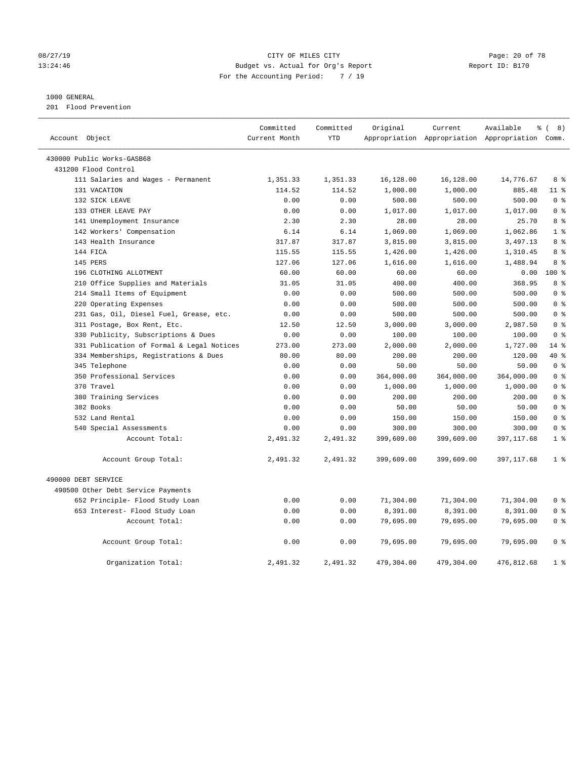#### 08/27/19 **Page: 20 of 78** CITY OF MILES CITY **Page: 20 of 78** 13:24:46 Budget vs. Actual for Org's Report Changer Report ID: B170 For the Accounting Period: 7 / 19

#### 1000 GENERAL

201 Flood Prevention

| Account Object                            | Committed<br>Current Month | Committed<br><b>YTD</b> | Original   | Current    | Available<br>Appropriation Appropriation Appropriation | $\frac{6}{6}$ ( 8)<br>Comm. |
|-------------------------------------------|----------------------------|-------------------------|------------|------------|--------------------------------------------------------|-----------------------------|
| 430000 Public Works-GASB68                |                            |                         |            |            |                                                        |                             |
| 431200 Flood Control                      |                            |                         |            |            |                                                        |                             |
| 111 Salaries and Wages - Permanent        | 1,351.33                   | 1,351.33                | 16,128.00  | 16,128.00  | 14,776.67                                              | 8 %                         |
| 131 VACATION                              | 114.52                     | 114.52                  | 1,000.00   | 1,000.00   | 885.48                                                 | $11$ %                      |
| 132 SICK LEAVE                            | 0.00                       | 0.00                    | 500.00     | 500.00     | 500.00                                                 | 0 <sup>8</sup>              |
| 133 OTHER LEAVE PAY                       | 0.00                       | 0.00                    | 1,017.00   | 1,017.00   | 1,017.00                                               | 0 <sup>8</sup>              |
| 141 Unemployment Insurance                | 2.30                       | 2.30                    | 28.00      | 28.00      | 25.70                                                  | 8 %                         |
| 142 Workers' Compensation                 | 6.14                       | 6.14                    | 1,069.00   | 1,069.00   | 1,062.86                                               | 1 <sup>8</sup>              |
| 143 Health Insurance                      | 317.87                     | 317.87                  | 3,815.00   | 3,815.00   | 3,497.13                                               | 8 <sup>8</sup>              |
| 144 FICA                                  | 115.55                     | 115.55                  | 1,426.00   | 1,426.00   | 1,310.45                                               | 8 %                         |
| 145 PERS                                  | 127.06                     | 127.06                  | 1,616.00   | 1,616.00   | 1,488.94                                               | 8 %                         |
| 196 CLOTHING ALLOTMENT                    | 60.00                      | 60.00                   | 60.00      | 60.00      | 0.00                                                   | $100*$                      |
| 210 Office Supplies and Materials         | 31.05                      | 31.05                   | 400.00     | 400.00     | 368.95                                                 | $8 \frac{6}{3}$             |
| 214 Small Items of Equipment              | 0.00                       | 0.00                    | 500.00     | 500.00     | 500.00                                                 | 0 <sup>8</sup>              |
| 220 Operating Expenses                    | 0.00                       | 0.00                    | 500.00     | 500.00     | 500.00                                                 | 0 <sup>8</sup>              |
| 231 Gas, Oil, Diesel Fuel, Grease, etc.   | 0.00                       | 0.00                    | 500.00     | 500.00     | 500.00                                                 | 0 <sup>8</sup>              |
| 311 Postage, Box Rent, Etc.               | 12.50                      | 12.50                   | 3,000.00   | 3,000.00   | 2,987.50                                               | 0 <sup>8</sup>              |
| 330 Publicity, Subscriptions & Dues       | 0.00                       | 0.00                    | 100.00     | 100.00     | 100.00                                                 | 0 <sup>8</sup>              |
| 331 Publication of Formal & Legal Notices | 273.00                     | 273.00                  | 2,000.00   | 2,000.00   | 1,727.00                                               | $14*$                       |
| 334 Memberships, Registrations & Dues     | 80.00                      | 80.00                   | 200.00     | 200.00     | 120.00                                                 | 40 %                        |
| 345 Telephone                             | 0.00                       | 0.00                    | 50.00      | 50.00      | 50.00                                                  | 0 <sup>8</sup>              |
| 350 Professional Services                 | 0.00                       | 0.00                    | 364,000.00 | 364,000.00 | 364,000.00                                             | 0 <sup>8</sup>              |
| 370 Travel                                | 0.00                       | 0.00                    | 1,000.00   | 1,000.00   | 1,000.00                                               | 0 <sup>8</sup>              |
| 380 Training Services                     | 0.00                       | 0.00                    | 200.00     | 200.00     | 200.00                                                 | 0 <sup>8</sup>              |
| 382 Books                                 | 0.00                       | 0.00                    | 50.00      | 50.00      | 50.00                                                  | 0 <sup>8</sup>              |
| 532 Land Rental                           | 0.00                       | 0.00                    | 150.00     | 150.00     | 150.00                                                 | 0 <sup>8</sup>              |
| 540 Special Assessments                   | 0.00                       | 0.00                    | 300.00     | 300.00     | 300.00                                                 | 0 <sup>8</sup>              |
| Account Total:                            | 2,491.32                   | 2,491.32                | 399,609.00 | 399,609.00 | 397, 117.68                                            | 1 <sup>8</sup>              |
| Account Group Total:                      | 2,491.32                   | 2,491.32                | 399,609.00 | 399,609.00 | 397, 117.68                                            | 1 <sup>8</sup>              |
| 490000 DEBT SERVICE                       |                            |                         |            |            |                                                        |                             |
| 490500 Other Debt Service Payments        |                            |                         |            |            |                                                        |                             |
| 652 Principle- Flood Study Loan           | 0.00                       | 0.00                    | 71,304.00  | 71,304.00  | 71,304.00                                              | 0 <sup>8</sup>              |
| 653 Interest- Flood Study Loan            | 0.00                       | 0.00                    | 8,391.00   | 8,391.00   | 8,391.00                                               | 0 <sup>8</sup>              |
| Account Total:                            | 0.00                       | 0.00                    | 79,695.00  | 79,695.00  | 79,695.00                                              | 0 <sup>8</sup>              |
| Account Group Total:                      | 0.00                       | 0.00                    | 79,695.00  | 79,695.00  | 79,695.00                                              | 0 <sup>8</sup>              |
| Organization Total:                       | 2,491.32                   | 2,491.32                | 479,304.00 | 479,304.00 | 476,812.68                                             | 1 <sup>8</sup>              |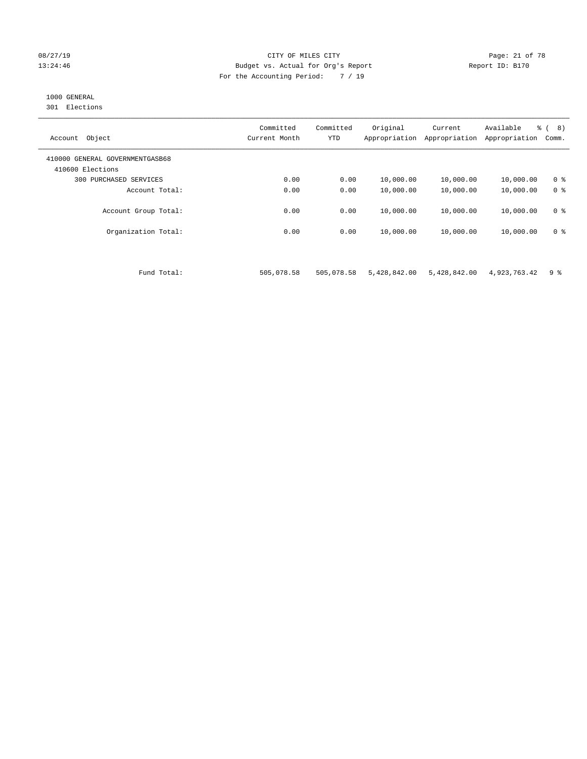#### 08/27/19 Page: 21 of 78 13:24:46 Budget vs. Actual for Org's Report Report ID: B170 For the Accounting Period: 7 / 19

## 1000 GENERAL

301 Elections

| Object<br>Account                                   | Committed<br>Current Month | Committed<br><b>YTD</b> | Original<br>Appropriation | Current<br>Appropriation | Available<br>Appropriation | % ( 8)<br>Comm. |
|-----------------------------------------------------|----------------------------|-------------------------|---------------------------|--------------------------|----------------------------|-----------------|
| 410000 GENERAL GOVERNMENTGASB68<br>410600 Elections |                            |                         |                           |                          |                            |                 |
| 300<br>PURCHASED SERVICES                           | 0.00                       | 0.00                    | 10,000.00                 | 10,000.00                | 10,000.00                  | 0 <sup>8</sup>  |
| Account Total:                                      | 0.00                       | 0.00                    | 10,000.00                 | 10,000.00                | 10,000.00                  | 0 <sup>8</sup>  |
| Account Group Total:                                | 0.00                       | 0.00                    | 10,000.00                 | 10,000.00                | 10,000.00                  | 0 <sup>8</sup>  |
| Organization Total:                                 | 0.00                       | 0.00                    | 10,000.00                 | 10,000.00                | 10,000.00                  | 0 <sup>8</sup>  |

Fund Total: 505,078.58 505,078.58 5,428,842.00 5,428,842.00 4,923,763.42 9 %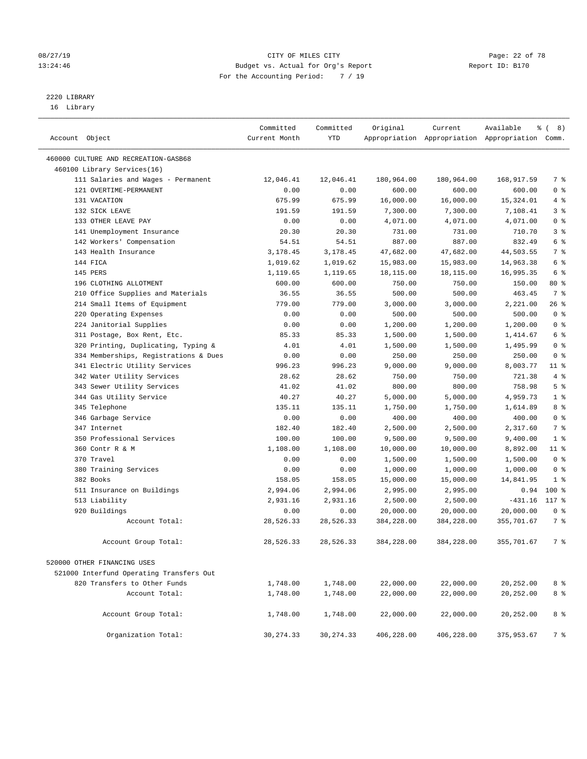## 2220 LIBRARY

16 Library

| Account Object                           | Committed<br>Current Month | Committed<br>YTD | Original              | Current               | Available<br>Appropriation Appropriation Appropriation Comm. | <sub>රි</sub> ( 8 ) |
|------------------------------------------|----------------------------|------------------|-----------------------|-----------------------|--------------------------------------------------------------|---------------------|
| 460000 CULTURE AND RECREATION-GASB68     |                            |                  |                       |                       |                                                              |                     |
| 460100 Library Services(16)              |                            |                  |                       |                       |                                                              |                     |
| 111 Salaries and Wages - Permanent       | 12,046.41                  | 12,046.41        | 180,964.00            | 180,964.00            | 168,917.59                                                   | 7 %                 |
| 121 OVERTIME-PERMANENT                   | 0.00                       | 0.00             | 600.00                | 600.00                | 600.00                                                       | 0 <sup>8</sup>      |
| 131 VACATION                             | 675.99                     | 675.99           | 16,000.00             | 16,000.00             | 15, 324.01                                                   | 4%                  |
| 132 SICK LEAVE                           | 191.59                     | 191.59           | 7,300.00              | 7,300.00              | 7,108.41                                                     | 3 <sup>8</sup>      |
| 133 OTHER LEAVE PAY                      | 0.00                       | 0.00             | 4,071.00              | 4,071.00              | 4,071.00                                                     | 0 <sup>8</sup>      |
| 141 Unemployment Insurance               | 20.30                      | 20.30            | 731.00                | 731.00                | 710.70                                                       | 3%                  |
| 142 Workers' Compensation                | 54.51                      | 54.51            | 887.00                | 887.00                | 832.49                                                       | 6 %                 |
| 143 Health Insurance                     | 3,178.45                   | 3,178.45         | 47,682.00             | 47,682.00             | 44,503.55                                                    | 7 %                 |
| 144 FICA                                 | 1,019.62                   | 1,019.62         | 15,983.00             | 15,983.00             | 14,963.38                                                    | 6 %                 |
| 145 PERS                                 | 1,119.65                   | 1,119.65         | 18,115.00             | 18,115.00             | 16,995.35                                                    | 6 %                 |
| 196 CLOTHING ALLOTMENT                   | 600.00                     | 600.00           | 750.00                | 750.00                | 150.00                                                       | $80*$               |
| 210 Office Supplies and Materials        | 36.55                      | 36.55            | 500.00                | 500.00                | 463.45                                                       | 7 %                 |
| 214 Small Items of Equipment             | 779.00                     | 779.00           | 3,000.00              | 3,000.00              | 2,221.00                                                     | 26 %                |
| 220 Operating Expenses                   | 0.00                       | 0.00             | 500.00                | 500.00                | 500.00                                                       | 0 <sup>8</sup>      |
| 224 Janitorial Supplies                  | 0.00                       | 0.00             | 1,200.00              | 1,200.00              | 1,200.00                                                     | 0 <sup>8</sup>      |
| 311 Postage, Box Rent, Etc.              | 85.33                      | 85.33            | 1,500.00              | 1,500.00              | 1,414.67                                                     | 6 %                 |
| 320 Printing, Duplicating, Typing &      | 4.01                       | 4.01             | 1,500.00              | 1,500.00              | 1,495.99                                                     | 0 <sup>8</sup>      |
| 334 Memberships, Registrations & Dues    | 0.00                       | 0.00             | 250.00                | 250.00                | 250.00                                                       | 0 <sup>8</sup>      |
| 341 Electric Utility Services            | 996.23                     | 996.23           | 9,000.00              | 9,000.00              | 8,003.77                                                     | $11$ %              |
| 342 Water Utility Services               | 28.62                      | 28.62            | 750.00                | 750.00                | 721.38                                                       | 4%                  |
| 343 Sewer Utility Services               | 41.02                      | 41.02            | 800.00                | 800.00                | 758.98                                                       | 5 <sup>°</sup>      |
| 344 Gas Utility Service                  | 40.27                      | 40.27            | 5,000.00              | 5,000.00              | 4,959.73                                                     | 1 <sup>°</sup>      |
| 345 Telephone                            | 135.11                     | 135.11           | 1,750.00              | 1,750.00              | 1,614.89                                                     | 8 %                 |
| 346 Garbage Service                      | 0.00                       | 0.00             | 400.00                | 400.00                | 400.00                                                       | 0 <sup>8</sup>      |
| 347 Internet                             | 182.40                     | 182.40           | 2,500.00              | 2,500.00              | 2,317.60                                                     | 7 %                 |
| 350 Professional Services                | 100.00                     | 100.00           | 9,500.00              | 9,500.00              | 9,400.00                                                     | 1 <sup>8</sup>      |
| 360 Contr R & M                          | 1,108.00                   | 1,108.00         |                       |                       | 8,892.00                                                     | $11$ %              |
| 370 Travel                               | 0.00                       | 0.00             | 10,000.00             | 10,000.00             | 1,500.00                                                     | 0 <sup>8</sup>      |
| 380 Training Services                    |                            |                  | 1,500.00              | 1,500.00              |                                                              | 0 <sup>8</sup>      |
| 382 Books                                | 0.00<br>158.05             | 0.00<br>158.05   | 1,000.00<br>15,000.00 | 1,000.00<br>15,000.00 | 1,000.00                                                     | 1 <sup>8</sup>      |
| 511 Insurance on Buildings               | 2,994.06                   | 2,994.06         |                       | 2,995.00              | 14,841.95                                                    | $100*$              |
| 513 Liability                            | 2,931.16                   | 2,931.16         | 2,995.00<br>2,500.00  | 2,500.00              | 0.94<br>$-431.16$                                            | 117 %               |
| 920 Buildings                            | 0.00                       | 0.00             | 20,000.00             | 20,000.00             | 20,000.00                                                    | 0 <sup>8</sup>      |
| Account Total:                           | 28,526.33                  | 28,526.33        | 384,228.00            | 384,228.00            | 355,701.67                                                   | 7 %                 |
|                                          |                            |                  |                       |                       |                                                              |                     |
| Account Group Total:                     | 28,526.33                  | 28,526.33        | 384,228.00            | 384,228.00            | 355,701.67                                                   | 7 %                 |
| 520000 OTHER FINANCING USES              |                            |                  |                       |                       |                                                              |                     |
| 521000 Interfund Operating Transfers Out |                            |                  |                       |                       |                                                              |                     |
| 820 Transfers to Other Funds             | 1,748.00                   | 1,748.00         | 22,000.00             | 22,000.00             | 20,252.00                                                    | 8 %                 |
| Account Total:                           | 1,748.00                   | 1,748.00         | 22,000.00             | 22,000.00             | 20,252.00                                                    | 8 %                 |
|                                          |                            |                  |                       |                       |                                                              |                     |
| Account Group Total:                     | 1,748.00                   | 1,748.00         | 22,000.00             | 22,000.00             | 20,252.00                                                    | 8 %                 |
| Organization Total:                      | 30, 274.33                 | 30, 274.33       | 406,228.00            | 406,228.00            | 375,953.67                                                   | 7 %                 |

08/27/19 Page: 22 of 78 13:24:46 Budget vs. Actual for Org's Report Changer Report ID: B170 For the Accounting Period: 7 / 19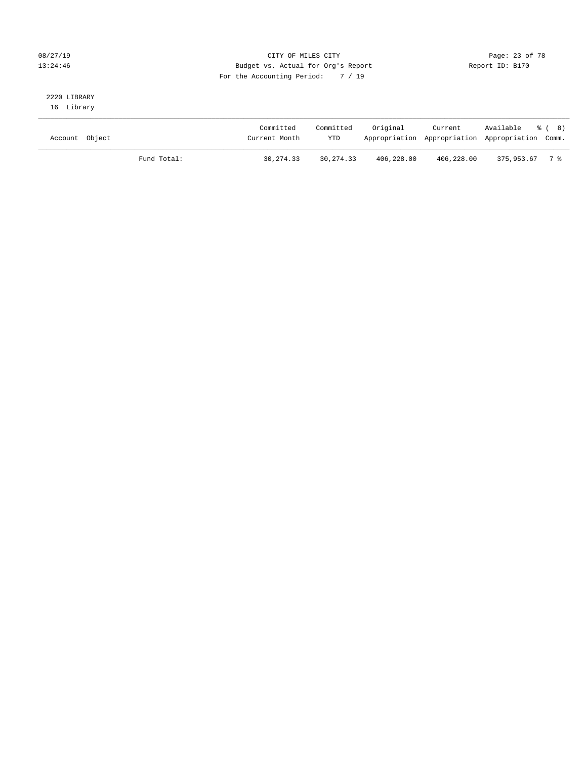### 08/27/19 Page: 23 of 78 13:24:46 Budget vs. Actual for Org's Report Changer Report ID: B170 For the Accounting Period: 7 / 19

# 2220 LIBRARY

16 Library

| Account Object |             | Committed<br>Current Month | Committed<br><b>YTD</b> | Original   | Current    | Available % (8)<br>Appropriation Appropriation Appropriation Comm. |  |
|----------------|-------------|----------------------------|-------------------------|------------|------------|--------------------------------------------------------------------|--|
|                | Fund Total: | 30, 274, 33                | 30, 274, 33             | 406,228.00 | 406,228.00 | $375.953.67$ 7 %                                                   |  |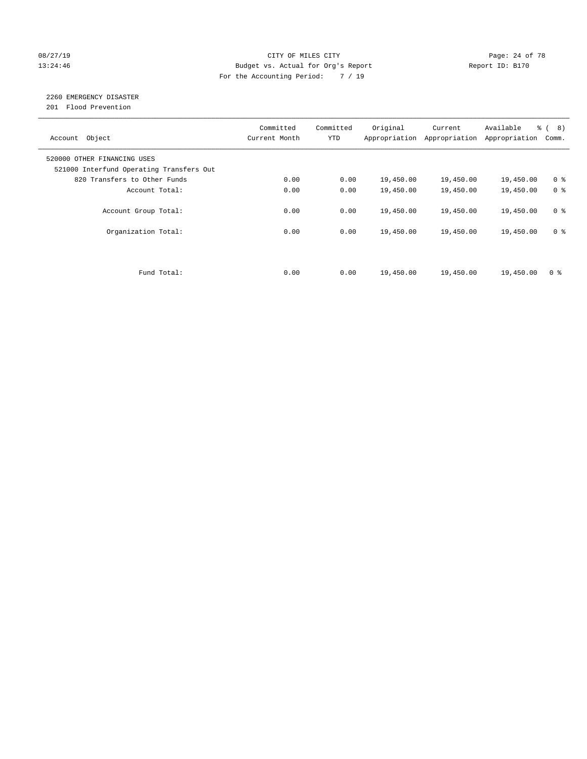#### 08/27/19 Page: 24 of 78 13:24:46 Budget vs. Actual for Org's Report Changer Report ID: B170 For the Accounting Period: 7 / 19

## 2260 EMERGENCY DISASTER

201 Flood Prevention

| Account Object                                                          | Committed<br>Current Month | Committed<br><b>YTD</b> | Original  | Current<br>Appropriation Appropriation | Available<br>Appropriation | $\frac{6}{6}$ ( 8)<br>Comm. |
|-------------------------------------------------------------------------|----------------------------|-------------------------|-----------|----------------------------------------|----------------------------|-----------------------------|
| 520000 OTHER FINANCING USES<br>521000 Interfund Operating Transfers Out |                            |                         |           |                                        |                            |                             |
| 820 Transfers to Other Funds                                            | 0.00                       | 0.00                    | 19,450.00 | 19,450.00                              | 19,450.00                  | 0 <sup>8</sup>              |
| Account Total:                                                          | 0.00                       | 0.00                    | 19,450.00 | 19,450.00                              | 19,450.00                  | 0 <sup>8</sup>              |
| Account Group Total:                                                    | 0.00                       | 0.00                    | 19,450.00 | 19,450.00                              | 19,450.00                  | 0 <sup>8</sup>              |
| Organization Total:                                                     | 0.00                       | 0.00                    | 19,450.00 | 19,450.00                              | 19,450.00                  | 0 <sup>8</sup>              |
|                                                                         |                            |                         |           |                                        |                            |                             |
| Fund Total:                                                             | 0.00                       | 0.00                    | 19,450.00 | 19,450.00                              | 19,450.00                  | 0 <sup>8</sup>              |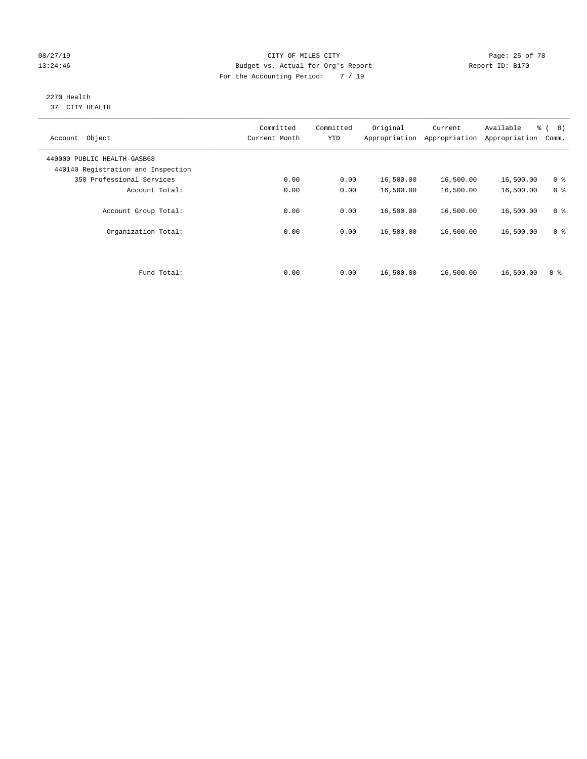#### 08/27/19 Page: 25 of 78 13:24:46 Budget vs. Actual for Org's Report Changer Report ID: B170 For the Accounting Period: 7 / 19

#### 2270 Health 37 CITY HEALTH

| Object<br>Account                                                 | Committed<br>Current Month | Committed<br><b>YTD</b> | Original<br>Appropriation | Current<br>Appropriation | Available<br>Appropriation | $\frac{6}{6}$ ( 8)<br>Comm. |
|-------------------------------------------------------------------|----------------------------|-------------------------|---------------------------|--------------------------|----------------------------|-----------------------------|
| 440000 PUBLIC HEALTH-GASB68<br>440140 Registration and Inspection |                            |                         |                           |                          |                            |                             |
| 350 Professional Services                                         | 0.00                       | 0.00                    | 16,500.00                 | 16,500.00                | 16,500.00                  | 0 <sup>8</sup>              |
| Account Total:                                                    | 0.00                       | 0.00                    | 16,500.00                 | 16,500.00                | 16,500.00                  | 0 <sup>8</sup>              |
| Account Group Total:                                              | 0.00                       | 0.00                    | 16,500.00                 | 16,500.00                | 16,500.00                  | 0 <sup>8</sup>              |
| Organization Total:                                               | 0.00                       | 0.00                    | 16,500.00                 | 16,500.00                | 16,500.00                  | 0 <sup>8</sup>              |
| Fund Total:                                                       | 0.00                       | 0.00                    | 16,500.00                 | 16,500.00                | 16,500.00                  | 0 <sup>8</sup>              |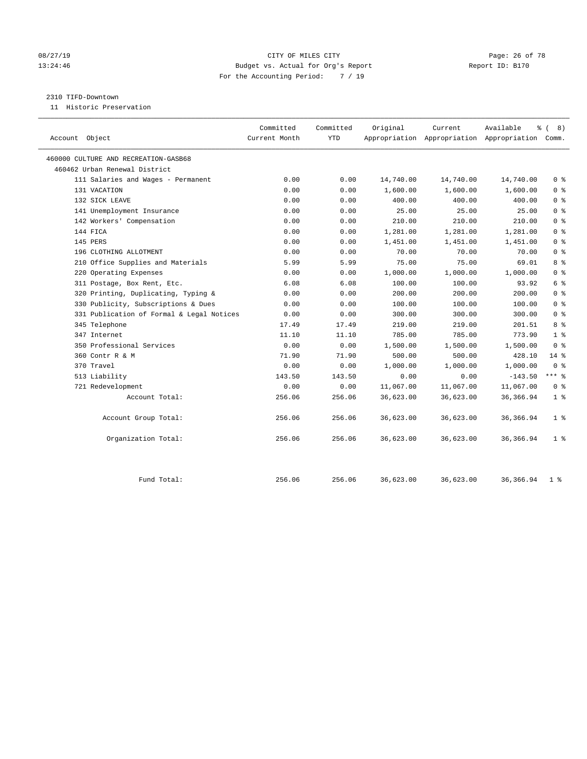#### 08/27/19 Page: 26 of 78 13:24:46 Budget vs. Actual for Org's Report Changer Report ID: B170 For the Accounting Period: 7 / 19

#### 2310 TIFD-Downtown

11 Historic Preservation

|                                           | Committed     | Committed  | Original  | Current   | Available<br>နွ                                 | 8)             |
|-------------------------------------------|---------------|------------|-----------|-----------|-------------------------------------------------|----------------|
| Account Object                            | Current Month | <b>YTD</b> |           |           | Appropriation Appropriation Appropriation Comm. |                |
| 460000 CULTURE AND RECREATION-GASB68      |               |            |           |           |                                                 |                |
| 460462 Urban Renewal District             |               |            |           |           |                                                 |                |
| 111 Salaries and Wages - Permanent        | 0.00          | 0.00       | 14,740.00 | 14,740.00 | 14,740.00                                       | 0 <sup>8</sup> |
| 131 VACATION                              | 0.00          | 0.00       | 1,600.00  | 1,600.00  | 1,600.00                                        | 0 <sup>8</sup> |
| 132 SICK LEAVE                            | 0.00          | 0.00       | 400.00    | 400.00    | 400.00                                          | 0 <sup>8</sup> |
| 141 Unemployment Insurance                | 0.00          | 0.00       | 25.00     | 25.00     | 25.00                                           | 0 <sup>8</sup> |
| 142 Workers' Compensation                 | 0.00          | 0.00       | 210.00    | 210.00    | 210.00                                          | 0 <sup>8</sup> |
| 144 FICA                                  | 0.00          | 0.00       | 1,281.00  | 1,281.00  | 1,281.00                                        | 0 <sup>8</sup> |
| 145 PERS                                  | 0.00          | 0.00       | 1,451.00  | 1,451.00  | 1,451.00                                        | 0 <sup>8</sup> |
| 196 CLOTHING ALLOTMENT                    | 0.00          | 0.00       | 70.00     | 70.00     | 70.00                                           | 0 <sup>8</sup> |
| 210 Office Supplies and Materials         | 5.99          | 5.99       | 75.00     | 75.00     | 69.01                                           | 8 %            |
| 220 Operating Expenses                    | 0.00          | 0.00       | 1,000.00  | 1,000.00  | 1,000.00                                        | 0 <sup>8</sup> |
| 311 Postage, Box Rent, Etc.               | 6.08          | 6.08       | 100.00    | 100.00    | 93.92                                           | 6 %            |
| 320 Printing, Duplicating, Typing &       | 0.00          | 0.00       | 200.00    | 200.00    | 200.00                                          | 0 <sup>8</sup> |
| 330 Publicity, Subscriptions & Dues       | 0.00          | 0.00       | 100.00    | 100.00    | 100.00                                          | 0 <sup>8</sup> |
| 331 Publication of Formal & Legal Notices | 0.00          | 0.00       | 300.00    | 300.00    | 300.00                                          | 0 <sup>8</sup> |
| 345 Telephone                             | 17.49         | 17.49      | 219.00    | 219.00    | 201.51                                          | 8 %            |
| 347 Internet                              | 11.10         | 11.10      | 785.00    | 785.00    | 773.90                                          | 1 <sup>°</sup> |
| 350 Professional Services                 | 0.00          | 0.00       | 1,500.00  | 1,500.00  | 1,500.00                                        | 0 <sup>8</sup> |
| 360 Contr R & M                           | 71.90         | 71.90      | 500.00    | 500.00    | 428.10                                          | $14*$          |
| 370 Travel                                | 0.00          | 0.00       | 1,000.00  | 1,000.00  | 1,000.00                                        | 0 <sup>8</sup> |
| 513 Liability                             | 143.50        | 143.50     | 0.00      | 0.00      | $-143.50$                                       | $***$ $%$      |
| 721 Redevelopment                         | 0.00          | 0.00       | 11,067.00 | 11,067.00 | 11,067.00                                       | 0 <sup>8</sup> |
| Account Total:                            | 256.06        | 256.06     | 36,623.00 | 36,623.00 | 36,366.94                                       | 1 <sup>°</sup> |
| Account Group Total:                      | 256.06        | 256.06     | 36,623.00 | 36,623.00 | 36, 366.94                                      | 1 <sup>°</sup> |
| Organization Total:                       | 256.06        | 256.06     | 36,623.00 | 36,623.00 | 36,366.94                                       | 1 <sup>8</sup> |
| Fund Total:                               | 256.06        | 256.06     | 36,623.00 | 36,623.00 | 36, 366.94                                      | $1 \circ$      |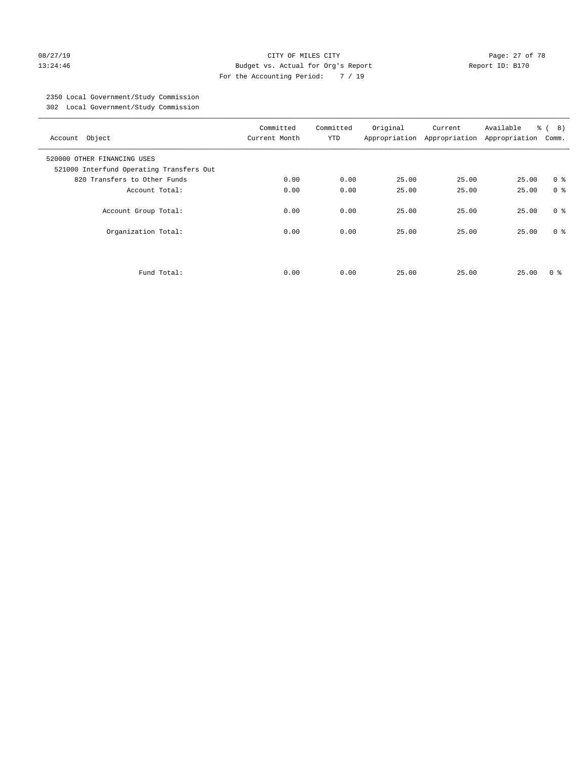#### 08/27/19 Page: 27 of 78 13:24:46 Budget vs. Actual for Org's Report Report ID: B170 For the Accounting Period: 7 / 19

## 2350 Local Government/Study Commission

302 Local Government/Study Commission

| Account Object                                                          | Committed<br>Current Month | Committed<br><b>YTD</b> | Original | Current<br>Appropriation Appropriation | Available<br>Appropriation | $\frac{6}{6}$ ( 8)<br>Comm. |
|-------------------------------------------------------------------------|----------------------------|-------------------------|----------|----------------------------------------|----------------------------|-----------------------------|
| 520000 OTHER FINANCING USES<br>521000 Interfund Operating Transfers Out |                            |                         |          |                                        |                            |                             |
| 820 Transfers to Other Funds                                            | 0.00                       | 0.00                    | 25.00    | 25.00                                  | 25.00                      | 0 <sup>8</sup>              |
| Account Total:                                                          | 0.00                       | 0.00                    | 25.00    | 25.00                                  | 25.00                      | 0 <sup>8</sup>              |
| Account Group Total:                                                    | 0.00                       | 0.00                    | 25.00    | 25.00                                  | 25.00                      | 0 <sup>8</sup>              |
| Organization Total:                                                     | 0.00                       | 0.00                    | 25.00    | 25.00                                  | 25.00                      | 0 <sup>8</sup>              |
| Fund Total:                                                             | 0.00                       | 0.00                    | 25.00    | 25.00                                  | 25.00                      | 0 ៖                         |
|                                                                         |                            |                         |          |                                        |                            |                             |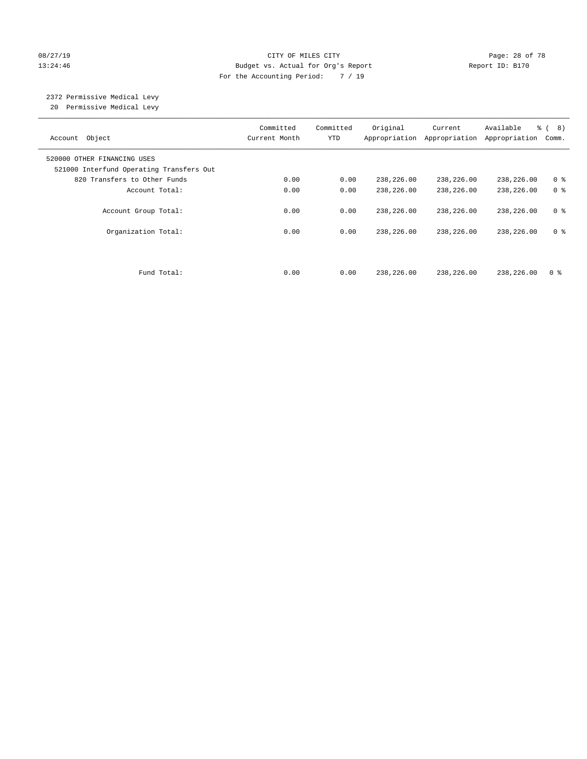#### 08/27/19 Page: 28 of 78 13:24:46 Budget vs. Actual for Org's Report Changer Report ID: B170 For the Accounting Period: 7 / 19

# 2372 Permissive Medical Levy

20 Permissive Medical Levy

| Account Object                                                          | Committed<br>Current Month | Committed<br><b>YTD</b> | Original<br>Appropriation | Current<br>Appropriation | Available<br>Appropriation | $\frac{6}{6}$ ( 8)<br>Comm. |
|-------------------------------------------------------------------------|----------------------------|-------------------------|---------------------------|--------------------------|----------------------------|-----------------------------|
| 520000 OTHER FINANCING USES<br>521000 Interfund Operating Transfers Out |                            |                         |                           |                          |                            |                             |
| 820 Transfers to Other Funds                                            | 0.00                       | 0.00                    | 238,226.00                | 238,226.00               | 238,226.00                 | 0 <sup>8</sup>              |
| Account Total:                                                          | 0.00                       | 0.00                    | 238,226.00                | 238,226.00               | 238,226.00                 | 0 <sup>8</sup>              |
| Account Group Total:                                                    | 0.00                       | 0.00                    | 238,226.00                | 238,226.00               | 238,226.00                 | 0 <sup>8</sup>              |
| Organization Total:                                                     | 0.00                       | 0.00                    | 238,226.00                | 238,226.00               | 238,226.00                 | 0 <sup>8</sup>              |
|                                                                         |                            |                         |                           |                          |                            |                             |
| Fund Total:                                                             | 0.00                       | 0.00                    | 238,226.00                | 238,226.00               | 238,226.00                 | 0 %                         |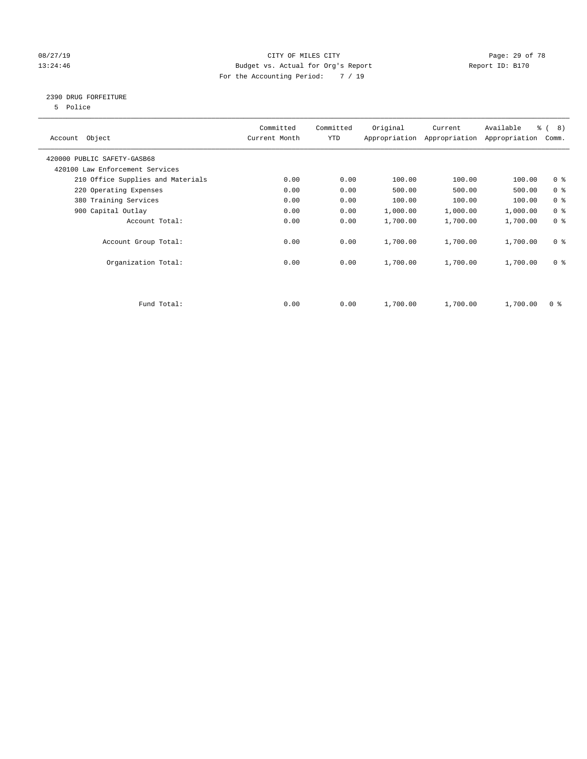#### 08/27/19 Page: 29 of 78 13:24:46 Budget vs. Actual for Org's Report Changer Report ID: B170 For the Accounting Period: 7 / 19

#### 2390 DRUG FORFEITURE

5 Police

| Account Object                    | Committed<br>Current Month | Committed<br>YTD | Original | Current<br>Appropriation Appropriation | Available<br>Appropriation | $\frac{6}{6}$ ( 8)<br>Comm. |
|-----------------------------------|----------------------------|------------------|----------|----------------------------------------|----------------------------|-----------------------------|
| 420000 PUBLIC SAFETY-GASB68       |                            |                  |          |                                        |                            |                             |
| 420100 Law Enforcement Services   |                            |                  |          |                                        |                            |                             |
| 210 Office Supplies and Materials | 0.00                       | 0.00             | 100.00   | 100.00                                 | 100.00                     | 0 <sub>8</sub>              |
| 220 Operating Expenses            | 0.00                       | 0.00             | 500.00   | 500.00                                 | 500.00                     | 0 <sup>8</sup>              |
| 380 Training Services             | 0.00                       | 0.00             | 100.00   | 100.00                                 | 100.00                     | 0 <sup>8</sup>              |
| 900 Capital Outlay                | 0.00                       | 0.00             | 1,000.00 | 1,000.00                               | 1,000.00                   | 0 <sup>8</sup>              |
| Account Total:                    | 0.00                       | 0.00             | 1,700.00 | 1,700.00                               | 1,700.00                   | 0 <sup>8</sup>              |
| Account Group Total:              | 0.00                       | 0.00             | 1,700.00 | 1,700.00                               | 1,700.00                   | 0 <sup>8</sup>              |
| Organization Total:               | 0.00                       | 0.00             | 1,700.00 | 1,700.00                               | 1,700.00                   | 0 <sup>8</sup>              |
|                                   |                            |                  |          |                                        |                            |                             |
| Fund Total:                       | 0.00                       | 0.00             | 1,700.00 | 1,700.00                               | 1,700.00                   | 0 %                         |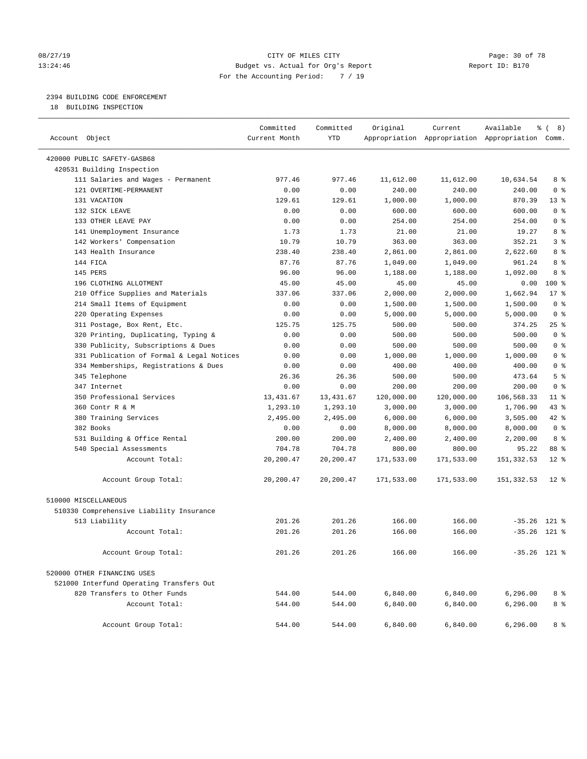#### 08/27/19 **Page: 30 of 78** CITY OF MILES CITY **Page: 30 of 78** 13:24:46 Budget vs. Actual for Org's Report Changer Report ID: B170 For the Accounting Period: 7 / 19

### 2394 BUILDING CODE ENFORCEMENT

18 BUILDING INSPECTION

| Account Object                            | Committed<br>Current Month | Committed<br><b>YTD</b> | Original   | Current    | Available<br>Appropriation Appropriation Appropriation Comm. | $\frac{6}{6}$ ( 8) |
|-------------------------------------------|----------------------------|-------------------------|------------|------------|--------------------------------------------------------------|--------------------|
| 420000 PUBLIC SAFETY-GASB68               |                            |                         |            |            |                                                              |                    |
| 420531 Building Inspection                |                            |                         |            |            |                                                              |                    |
| 111 Salaries and Wages - Permanent        | 977.46                     | 977.46                  | 11,612.00  | 11,612.00  | 10,634.54                                                    | 8 %                |
| 121 OVERTIME-PERMANENT                    | 0.00                       | 0.00                    | 240.00     | 240.00     | 240.00                                                       | 0 <sup>8</sup>     |
| 131 VACATION                              | 129.61                     | 129.61                  | 1,000.00   | 1,000.00   | 870.39                                                       | $13*$              |
| 132 SICK LEAVE                            | 0.00                       | 0.00                    | 600.00     | 600.00     | 600.00                                                       | 0 <sup>8</sup>     |
| 133 OTHER LEAVE PAY                       | 0.00                       | 0.00                    | 254.00     | 254.00     | 254.00                                                       | 0 <sup>8</sup>     |
| 141 Unemployment Insurance                | 1.73                       | 1.73                    | 21.00      | 21.00      | 19.27                                                        | 8 %                |
| 142 Workers' Compensation                 | 10.79                      | 10.79                   | 363.00     | 363.00     | 352.21                                                       | 3 <sup>8</sup>     |
| 143 Health Insurance                      | 238.40                     | 238.40                  | 2,861.00   | 2,861.00   | 2,622.60                                                     | 8 %                |
| 144 FICA                                  | 87.76                      | 87.76                   | 1,049.00   | 1,049.00   | 961.24                                                       | 8 %                |
| 145 PERS                                  | 96.00                      | 96.00                   | 1,188.00   | 1,188.00   | 1,092.00                                                     | 8 %                |
| 196 CLOTHING ALLOTMENT                    | 45.00                      | 45.00                   | 45.00      | 45.00      | 0.00                                                         | $100*$             |
| 210 Office Supplies and Materials         | 337.06                     | 337.06                  | 2,000.00   | 2,000.00   | 1,662.94                                                     | $17*$              |
| 214 Small Items of Equipment              | 0.00                       | 0.00                    | 1,500.00   | 1,500.00   | 1,500.00                                                     | 0 <sup>8</sup>     |
| 220 Operating Expenses                    | 0.00                       | 0.00                    | 5,000.00   | 5,000.00   | 5,000.00                                                     | 0 <sup>8</sup>     |
| 311 Postage, Box Rent, Etc.               | 125.75                     | 125.75                  | 500.00     | 500.00     | 374.25                                                       | 25%                |
| 320 Printing, Duplicating, Typing &       | 0.00                       | 0.00                    | 500.00     | 500.00     | 500.00                                                       | 0 <sup>8</sup>     |
| 330 Publicity, Subscriptions & Dues       | 0.00                       | 0.00                    | 500.00     | 500.00     | 500.00                                                       | 0 <sup>8</sup>     |
| 331 Publication of Formal & Legal Notices | 0.00                       | 0.00                    | 1,000.00   | 1,000.00   | 1,000.00                                                     | 0 <sup>8</sup>     |
| 334 Memberships, Registrations & Dues     | 0.00                       | 0.00                    | 400.00     | 400.00     | 400.00                                                       | 0 <sup>8</sup>     |
| 345 Telephone                             | 26.36                      | 26.36                   | 500.00     | 500.00     | 473.64                                                       | 5 <sup>8</sup>     |
| 347 Internet                              | 0.00                       | 0.00                    | 200.00     | 200.00     | 200.00                                                       | 0 <sup>8</sup>     |
| 350 Professional Services                 | 13, 431.67                 | 13,431.67               | 120,000.00 | 120,000.00 | 106,568.33                                                   | $11$ %             |
| 360 Contr R & M                           | 1,293.10                   | 1,293.10                | 3,000.00   | 3,000.00   | 1,706.90                                                     | 43 %               |
| 380 Training Services                     | 2,495.00                   | 2,495.00                | 6,000.00   | 6,000.00   | 3,505.00                                                     | 42.8               |
| 382 Books                                 | 0.00                       | 0.00                    | 8,000.00   | 8,000.00   | 8,000.00                                                     | 0 <sup>8</sup>     |
| 531 Building & Office Rental              | 200.00                     | 200.00                  | 2,400.00   | 2,400.00   | 2,200.00                                                     | 8 %                |
| 540 Special Assessments                   | 704.78                     | 704.78                  | 800.00     | 800.00     | 95.22                                                        | 88 %               |
| Account Total:                            | 20,200.47                  | 20,200.47               | 171,533.00 | 171,533.00 | 151, 332.53                                                  | $12*$              |
| Account Group Total:                      | 20,200.47                  | 20,200.47               | 171,533.00 | 171,533.00 | 151,332.53                                                   | $12$ %             |
| 510000 MISCELLANEOUS                      |                            |                         |            |            |                                                              |                    |
| 510330 Comprehensive Liability Insurance  |                            |                         |            |            |                                                              |                    |
| 513 Liability                             | 201.26                     | 201.26                  | 166.00     | 166.00     | $-35.26$                                                     | $121$ %            |
| Account Total:                            | 201.26                     | 201.26                  | 166.00     | 166.00     | $-35.26$ 121 %                                               |                    |
|                                           |                            |                         |            |            |                                                              |                    |
| Account Group Total:                      | 201.26                     | 201.26                  | 166.00     | 166.00     | $-35.26$ 121 %                                               |                    |
| 520000 OTHER FINANCING USES               |                            |                         |            |            |                                                              |                    |
| 521000 Interfund Operating Transfers Out  |                            |                         |            |            |                                                              |                    |
| 820 Transfers to Other Funds              | 544.00                     | 544.00                  | 6,840.00   | 6,840.00   | 6,296.00                                                     | 8 %                |
| Account Total:                            | 544.00                     | 544.00                  | 6,840.00   | 6,840.00   | 6,296.00                                                     | 8 %                |
| Account Group Total:                      | 544.00                     | 544.00                  | 6,840.00   | 6,840.00   | 6,296.00                                                     | 8 %                |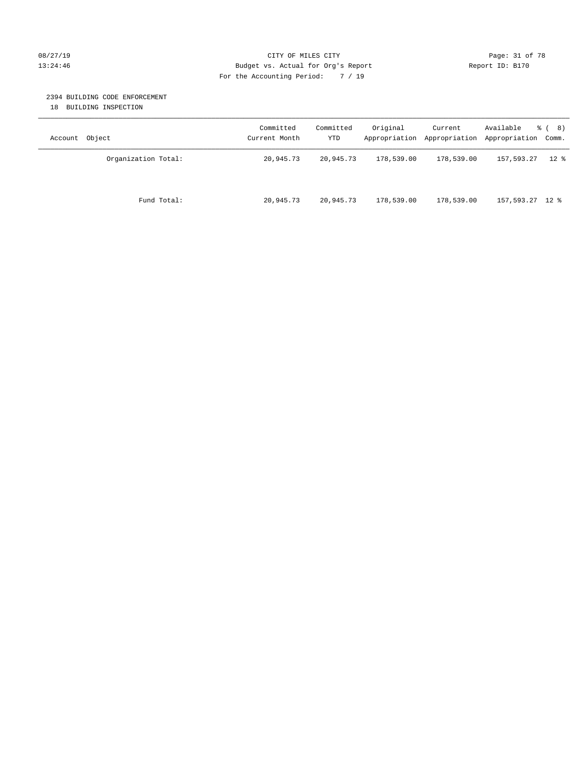#### 08/27/19 Page: 31 of 78 CITY OF MILES CITY CHE PAGE: 31 of 78 13:24:46 Budget vs. Actual for Org's Report Changer Report ID: B170 For the Accounting Period: 7 / 19

#### 2394 BUILDING CODE ENFORCEMENT

18 BUILDING INSPECTION

| Account Object      | Committed<br>Current Month | Committed<br>YTD | Original   | Current<br>Appropriation Appropriation Appropriation Comm. | Available       | <sub>රී</sub> ( 8 ) |
|---------------------|----------------------------|------------------|------------|------------------------------------------------------------|-----------------|---------------------|
| Organization Total: | 20,945.73                  | 20,945.73        | 178,539.00 | 178,539.00                                                 | 157,593.27      | $12 \text{ }$ %     |
| Fund Total:         | 20,945.73                  | 20,945.73        | 178,539.00 | 178,539.00                                                 | 157,593.27 12 % |                     |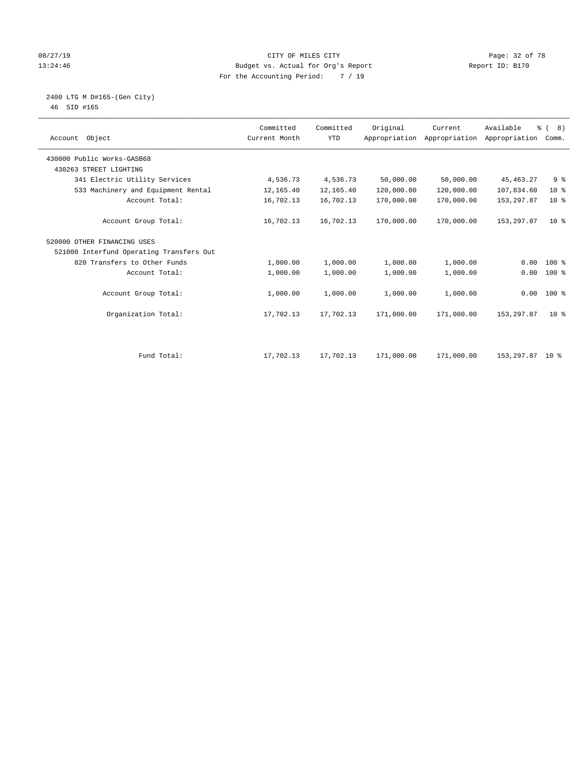#### 08/27/19 **Page: 32 of 78** CITY OF MILES CITY **Page: 32 of 78** 13:24:46 Budget vs. Actual for Org's Report Changer Report ID: B170 For the Accounting Period: 7 / 19

 2400 LTG M D#165-(Gen City) 46 SID #165

| Account Object                           | Committed<br>Current Month | Committed<br><b>YTD</b> | Original   | Current<br>Appropriation Appropriation | Available<br>Appropriation | $\frac{6}{6}$ ( 8)<br>Comm. |
|------------------------------------------|----------------------------|-------------------------|------------|----------------------------------------|----------------------------|-----------------------------|
| 430000 Public Works-GASB68               |                            |                         |            |                                        |                            |                             |
| 430263 STREET LIGHTING                   |                            |                         |            |                                        |                            |                             |
| 341 Electric Utility Services            | 4,536.73                   | 4,536.73                | 50,000.00  | 50,000.00                              | 45, 463. 27                | 9 <sup>°</sup>              |
| 533 Machinery and Equipment Rental       | 12,165.40                  | 12,165.40               | 120,000.00 | 120,000.00                             | 107,834.60                 | $10*$                       |
| Account Total:                           | 16,702.13                  | 16,702.13               | 170,000.00 | 170,000.00                             | 153, 297.87                | $10*$                       |
| Account Group Total:                     | 16,702.13                  | 16,702.13               | 170,000.00 | 170,000.00                             | 153,297.87                 | 10 <sup>8</sup>             |
| 520000 OTHER FINANCING USES              |                            |                         |            |                                        |                            |                             |
| 521000 Interfund Operating Transfers Out |                            |                         |            |                                        |                            |                             |
| 820 Transfers to Other Funds             | 1,000.00                   | 1,000.00                | 1,000.00   | 1,000.00                               | 0.00                       | 100 %                       |
| Account Total:                           | 1,000.00                   | 1,000.00                | 1,000.00   | 1,000.00                               | 0.00                       | $100$ %                     |
| Account Group Total:                     | 1,000.00                   | 1,000.00                | 1,000.00   | 1,000.00                               | 0.00                       | $100*$                      |
| Organization Total:                      | 17,702.13                  | 17,702.13               | 171,000.00 | 171,000.00                             | 153, 297.87                | 10 <sup>8</sup>             |
|                                          |                            |                         |            |                                        |                            |                             |
| Fund Total:                              | 17,702.13                  | 17,702.13               | 171,000.00 | 171,000.00                             | 153,297.87 10 %            |                             |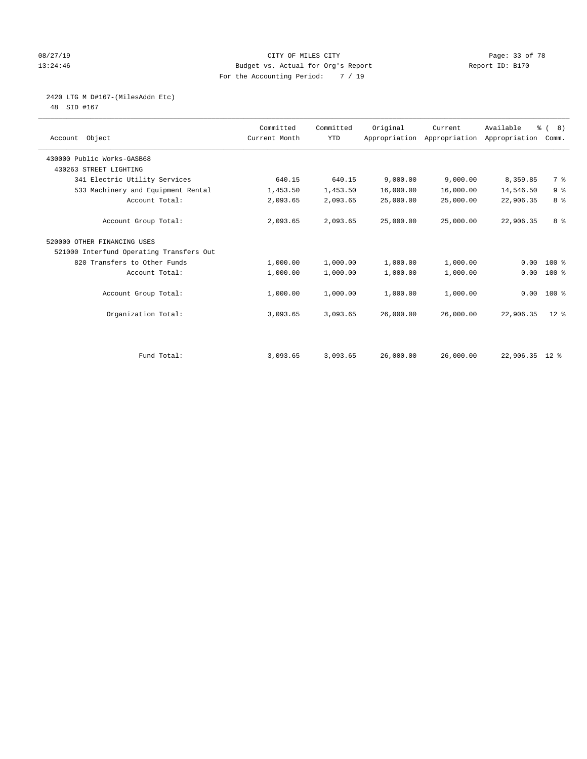#### 08/27/19 Page: 33 of 78 CITY OF MILES CITY CHANGES CONSTRUCTED And the Page: 33 of 78 13:24:46 Budget vs. Actual for Org's Report Changer Report ID: B170 For the Accounting Period: 7 / 19

# 2420 LTG M D#167-(MilesAddn Etc)

48 SID #167

| Object<br>Account                        | Committed<br>Current Month | Committed<br><b>YTD</b> | Original  | Current<br>Appropriation Appropriation | Available<br>Appropriation | $\frac{6}{6}$ ( 8)<br>Comm. |  |
|------------------------------------------|----------------------------|-------------------------|-----------|----------------------------------------|----------------------------|-----------------------------|--|
| 430000 Public Works-GASB68               |                            |                         |           |                                        |                            |                             |  |
| 430263 STREET LIGHTING                   |                            |                         |           |                                        |                            |                             |  |
| 341 Electric Utility Services            | 640.15                     | 640.15                  | 9,000.00  | 9,000.00                               | 8,359.85                   | 7 %                         |  |
| 533 Machinery and Equipment Rental       | 1,453.50                   | 1,453.50                | 16,000.00 | 16,000.00                              | 14,546.50                  | 9 <sup>°</sup>              |  |
| Account Total:                           | 2,093.65                   | 2,093.65                | 25,000.00 | 25,000.00                              | 22,906.35                  | 8 <sup>°</sup>              |  |
| Account Group Total:                     | 2,093.65                   | 2,093.65                | 25,000.00 | 25,000.00                              | 22,906.35                  | 8 <sup>8</sup>              |  |
| 520000 OTHER FINANCING USES              |                            |                         |           |                                        |                            |                             |  |
| 521000 Interfund Operating Transfers Out |                            |                         |           |                                        |                            |                             |  |
| 820 Transfers to Other Funds             | 1,000.00                   | 1,000.00                | 1,000.00  | 1,000.00                               | 0.00                       | $100$ %                     |  |
| Account Total:                           | 1,000.00                   | 1,000.00                | 1,000.00  | 1,000.00                               | 0.00                       | $100$ %                     |  |
| Account Group Total:                     | 1,000.00                   | 1,000.00                | 1,000.00  | 1,000.00                               | 0.00                       | $100*$                      |  |
| Organization Total:                      | 3,093.65                   | 3,093.65                | 26,000.00 | 26,000.00                              | 22,906.35                  | $12*$                       |  |
|                                          |                            |                         |           |                                        |                            |                             |  |
| Fund Total:                              | 3,093.65                   | 3,093.65                | 26,000.00 | 26,000.00                              | 22,906.35 12 %             |                             |  |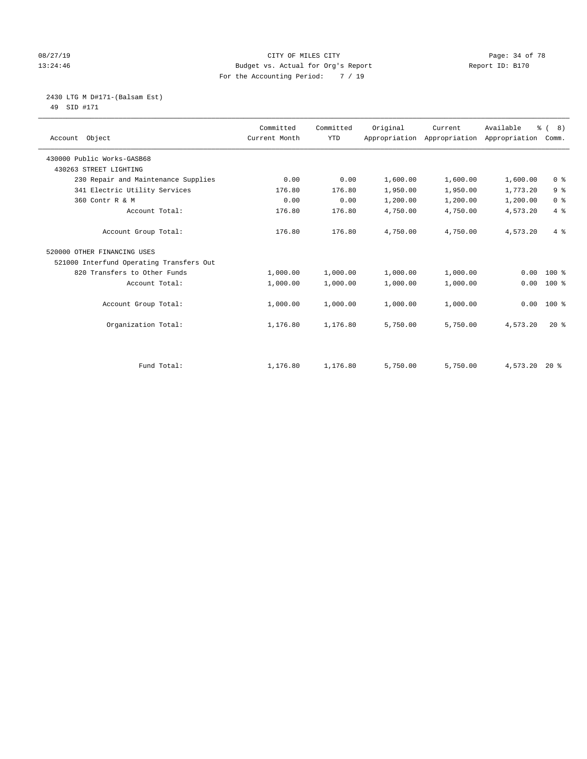#### 08/27/19 Page: 34 of 78 CITY OF MILES CITY CHECK PAGE: 34 of 78 13:24:46 Budget vs. Actual for Org's Report Report ID: B170 For the Accounting Period: 7 / 19

 2430 LTG M D#171-(Balsam Est) 49 SID #171

| Account Object                           | Committed<br>Current Month | Committed<br><b>YTD</b> | Original | Current<br>Appropriation Appropriation | Available<br>Appropriation | $\frac{6}{6}$ ( 8)<br>Comm. |
|------------------------------------------|----------------------------|-------------------------|----------|----------------------------------------|----------------------------|-----------------------------|
| 430000 Public Works-GASB68               |                            |                         |          |                                        |                            |                             |
| 430263 STREET LIGHTING                   |                            |                         |          |                                        |                            |                             |
| 230 Repair and Maintenance Supplies      | 0.00                       | 0.00                    | 1,600.00 | 1,600.00                               | 1,600.00                   | 0 <sup>8</sup>              |
| 341 Electric Utility Services            | 176.80                     | 176.80                  | 1,950.00 | 1,950.00                               | 1,773.20                   | 9 <sup>°</sup>              |
| 360 Contr R & M                          | 0.00                       | 0.00                    | 1,200.00 | 1,200.00                               | 1,200.00                   | 0 <sup>8</sup>              |
| Account Total:                           | 176.80                     | 176.80                  | 4,750.00 | 4,750.00                               | 4,573.20                   | 4%                          |
| Account Group Total:                     | 176.80                     | 176.80                  | 4,750.00 | 4,750.00                               | 4,573.20                   | 4%                          |
| 520000 OTHER FINANCING USES              |                            |                         |          |                                        |                            |                             |
| 521000 Interfund Operating Transfers Out |                            |                         |          |                                        |                            |                             |
| 820 Transfers to Other Funds             | 1,000.00                   | 1,000.00                | 1,000.00 | 1,000.00                               | 0.00                       | $100*$                      |
| Account Total:                           | 1,000.00                   | 1,000.00                | 1,000.00 | 1,000.00                               | 0.00                       | $100*$                      |
| Account Group Total:                     | 1,000.00                   | 1,000.00                | 1,000.00 | 1,000.00                               | 0.00                       | $100$ %                     |
| Organization Total:                      | 1,176.80                   | 1,176.80                | 5,750.00 | 5,750.00                               | 4,573.20                   | $20*$                       |
|                                          |                            |                         |          |                                        |                            |                             |
| Fund Total:                              | 1,176.80                   | 1,176.80                | 5,750.00 | 5,750.00                               | 4,573.20                   | $20*$                       |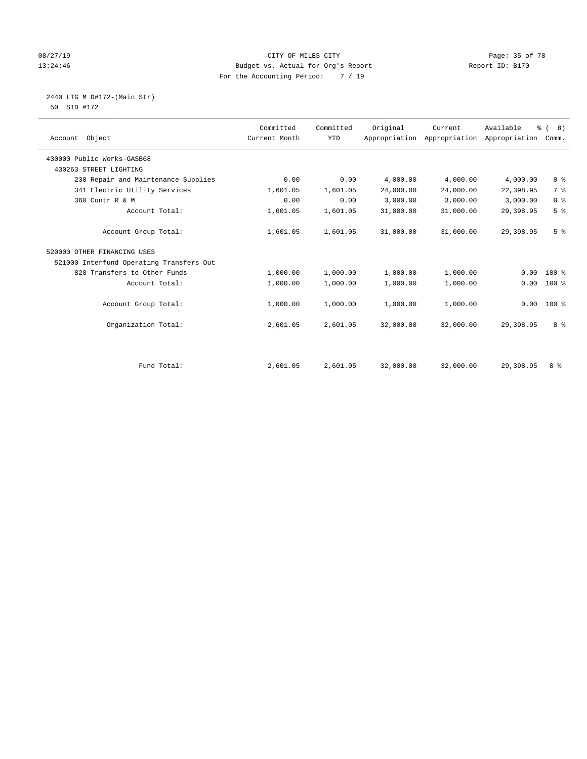#### 08/27/19 Page: 35 of 78 CITY OF MILES CITY CHECK PAGE: 35 of 78 13:24:46 Budget vs. Actual for Org's Report Changer Report ID: B170 For the Accounting Period: 7 / 19

 2440 LTG M D#172-(Main Str) 50 SID #172

| Account Object                           | Committed<br>Current Month | Committed<br><b>YTD</b> | Original  | Current<br>Appropriation Appropriation | Available<br>Appropriation | % (8)<br>Comm. |
|------------------------------------------|----------------------------|-------------------------|-----------|----------------------------------------|----------------------------|----------------|
| 430000 Public Works-GASB68               |                            |                         |           |                                        |                            |                |
| 430263 STREET LIGHTING                   |                            |                         |           |                                        |                            |                |
| 230 Repair and Maintenance Supplies      | 0.00                       | 0.00                    | 4,000.00  | 4,000.00                               | 4,000.00                   | 0 <sup>8</sup> |
| 341 Electric Utility Services            | 1,601.05                   | 1,601.05                | 24,000.00 | 24,000.00                              | 22,398.95                  | 7 <sup>°</sup> |
| 360 Contr R & M                          | 0.00                       | 0.00                    | 3,000.00  | 3,000.00                               | 3,000.00                   | 0 <sup>8</sup> |
| Account Total:                           | 1,601.05                   | 1,601.05                | 31,000.00 | 31,000.00                              | 29,398.95                  | 5 <sup>°</sup> |
| Account Group Total:                     | 1,601.05                   | 1,601.05                | 31,000.00 | 31,000.00                              | 29,398.95                  | 5 <sup>°</sup> |
| 520000 OTHER FINANCING USES              |                            |                         |           |                                        |                            |                |
| 521000 Interfund Operating Transfers Out |                            |                         |           |                                        |                            |                |
| 820 Transfers to Other Funds             | 1,000.00                   | 1,000.00                | 1,000.00  | 1,000.00                               | 0.00                       | $100$ %        |
| Account Total:                           | 1,000.00                   | 1,000.00                | 1,000.00  | 1,000.00                               | 0.00                       | 100 %          |
| Account Group Total:                     | 1,000.00                   | 1,000.00                | 1,000.00  | 1,000.00                               | 0.00                       | $100*$         |
| Organization Total:                      | 2,601.05                   | 2,601.05                | 32,000.00 | 32,000.00                              | 29,398.95                  | 8 %            |
|                                          |                            |                         |           |                                        |                            |                |
| Fund Total:                              | 2,601.05                   | 2,601.05                | 32,000.00 | 32,000.00                              | 29,398.95                  | 8 %            |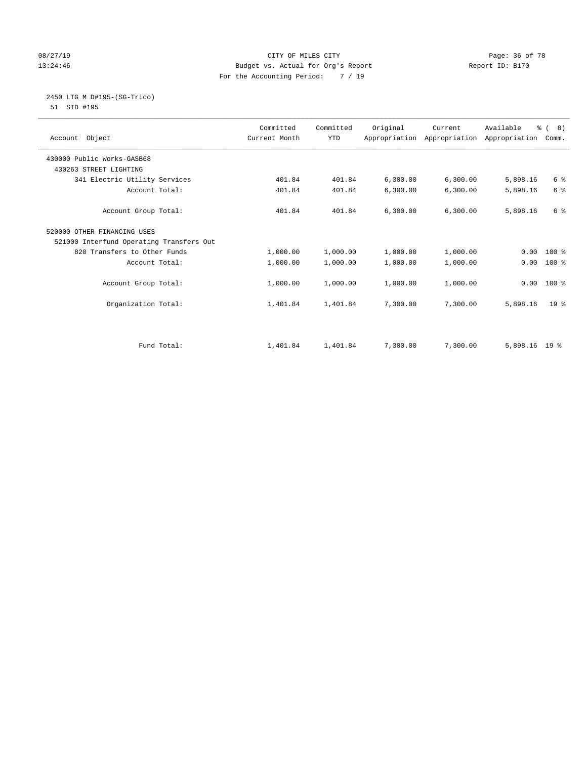#### 08/27/19 **Page: 36 of 78** CITY OF MILES CITY **Page: 36 of 78** 13:24:46 Budget vs. Actual for Org's Report Changer Report ID: B170 For the Accounting Period: 7 / 19

# 2450 LTG M D#195-(SG-Trico)

51 SID #195

| Account Object                           | Committed<br>Current Month | Committed<br><b>YTD</b> | Original | Current<br>Appropriation Appropriation Appropriation | Available     | $\frac{6}{6}$ ( 8)<br>Comm. |
|------------------------------------------|----------------------------|-------------------------|----------|------------------------------------------------------|---------------|-----------------------------|
| 430000 Public Works-GASB68               |                            |                         |          |                                                      |               |                             |
| 430263 STREET LIGHTING                   |                            |                         |          |                                                      |               |                             |
| 341 Electric Utility Services            | 401.84                     | 401.84                  | 6,300.00 | 6,300.00                                             | 5,898.16      | 6 <sup>°</sup>              |
| Account Total:                           | 401.84                     | 401.84                  | 6,300.00 | 6, 300.00                                            | 5,898.16      | 6 %                         |
| Account Group Total:                     | 401.84                     | 401.84                  | 6,300.00 | 6,300.00                                             | 5,898.16      | 6 %                         |
| 520000 OTHER FINANCING USES              |                            |                         |          |                                                      |               |                             |
| 521000 Interfund Operating Transfers Out |                            |                         |          |                                                      |               |                             |
| 820 Transfers to Other Funds             | 1,000.00                   | 1,000.00                | 1,000.00 | 1,000.00                                             | 0.00          | $100*$                      |
| Account Total:                           | 1,000.00                   | 1,000.00                | 1,000.00 | 1,000.00                                             | 0.00          | $100*$                      |
| Account Group Total:                     | 1,000.00                   | 1,000.00                | 1,000.00 | 1,000.00                                             | 0.00          | $100*$                      |
| Organization Total:                      | 1,401.84                   | 1,401.84                | 7,300.00 | 7,300.00                                             | 5,898.16      | 19 <sup>8</sup>             |
|                                          |                            |                         |          |                                                      |               |                             |
| Fund Total:                              | 1,401.84                   | 1,401.84                | 7,300.00 | 7,300.00                                             | 5,898.16 19 % |                             |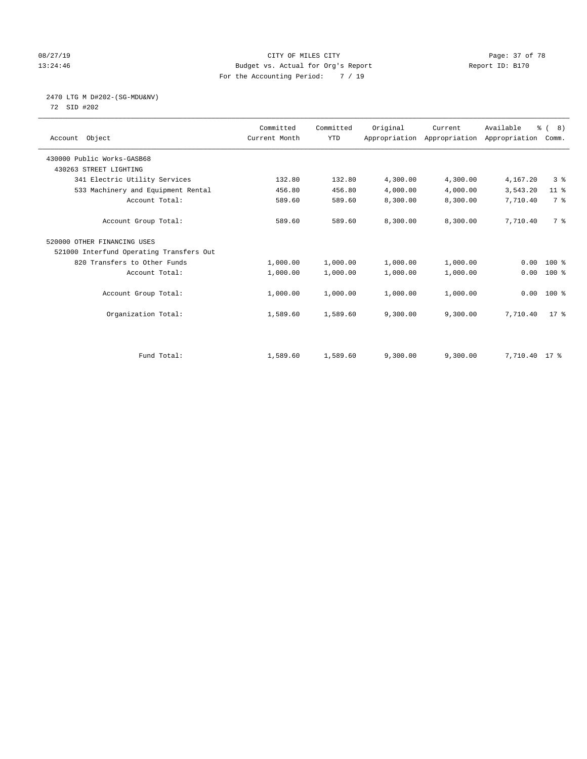#### 08/27/19 Page: 37 of 78 13:24:46 Budget vs. Actual for Org's Report Changer Report ID: B170 For the Accounting Period: 7 / 19

# 2470 LTG M D#202-(SG-MDU&NV)

72 SID #202

| Object<br>Account                        | Committed<br>Current Month | Committed<br><b>YTD</b> | Original | Current<br>Appropriation Appropriation | Available<br>Appropriation | $\frac{6}{6}$ ( 8)<br>Comm. |
|------------------------------------------|----------------------------|-------------------------|----------|----------------------------------------|----------------------------|-----------------------------|
| 430000 Public Works-GASB68               |                            |                         |          |                                        |                            |                             |
| 430263 STREET LIGHTING                   |                            |                         |          |                                        |                            |                             |
| 341 Electric Utility Services            | 132.80                     | 132.80                  | 4,300.00 | 4,300.00                               | 4,167.20                   | 3 <sup>8</sup>              |
| 533 Machinery and Equipment Rental       | 456.80                     | 456.80                  | 4,000.00 | 4,000.00                               | 3,543.20                   | $11$ %                      |
| Account Total:                           | 589.60                     | 589.60                  | 8,300.00 | 8,300.00                               | 7,710.40                   | 7 %                         |
| Account Group Total:                     | 589.60                     | 589.60                  | 8,300.00 | 8,300.00                               | 7,710.40                   | 7 %                         |
| 520000 OTHER FINANCING USES              |                            |                         |          |                                        |                            |                             |
| 521000 Interfund Operating Transfers Out |                            |                         |          |                                        |                            |                             |
| 820 Transfers to Other Funds             | 1,000.00                   | 1,000.00                | 1,000.00 | 1,000.00                               | 0.00                       | $100*$                      |
| Account Total:                           | 1,000.00                   | 1,000.00                | 1,000.00 | 1,000.00                               | 0.00                       | $100$ %                     |
| Account Group Total:                     | 1,000.00                   | 1,000.00                | 1,000.00 | 1,000.00                               | 0.00                       | $100*$                      |
| Organization Total:                      | 1,589.60                   | 1,589.60                | 9,300.00 | 9,300.00                               | 7,710.40                   | $17*$                       |
|                                          |                            |                         |          |                                        |                            |                             |
| Fund Total:                              | 1,589.60                   | 1,589.60                | 9,300.00 | 9,300.00                               | 7,710.40 17 %              |                             |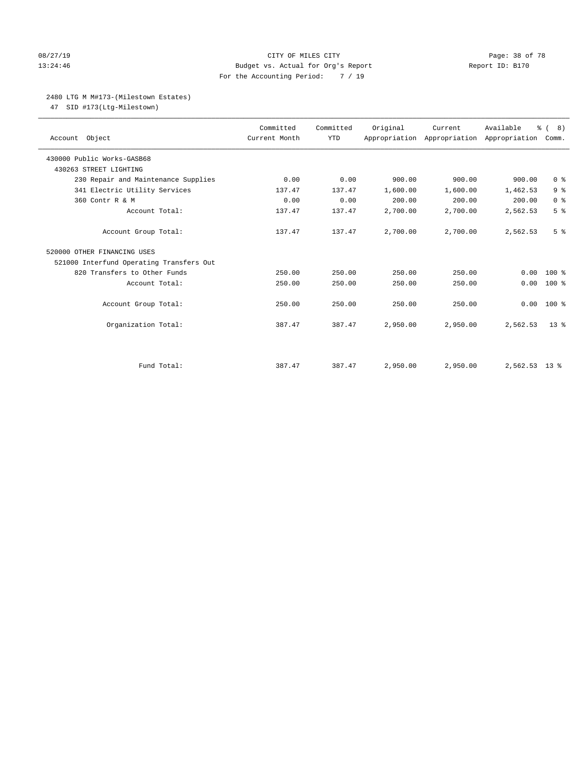#### 08/27/19 **Page: 38 of 78** CITY OF MILES CITY **Page: 38 of 78** 13:24:46 Budget vs. Actual for Org's Report Changer Report ID: B170 For the Accounting Period: 7 / 19

#### 2480 LTG M M#173-(Milestown Estates)

47 SID #173(Ltg-Milestown)

| Account Object                           | Committed<br>Current Month | Committed<br><b>YTD</b> | Original | Current<br>Appropriation Appropriation Appropriation | Available     | % (8)<br>Comm. |
|------------------------------------------|----------------------------|-------------------------|----------|------------------------------------------------------|---------------|----------------|
| 430000 Public Works-GASB68               |                            |                         |          |                                                      |               |                |
| 430263 STREET LIGHTING                   |                            |                         |          |                                                      |               |                |
| 230 Repair and Maintenance Supplies      | 0.00                       | 0.00                    | 900.00   | 900.00                                               | 900.00        | 0 <sup>8</sup> |
| 341 Electric Utility Services            | 137.47                     | 137.47                  | 1,600.00 | 1,600.00                                             | 1,462.53      | 9 <sup>°</sup> |
| 360 Contr R & M                          | 0.00                       | 0.00                    | 200.00   | 200.00                                               | 200.00        | 0 <sup>8</sup> |
| Account Total:                           | 137.47                     | 137.47                  | 2,700.00 | 2,700.00                                             | 2,562.53      | 5 <sup>°</sup> |
| Account Group Total:                     | 137.47                     | 137.47                  | 2,700.00 | 2,700.00                                             | 2,562.53      | 5 <sup>°</sup> |
| 520000 OTHER FINANCING USES              |                            |                         |          |                                                      |               |                |
| 521000 Interfund Operating Transfers Out |                            |                         |          |                                                      |               |                |
| 820 Transfers to Other Funds             | 250.00                     | 250.00                  | 250.00   | 250.00                                               | 0.00          | $100*$         |
| Account Total:                           | 250.00                     | 250.00                  | 250.00   | 250.00                                               | 0.00          | $100$ %        |
| Account Group Total:                     | 250.00                     | 250.00                  | 250.00   | 250.00                                               | 0.00          | $100*$         |
| Organization Total:                      | 387.47                     | 387.47                  | 2,950.00 | 2,950.00                                             | 2,562.53      | $13*$          |
|                                          |                            |                         |          |                                                      |               |                |
| Fund Total:                              | 387.47                     | 387.47                  | 2,950.00 | 2,950.00                                             | 2,562.53 13 % |                |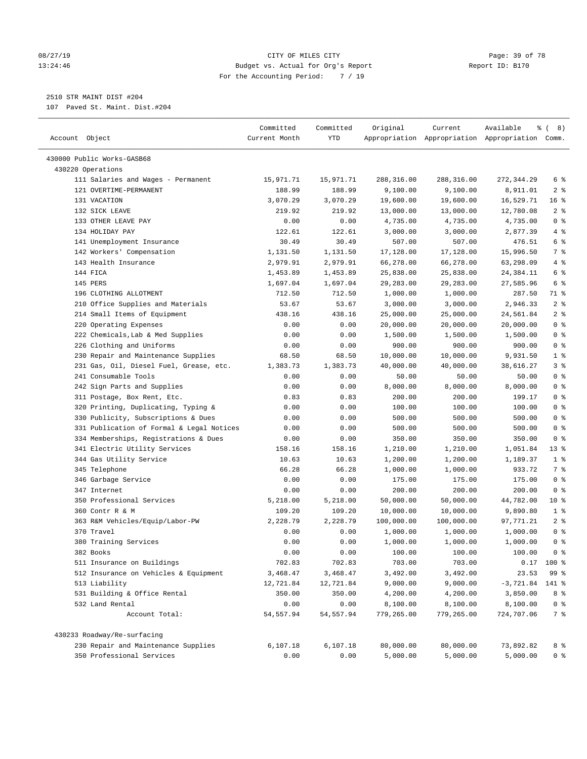#### 08/27/19 Page: 39 of 78 CITY OF MILES CITY CONTROL PAGE: 39 of 78 13:24:46 Budget vs. Actual for Org's Report Report ID: B170 For the Accounting Period: 7 / 19

————————————————————————————————————————————————————————————————————————————————————————————————————————————————————————————————————

2510 STR MAINT DIST #204

107 Paved St. Maint. Dist.#204

|                                           | Committed     | Committed | Original   | Current    | Available                                       | ී (<br>8)      |  |
|-------------------------------------------|---------------|-----------|------------|------------|-------------------------------------------------|----------------|--|
| Account Object                            | Current Month | YTD       |            |            | Appropriation Appropriation Appropriation Comm. |                |  |
| 430000 Public Works-GASB68                |               |           |            |            |                                                 |                |  |
| 430220 Operations                         |               |           |            |            |                                                 |                |  |
| 111 Salaries and Wages - Permanent        | 15,971.71     | 15,971.71 | 288,316.00 | 288,316.00 | 272,344.29                                      | 6 %            |  |
| 121 OVERTIME-PERMANENT                    | 188.99        | 188.99    | 9,100.00   | 9,100.00   | 8,911.01                                        | 2 <sup>8</sup> |  |
| 131 VACATION                              | 3,070.29      | 3,070.29  | 19,600.00  | 19,600.00  | 16,529.71                                       | 16%            |  |
| 132 SICK LEAVE                            | 219.92        | 219.92    | 13,000.00  | 13,000.00  | 12,780.08                                       | 2 <sup>°</sup> |  |
| 133 OTHER LEAVE PAY                       | 0.00          | 0.00      | 4,735.00   | 4,735.00   | 4,735.00                                        | 0 <sup>8</sup> |  |
| 134 HOLIDAY PAY                           | 122.61        | 122.61    | 3,000.00   | 3,000.00   | 2,877.39                                        | 4%             |  |
| 141 Unemployment Insurance                | 30.49         | 30.49     | 507.00     | 507.00     | 476.51                                          | 6 <sup>°</sup> |  |
| 142 Workers' Compensation                 | 1,131.50      | 1,131.50  | 17,128.00  | 17,128.00  | 15,996.50                                       | 7 %            |  |
| 143 Health Insurance                      | 2,979.91      | 2,979.91  | 66,278.00  | 66,278.00  | 63,298.09                                       | 4%             |  |
| 144 FICA                                  | 1,453.89      | 1,453.89  | 25,838.00  | 25,838.00  | 24,384.11                                       | 6 <sup>°</sup> |  |
| 145 PERS                                  | 1,697.04      | 1,697.04  | 29,283.00  | 29,283.00  | 27,585.96                                       | 6 %            |  |
| 196 CLOTHING ALLOTMENT                    | 712.50        | 712.50    | 1,000.00   | 1,000.00   | 287.50                                          | 71 %           |  |
| 210 Office Supplies and Materials         | 53.67         | 53.67     | 3,000.00   | 3,000.00   | 2,946.33                                        | 2 <sup>8</sup> |  |
| 214 Small Items of Equipment              | 438.16        | 438.16    | 25,000.00  | 25,000.00  | 24,561.84                                       | 2 <sup>°</sup> |  |
| 220 Operating Expenses                    | 0.00          | 0.00      | 20,000.00  | 20,000.00  | 20,000.00                                       | 0 <sup>8</sup> |  |
| 222 Chemicals, Lab & Med Supplies         | 0.00          | 0.00      | 1,500.00   | 1,500.00   | 1,500.00                                        | 0 <sup>8</sup> |  |
| 226 Clothing and Uniforms                 | 0.00          | 0.00      | 900.00     | 900.00     | 900.00                                          | 0 <sup>8</sup> |  |
| 230 Repair and Maintenance Supplies       | 68.50         | 68.50     | 10,000.00  | 10,000.00  | 9,931.50                                        | 1 <sup>8</sup> |  |
| 231 Gas, Oil, Diesel Fuel, Grease, etc.   | 1,383.73      | 1,383.73  | 40,000.00  | 40,000.00  | 38,616.27                                       | 3%             |  |
| 241 Consumable Tools                      | 0.00          | 0.00      | 50.00      | 50.00      | 50.00                                           | 0 <sup>8</sup> |  |
| 242 Sign Parts and Supplies               | 0.00          | 0.00      | 8,000.00   | 8,000.00   | 8,000.00                                        | 0 <sup>8</sup> |  |
| 311 Postage, Box Rent, Etc.               | 0.83          | 0.83      | 200.00     | 200.00     | 199.17                                          | 0 <sup>8</sup> |  |
| 320 Printing, Duplicating, Typing &       | 0.00          | 0.00      | 100.00     | 100.00     | 100.00                                          | 0 <sup>8</sup> |  |
| 330 Publicity, Subscriptions & Dues       | 0.00          | 0.00      | 500.00     | 500.00     | 500.00                                          | 0 <sup>8</sup> |  |
| 331 Publication of Formal & Legal Notices | 0.00          | 0.00      | 500.00     | 500.00     | 500.00                                          | 0 <sup>8</sup> |  |
| 334 Memberships, Registrations & Dues     | 0.00          | 0.00      | 350.00     | 350.00     | 350.00                                          | 0 <sup>8</sup> |  |
| 341 Electric Utility Services             | 158.16        | 158.16    | 1,210.00   | 1,210.00   | 1,051.84                                        | $13$ %         |  |
| 344 Gas Utility Service                   | 10.63         | 10.63     | 1,200.00   | 1,200.00   | 1,189.37                                        | 1 <sup>°</sup> |  |
| 345 Telephone                             | 66.28         | 66.28     | 1,000.00   | 1,000.00   | 933.72                                          | 7%             |  |
| 346 Garbage Service                       | 0.00          | 0.00      | 175.00     | 175.00     | 175.00                                          | 0 <sup>8</sup> |  |
| 347 Internet                              | 0.00          | 0.00      | 200.00     | 200.00     | 200.00                                          | 0 <sup>8</sup> |  |
| 350 Professional Services                 | 5,218.00      | 5,218.00  | 50,000.00  | 50,000.00  | 44,782.00                                       | $10*$          |  |
| 360 Contr R & M                           | 109.20        | 109.20    | 10,000.00  | 10,000.00  | 9,890.80                                        | 1 <sup>°</sup> |  |
| 363 R&M Vehicles/Equip/Labor-PW           | 2,228.79      | 2,228.79  | 100,000.00 | 100,000.00 | 97,771.21                                       | 2 <sup>°</sup> |  |
| 370 Travel                                | 0.00          | 0.00      | 1,000.00   | 1,000.00   | 1,000.00                                        | 0 <sup>8</sup> |  |
| 380 Training Services                     | 0.00          | 0.00      | 1,000.00   | 1,000.00   | 1,000.00                                        | 0 <sup>°</sup> |  |
| 382 Books                                 | 0.00          | 0.00      | 100.00     | 100.00     | 100.00                                          | $0$ %          |  |
| 511 Insurance on Buildings                | 702.83        | 702.83    | 703.00     | 703.00     |                                                 | $0.17$ 100 %   |  |
| 512 Insurance on Vehicles & Equipment     | 3,468.47      | 3,468.47  | 3,492.00   | 3,492.00   | 23.53                                           | 99 %           |  |
| 513 Liability                             | 12,721.84     | 12,721.84 | 9,000.00   | 9,000.00   | $-3,721.84$ 141 %                               |                |  |
| 531 Building & Office Rental              | 350.00        | 350.00    | 4,200.00   | 4,200.00   | 3,850.00                                        | 8 %            |  |
| 532 Land Rental                           | 0.00          | 0.00      | 8,100.00   | 8,100.00   | 8,100.00                                        | $0$ %          |  |
| Account Total:                            | 54,557.94     | 54,557.94 | 779,265.00 | 779,265.00 | 724,707.06                                      | 7 %            |  |
| 430233 Roadway/Re-surfacing               |               |           |            |            |                                                 |                |  |
| 230 Repair and Maintenance Supplies       | 6,107.18      | 6,107.18  | 80,000.00  | 80,000.00  | 73,892.82                                       | 8 %            |  |
| 350 Professional Services                 | 0.00          | 0.00      | 5,000.00   | 5,000.00   | 5,000.00                                        | 0 <sup>8</sup> |  |
|                                           |               |           |            |            |                                                 |                |  |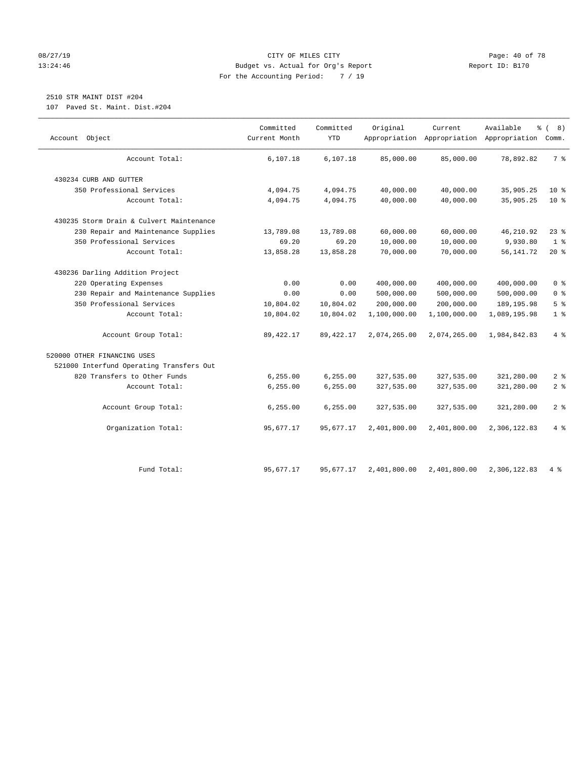#### 08/27/19 **Page: 40 of 78** CITY OF MILES CITY **Page: 40 of 78** 13:24:46 Budget vs. Actual for Org's Report Report ID: B170 For the Accounting Period: 7 / 19

# 2510 STR MAINT DIST #204

107 Paved St. Maint. Dist.#204

| Object<br>Account                        | Committed<br>Current Month | Committed<br><b>YTD</b> | Original     | Current      | Available<br>န့<br>Appropriation Appropriation Appropriation | $\sqrt{ }$<br>8)<br>Comm. |
|------------------------------------------|----------------------------|-------------------------|--------------|--------------|--------------------------------------------------------------|---------------------------|
| Account Total:                           | 6,107.18                   | 6,107.18                | 85,000.00    | 85,000.00    | 78,892.82                                                    | 7 <sup>8</sup>            |
| 430234 CURB AND GUTTER                   |                            |                         |              |              |                                                              |                           |
| 350 Professional Services                | 4,094.75                   | 4,094.75                | 40,000.00    | 40,000.00    | 35,905.25                                                    | $10*$                     |
| Account Total:                           | 4,094.75                   | 4,094.75                | 40,000.00    | 40,000.00    | 35,905.25                                                    | $10*$                     |
| 430235 Storm Drain & Culvert Maintenance |                            |                         |              |              |                                                              |                           |
| 230 Repair and Maintenance Supplies      | 13,789.08                  | 13,789.08               | 60,000.00    | 60,000.00    | 46,210.92                                                    | $23$ $%$                  |
| 350 Professional Services                | 69.20                      | 69.20                   | 10,000.00    | 10,000.00    | 9,930.80                                                     | 1 <sup>°</sup>            |
| Account Total:                           | 13,858.28                  | 13,858.28               | 70,000.00    | 70,000.00    | 56, 141.72                                                   | $20*$                     |
| 430236 Darling Addition Project          |                            |                         |              |              |                                                              |                           |
| 220 Operating Expenses                   | 0.00                       | 0.00                    | 400,000.00   | 400,000.00   | 400,000.00                                                   | 0 <sup>8</sup>            |
| 230 Repair and Maintenance Supplies      | 0.00                       | 0.00                    | 500,000.00   | 500,000.00   | 500,000.00                                                   | 0 <sup>8</sup>            |
| 350 Professional Services                | 10,804.02                  | 10,804.02               | 200,000.00   | 200,000.00   | 189, 195.98                                                  | 5 <sup>°</sup>            |
| Account Total:                           | 10,804.02                  | 10,804.02               | 1,100,000.00 | 1,100,000.00 | 1,089,195.98                                                 | 1 <sup>°</sup>            |
| Account Group Total:                     | 89, 422.17                 | 89, 422. 17             | 2,074,265.00 | 2,074,265.00 | 1,984,842.83                                                 | $4\degree$                |
| 520000 OTHER FINANCING USES              |                            |                         |              |              |                                                              |                           |
| 521000 Interfund Operating Transfers Out |                            |                         |              |              |                                                              |                           |
| 820 Transfers to Other Funds             | 6,255.00                   | 6, 255.00               | 327,535.00   | 327,535.00   | 321,280.00                                                   | 2 <sup>°</sup>            |
| Account Total:                           | 6,255.00                   | 6, 255.00               | 327,535.00   | 327,535.00   | 321,280.00                                                   | 2 <sup>8</sup>            |
| Account Group Total:                     | 6, 255.00                  | 6,255.00                | 327,535.00   | 327,535.00   | 321,280.00                                                   | 2 <sup>8</sup>            |
| Organization Total:                      | 95,677.17                  | 95,677.17               | 2,401,800.00 | 2,401,800.00 | 2,306,122.83                                                 | 4%                        |
| Fund Total:                              | 95,677.17                  | 95,677.17               | 2,401,800.00 | 2,401,800.00 | 2,306,122.83                                                 | 4 %                       |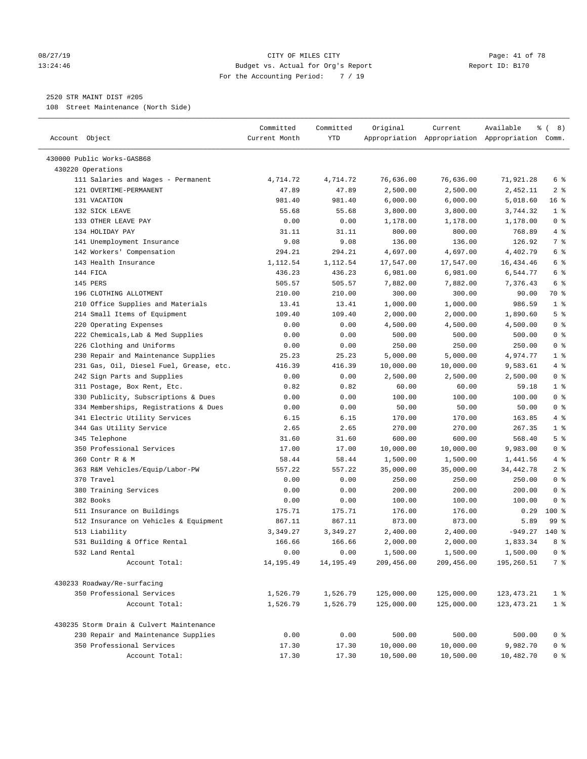#### 08/27/19 Page: 41 of 78 13:24:46 Budget vs. Actual for Org's Report Changer Report ID: B170 For the Accounting Period: 7 / 19

————————————————————————————————————————————————————————————————————————————————————————————————————————————————————————————————————

### 2520 STR MAINT DIST #205

108 Street Maintenance (North Side)

| Account Object                           | Committed<br>Current Month | Committed<br>YTD | Original   | Current    | Available<br>Appropriation Appropriation Appropriation Comm. | १८) ह           |
|------------------------------------------|----------------------------|------------------|------------|------------|--------------------------------------------------------------|-----------------|
| 430000 Public Works-GASB68               |                            |                  |            |            |                                                              |                 |
| 430220 Operations                        |                            |                  |            |            |                                                              |                 |
| 111 Salaries and Wages - Permanent       | 4,714.72                   | 4,714.72         | 76,636.00  | 76,636.00  | 71,921.28                                                    | 6 %             |
| 121 OVERTIME-PERMANENT                   | 47.89                      | 47.89            | 2,500.00   | 2,500.00   | 2,452.11                                                     | 2 <sup>8</sup>  |
| 131 VACATION                             | 981.40                     | 981.40           | 6,000.00   | 6,000.00   | 5,018.60                                                     | 16 <sup>°</sup> |
| 132 SICK LEAVE                           | 55.68                      | 55.68            | 3,800.00   | 3,800.00   | 3,744.32                                                     | 1 <sup>°</sup>  |
| 133 OTHER LEAVE PAY                      | 0.00                       | 0.00             | 1,178.00   | 1,178.00   | 1,178.00                                                     | 0 <sup>8</sup>  |
| 134 HOLIDAY PAY                          | 31.11                      | 31.11            | 800.00     | 800.00     | 768.89                                                       | 4%              |
| 141 Unemployment Insurance               | 9.08                       | 9.08             | 136.00     | 136.00     | 126.92                                                       | 7 %             |
| 142 Workers' Compensation                | 294.21                     | 294.21           | 4,697.00   | 4,697.00   | 4,402.79                                                     | 6 %             |
| 143 Health Insurance                     | 1,112.54                   | 1,112.54         | 17,547.00  | 17,547.00  | 16,434.46                                                    | 6 <sup>°</sup>  |
| 144 FICA                                 | 436.23                     | 436.23           | 6,981.00   | 6,981.00   | 6,544.77                                                     | 6 %             |
| 145 PERS                                 | 505.57                     | 505.57           | 7,882.00   | 7,882.00   | 7,376.43                                                     | 6 <sup>°</sup>  |
| 196 CLOTHING ALLOTMENT                   | 210.00                     | 210.00           | 300.00     | 300.00     | 90.00                                                        | 70 %            |
| 210 Office Supplies and Materials        | 13.41                      | 13.41            | 1,000.00   | 1,000.00   | 986.59                                                       | 1 <sup>°</sup>  |
| 214 Small Items of Equipment             | 109.40                     | 109.40           | 2,000.00   | 2,000.00   | 1,890.60                                                     | 5 <sup>°</sup>  |
| 220 Operating Expenses                   | 0.00                       | 0.00             | 4,500.00   | 4,500.00   | 4,500.00                                                     | 0 <sup>8</sup>  |
| 222 Chemicals, Lab & Med Supplies        | 0.00                       | 0.00             | 500.00     | 500.00     | 500.00                                                       | 0 <sup>8</sup>  |
| 226 Clothing and Uniforms                | 0.00                       | 0.00             | 250.00     | 250.00     | 250.00                                                       | 0 <sup>8</sup>  |
| 230 Repair and Maintenance Supplies      | 25.23                      | 25.23            | 5,000.00   | 5,000.00   | 4,974.77                                                     | 1 <sup>°</sup>  |
| 231 Gas, Oil, Diesel Fuel, Grease, etc.  | 416.39                     | 416.39           | 10,000.00  | 10,000.00  | 9,583.61                                                     | 4%              |
| 242 Sign Parts and Supplies              | 0.00                       | 0.00             | 2,500.00   | 2,500.00   | 2,500.00                                                     | 0 <sup>8</sup>  |
| 311 Postage, Box Rent, Etc.              | 0.82                       | 0.82             | 60.00      | 60.00      | 59.18                                                        | 1 <sup>°</sup>  |
| 330 Publicity, Subscriptions & Dues      | 0.00                       | 0.00             | 100.00     | 100.00     | 100.00                                                       | 0 <sup>8</sup>  |
| 334 Memberships, Registrations & Dues    | 0.00                       | 0.00             | 50.00      | 50.00      | 50.00                                                        | 0 <sup>8</sup>  |
| 341 Electric Utility Services            | 6.15                       | 6.15             | 170.00     | 170.00     | 163.85                                                       | 4%              |
| 344 Gas Utility Service                  | 2.65                       | 2.65             | 270.00     | 270.00     | 267.35                                                       | 1 <sup>°</sup>  |
| 345 Telephone                            | 31.60                      | 31.60            | 600.00     | 600.00     | 568.40                                                       | 5 <sup>°</sup>  |
| 350 Professional Services                | 17.00                      | 17.00            | 10,000.00  | 10,000.00  | 9,983.00                                                     | 0 <sup>8</sup>  |
| 360 Contr R & M                          | 58.44                      | 58.44            | 1,500.00   | 1,500.00   | 1,441.56                                                     | 4%              |
| 363 R&M Vehicles/Equip/Labor-PW          | 557.22                     | 557.22           | 35,000.00  | 35,000.00  | 34, 442. 78                                                  | 2 <sup>°</sup>  |
| 370 Travel                               | 0.00                       | 0.00             | 250.00     | 250.00     | 250.00                                                       | 0 <sup>8</sup>  |
| 380 Training Services                    | 0.00                       | 0.00             | 200.00     | 200.00     | 200.00                                                       | 0 <sup>8</sup>  |
| 382 Books                                | 0.00                       | 0.00             | 100.00     | 100.00     | 100.00                                                       | 0 <sup>8</sup>  |
| 511 Insurance on Buildings               | 175.71                     | 175.71           | 176.00     | 176.00     | 0.29                                                         | $100*$          |
| 512 Insurance on Vehicles & Equipment    | 867.11                     | 867.11           | 873.00     | 873.00     | 5.89                                                         | 99 %            |
| 513 Liability                            | 3,349.27                   | 3,349.27         | 2,400.00   | 2,400.00   | $-949.27$                                                    | $140*$          |
| 531 Building & Office Rental             | 166.66                     | 166.66           | 2,000.00   | 2,000.00   | 1,833.34                                                     | 8 %             |
| 532 Land Rental                          | 0.00                       | 0.00             | 1,500.00   | 1,500.00   | 1,500.00                                                     | 0 <sup>8</sup>  |
| Account Total:                           | 14,195.49                  | 14,195.49        | 209,456.00 | 209,456.00 | 195,260.51                                                   | 7 %             |
| 430233 Roadway/Re-surfacing              |                            |                  |            |            |                                                              |                 |
| 350 Professional Services                | 1,526.79                   | 1,526.79         | 125,000.00 | 125,000.00 | 123, 473. 21                                                 | 1 <sup>8</sup>  |
| Account Total:                           | 1,526.79                   | 1,526.79         | 125,000.00 | 125,000.00 | 123, 473. 21                                                 | 1 <sup>8</sup>  |
| 430235 Storm Drain & Culvert Maintenance |                            |                  |            |            |                                                              |                 |
| 230 Repair and Maintenance Supplies      | 0.00                       | 0.00             | 500.00     | 500.00     | 500.00                                                       | 0 <sup>8</sup>  |
| 350 Professional Services                | 17.30                      | 17.30            | 10,000.00  | 10,000.00  | 9,982.70                                                     | 0 <sup>°</sup>  |
| Account Total:                           | 17.30                      | 17.30            | 10,500.00  | 10,500.00  | 10,482.70                                                    | 0 <sup>8</sup>  |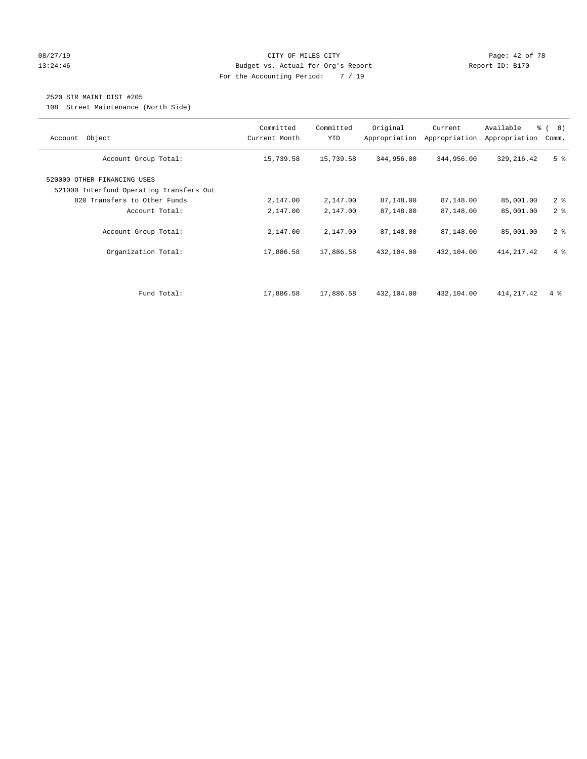#### 08/27/19 **Page: 42 of 78** CITY OF MILES CITY **Page: 42 of 78** 13:24:46 Budget vs. Actual for Org's Report Changer Report ID: B170 For the Accounting Period: 7 / 19

## 2520 STR MAINT DIST #205

108 Street Maintenance (North Side)

| Object<br>Account                                                                                       | Committed<br>Current Month | Committed<br><b>YTD</b> | Original<br>Appropriation | Current<br>Appropriation | Available<br>Appropriation | % ( 8 )<br>Comm. |
|---------------------------------------------------------------------------------------------------------|----------------------------|-------------------------|---------------------------|--------------------------|----------------------------|------------------|
| Account Group Total:                                                                                    | 15,739.58                  | 15,739.58               | 344,956.00                | 344,956.00               | 329, 216.42                | 5 <sup>8</sup>   |
| 520000 OTHER FINANCING USES<br>521000 Interfund Operating Transfers Out<br>820 Transfers to Other Funds | 2,147.00                   | 2,147.00                | 87,148.00                 | 87,148.00                | 85,001.00                  | 2 <sup>8</sup>   |
| Account Total:                                                                                          | 2,147.00                   | 2,147.00                | 87,148.00                 | 87,148.00                | 85,001.00                  | 2 <sup>8</sup>   |
| Account Group Total:                                                                                    | 2,147.00                   | 2,147.00                | 87,148.00                 | 87,148.00                | 85,001.00                  | 2 <sup>8</sup>   |
| Organization Total:                                                                                     | 17,886.58                  | 17,886.58               | 432,104.00                | 432,104.00               | 414, 217.42                | $4\degree$       |
| Fund Total:                                                                                             | 17,886.58                  | 17,886.58               | 432,104.00                | 432,104.00               | 414, 217.42                | $4\degree$       |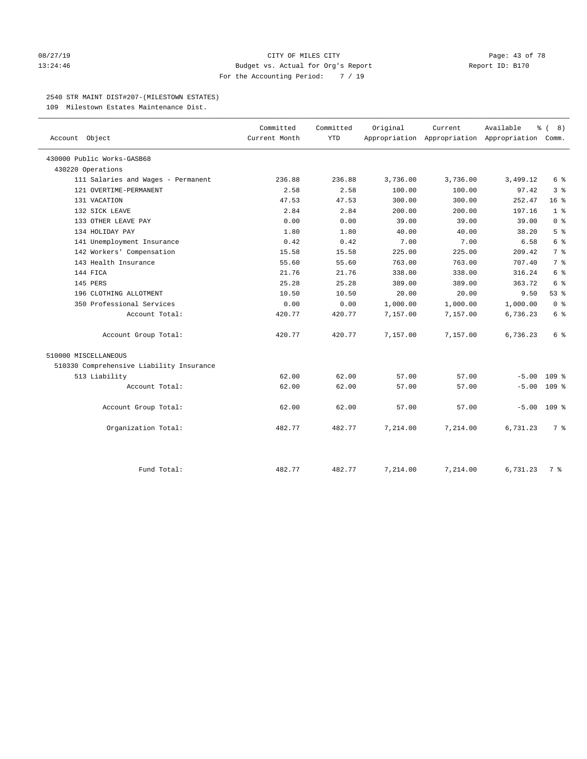#### 08/27/19 **Page: 43 of 78** CITY OF MILES CITY **Page: 43 of 78** 13:24:46 Budget vs. Actual for Org's Report Report ID: B170 For the Accounting Period: 7 / 19

#### 2540 STR MAINT DIST#207-(MILESTOWN ESTATES)

109 Milestown Estates Maintenance Dist.

|                                          | Committed     | Committed  | Original | Current                                         | Available | န့<br>8)<br>$\sqrt{ }$ |
|------------------------------------------|---------------|------------|----------|-------------------------------------------------|-----------|------------------------|
| Account Object                           | Current Month | <b>YTD</b> |          | Appropriation Appropriation Appropriation Comm. |           |                        |
| 430000 Public Works-GASB68               |               |            |          |                                                 |           |                        |
| 430220 Operations                        |               |            |          |                                                 |           |                        |
| 111 Salaries and Wages - Permanent       | 236.88        | 236.88     | 3,736.00 | 3,736.00                                        | 3,499.12  | 6 %                    |
| 121 OVERTIME-PERMANENT                   | 2.58          | 2.58       | 100.00   | 100.00                                          | 97.42     | 3 <sup>8</sup>         |
| 131 VACATION                             | 47.53         | 47.53      | 300.00   | 300.00                                          | 252.47    | 16 <sup>8</sup>        |
| 132 SICK LEAVE                           | 2.84          | 2.84       | 200.00   | 200.00                                          | 197.16    | 1 <sup>°</sup>         |
| 133 OTHER LEAVE PAY                      | 0.00          | 0.00       | 39.00    | 39.00                                           | 39.00     | 0 <sup>8</sup>         |
| 134 HOLIDAY PAY                          | 1.80          | 1.80       | 40.00    | 40.00                                           | 38.20     | 5 <sup>°</sup>         |
| 141 Unemployment Insurance               | 0.42          | 0.42       | 7.00     | 7.00                                            | 6.58      | 6 <sup>°</sup>         |
| 142 Workers' Compensation                | 15.58         | 15.58      | 225.00   | 225.00                                          | 209.42    | 7 <sup>°</sup>         |
| 143 Health Insurance                     | 55.60         | 55.60      | 763.00   | 763.00                                          | 707.40    | 7 <sup>°</sup>         |
| 144 FICA                                 | 21.76         | 21.76      | 338.00   | 338.00                                          | 316.24    | 6 <sup>°</sup>         |
| 145 PERS                                 | 25.28         | 25.28      | 389.00   | 389.00                                          | 363.72    | 6 %                    |
| 196 CLOTHING ALLOTMENT                   | 10.50         | 10.50      | 20.00    | 20.00                                           | 9.50      | 53%                    |
| 350 Professional Services                | 0.00          | 0.00       | 1,000.00 | 1,000.00                                        | 1,000.00  | 0 <sup>8</sup>         |
| Account Total:                           | 420.77        | 420.77     | 7,157.00 | 7,157.00                                        | 6,736.23  | 6 <sup>°</sup>         |
| Account Group Total:                     | 420.77        | 420.77     | 7,157.00 | 7,157.00                                        | 6,736.23  | 6 %                    |
| 510000 MISCELLANEOUS                     |               |            |          |                                                 |           |                        |
| 510330 Comprehensive Liability Insurance |               |            |          |                                                 |           |                        |
| 513 Liability                            | 62.00         | 62.00      | 57.00    | 57.00                                           | $-5.00$   | 109 <sup>8</sup>       |
| Account Total:                           | 62.00         | 62.00      | 57.00    | 57.00                                           | $-5.00$   | 109 <sup>8</sup>       |
| Account Group Total:                     | 62.00         | 62.00      | 57.00    | 57.00                                           | $-5.00$   | $109$ %                |
| Organization Total:                      | 482.77        | 482.77     | 7,214.00 | 7,214.00                                        | 6,731.23  | 7 <sup>8</sup>         |
| Fund Total:                              | 482.77        | 482.77     | 7,214.00 | 7,214.00                                        | 6,731.23  | 7 %                    |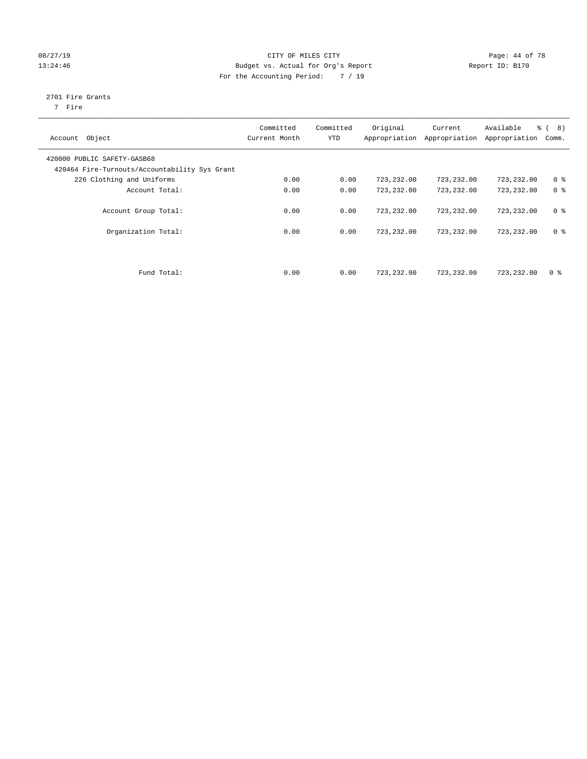### 08/27/19 Page: 44 of 78 13:24:46 Budget vs. Actual for Org's Report Changer Report ID: B170 For the Accounting Period: 7 / 19

## 2701 Fire Grants

7 Fire

| Object<br>Account                                                            | Committed<br>Current Month | Committed<br><b>YTD</b> | Original<br>Appropriation | Current<br>Appropriation | Available<br>Appropriation | $\frac{6}{6}$ ( 8)<br>Comm. |
|------------------------------------------------------------------------------|----------------------------|-------------------------|---------------------------|--------------------------|----------------------------|-----------------------------|
| 420000 PUBLIC SAFETY-GASB68<br>420464 Fire-Turnouts/Accountability Sys Grant |                            |                         |                           |                          |                            |                             |
| 226 Clothing and Uniforms                                                    | 0.00                       | 0.00                    | 723,232.00                | 723,232.00               | 723,232.00                 | 0 <sup>8</sup>              |
| Account Total:                                                               | 0.00                       | 0.00                    | 723,232.00                | 723,232.00               | 723,232.00                 | 0 <sup>8</sup>              |
| Account Group Total:                                                         | 0.00                       | 0.00                    | 723,232.00                | 723,232.00               | 723, 232, 00               | 0 <sup>8</sup>              |
| Organization Total:                                                          | 0.00                       | 0.00                    | 723,232.00                | 723,232.00               | 723,232.00                 | 0 <sup>8</sup>              |
| Fund Total:                                                                  | 0.00                       | 0.00                    | 723,232.00                | 723,232.00               | 723,232.00                 | 0 <sup>8</sup>              |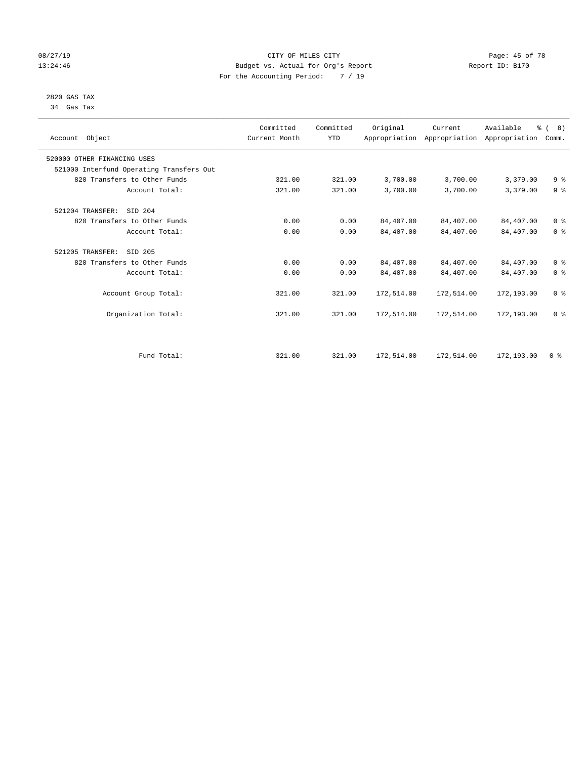# 2820 GAS TAX

34 Gas Tax

### 08/27/19 Page: 45 of 78 13:24:46 Budget vs. Actual for Org's Report Changer Report ID: B170 For the Accounting Period: 7 / 19

————————————————————————————————————————————————————————————————————————————————————————————————————————————————————————————————————

| Account Object                           | Committed<br>Current Month | Committed<br><b>YTD</b> | Original   | Current    | Available<br>Appropriation Appropriation Appropriation Comm. | $\frac{6}{6}$ ( 8) |  |
|------------------------------------------|----------------------------|-------------------------|------------|------------|--------------------------------------------------------------|--------------------|--|
| 520000 OTHER FINANCING USES              |                            |                         |            |            |                                                              |                    |  |
| 521000 Interfund Operating Transfers Out |                            |                         |            |            |                                                              |                    |  |
| 820 Transfers to Other Funds             | 321.00                     | 321.00                  | 3,700.00   | 3,700.00   | 3,379.00                                                     | 9 <sup>°</sup>     |  |
| Account Total:                           | 321.00                     | 321.00                  | 3,700.00   | 3,700.00   | 3,379.00                                                     | 9 <sup>°</sup>     |  |
| 521204 TRANSFER:<br>SID 204              |                            |                         |            |            |                                                              |                    |  |
| 820 Transfers to Other Funds             | 0.00                       | 0.00                    | 84,407.00  | 84,407.00  | 84,407.00                                                    | 0 <sup>8</sup>     |  |
| Account Total:                           | 0.00                       | 0.00                    | 84,407.00  | 84,407.00  | 84,407.00                                                    | 0 <sup>8</sup>     |  |
| 521205 TRANSFER:<br>SID 205              |                            |                         |            |            |                                                              |                    |  |
| 820 Transfers to Other Funds             | 0.00                       | 0.00                    | 84,407.00  | 84,407.00  | 84,407.00                                                    | 0 <sup>8</sup>     |  |
| Account Total:                           | 0.00                       | 0.00                    | 84,407.00  | 84,407.00  | 84,407.00                                                    | 0 <sup>8</sup>     |  |
| Account Group Total:                     | 321.00                     | 321.00                  | 172,514.00 | 172,514.00 | 172,193.00                                                   | 0 <sup>8</sup>     |  |
| Organization Total:                      | 321.00                     | 321.00                  | 172,514.00 | 172,514.00 | 172,193.00                                                   | 0 <sup>8</sup>     |  |
|                                          |                            |                         |            |            |                                                              |                    |  |
| Fund Total:                              | 321.00                     | 321.00                  | 172,514.00 | 172,514.00 | 172,193.00                                                   | 0 <sup>8</sup>     |  |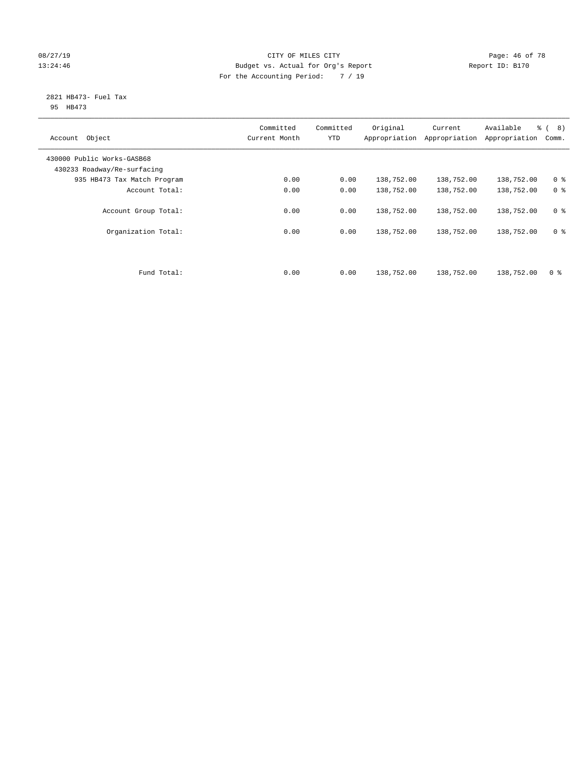#### 08/27/19 **Page: 46 of 78** CITY OF MILES CITY **Page: 46 of 78** 13:24:46 Budget vs. Actual for Org's Report Changer Report ID: B170 For the Accounting Period: 7 / 19

#### 2821 HB473- Fuel Tax 95 HB473

| Object<br>Account                                         | Committed<br>Current Month | Committed<br><b>YTD</b> | Original<br>Appropriation | Current<br>Appropriation | Available<br>Appropriation | $\frac{6}{6}$ ( 8)<br>Comm. |
|-----------------------------------------------------------|----------------------------|-------------------------|---------------------------|--------------------------|----------------------------|-----------------------------|
| 430000 Public Works-GASB68<br>430233 Roadway/Re-surfacing |                            |                         |                           |                          |                            |                             |
| 935 HB473 Tax Match Program                               | 0.00                       | 0.00                    | 138,752.00                | 138,752.00               | 138,752.00                 | 0 <sup>8</sup>              |
| Account Total:                                            | 0.00                       | 0.00                    | 138,752.00                | 138,752.00               | 138,752.00                 | 0 <sup>8</sup>              |
| Account Group Total:                                      | 0.00                       | 0.00                    | 138,752.00                | 138,752.00               | 138,752.00                 | 0 <sup>8</sup>              |
| Organization Total:                                       | 0.00                       | 0.00                    | 138,752.00                | 138,752.00               | 138,752.00                 | 0 <sup>8</sup>              |
|                                                           |                            |                         |                           |                          |                            |                             |
| Fund Total:                                               | 0.00                       | 0.00                    | 138,752.00                | 138,752.00               | 138,752.00                 | 0 <sup>8</sup>              |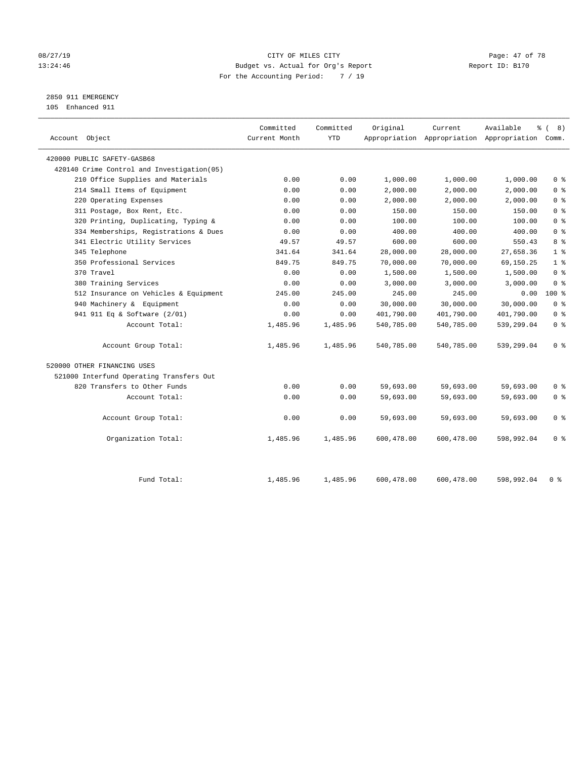#### 08/27/19 Page: 47 of 78 13:24:46 Budget vs. Actual for Org's Report Changer Report ID: B170 For the Accounting Period: 7 / 19

2850 911 EMERGENCY

105 Enhanced 911

| 420000 PUBLIC SAFETY-GASB68<br>420140 Crime Control and Investigation (05)<br>210 Office Supplies and Materials<br>0.00<br>0.00<br>1,000.00<br>1,000.00<br>1,000.00<br>214 Small Items of Equipment<br>2,000.00<br>2,000.00<br>0.00<br>0.00<br>2,000.00<br>220 Operating Expenses<br>0.00<br>0.00<br>2,000.00<br>2,000.00<br>2,000.00<br>150.00<br>311 Postage, Box Rent, Etc.<br>0.00<br>0.00<br>150.00<br>150.00<br>320 Printing, Duplicating, Typing &<br>0.00<br>100.00<br>100.00<br>100.00<br>0.00<br>334 Memberships, Registrations & Dues<br>400.00<br>400.00<br>400.00<br>0.00<br>0.00<br>600.00<br>600.00<br>341 Electric Utility Services<br>49.57<br>49.57<br>550.43<br>345 Telephone<br>28,000.00<br>28,000.00<br>27,658.36<br>341.64<br>341.64<br>350 Professional Services<br>70,000.00<br>70,000.00<br>849.75<br>849.75<br>69,150.25<br>370 Travel<br>0.00<br>0.00<br>1,500.00<br>1,500.00<br>1,500.00<br>3,000.00<br>380 Training Services<br>0.00<br>0.00<br>3,000.00<br>3,000.00<br>512 Insurance on Vehicles & Equipment<br>245.00<br>245.00<br>245.00<br>245.00<br>0.00<br>940 Machinery & Equipment<br>0.00<br>0.00<br>30,000.00<br>30,000.00<br>30,000.00<br>941 911 Eq & Software (2/01)<br>0.00<br>0.00<br>401,790.00<br>401,790.00<br>401,790.00<br>539,299.04<br>Account Total:<br>1,485.96<br>1,485.96<br>540,785.00<br>540,785.00<br>Account Group Total:<br>1,485.96<br>1,485.96<br>540,785.00<br>540,785.00<br>539,299.04<br>520000 OTHER FINANCING USES<br>521000 Interfund Operating Transfers Out<br>820 Transfers to Other Funds<br>0.00<br>0.00<br>59,693.00<br>59,693.00<br>59,693.00<br>Account Total:<br>0.00<br>59,693.00<br>59,693.00<br>0.00<br>59,693.00<br>Account Group Total:<br>0.00<br>0.00<br>59,693.00<br>59,693.00<br>59,693.00<br>Organization Total:<br>1,485.96<br>1,485.96<br>600,478.00<br>600,478.00<br>598,992.04 | Account Object | Committed<br>Current Month | Committed<br><b>YTD</b> | Original | Current | Available<br>Appropriation Appropriation Appropriation Comm. | ి<br>8)<br>$\sqrt{ }$ |
|----------------------------------------------------------------------------------------------------------------------------------------------------------------------------------------------------------------------------------------------------------------------------------------------------------------------------------------------------------------------------------------------------------------------------------------------------------------------------------------------------------------------------------------------------------------------------------------------------------------------------------------------------------------------------------------------------------------------------------------------------------------------------------------------------------------------------------------------------------------------------------------------------------------------------------------------------------------------------------------------------------------------------------------------------------------------------------------------------------------------------------------------------------------------------------------------------------------------------------------------------------------------------------------------------------------------------------------------------------------------------------------------------------------------------------------------------------------------------------------------------------------------------------------------------------------------------------------------------------------------------------------------------------------------------------------------------------------------------------------------------------------------------------------------------------------------------------------------------------------------------|----------------|----------------------------|-------------------------|----------|---------|--------------------------------------------------------------|-----------------------|
|                                                                                                                                                                                                                                                                                                                                                                                                                                                                                                                                                                                                                                                                                                                                                                                                                                                                                                                                                                                                                                                                                                                                                                                                                                                                                                                                                                                                                                                                                                                                                                                                                                                                                                                                                                                                                                                                            |                |                            |                         |          |         |                                                              |                       |
|                                                                                                                                                                                                                                                                                                                                                                                                                                                                                                                                                                                                                                                                                                                                                                                                                                                                                                                                                                                                                                                                                                                                                                                                                                                                                                                                                                                                                                                                                                                                                                                                                                                                                                                                                                                                                                                                            |                |                            |                         |          |         |                                                              |                       |
|                                                                                                                                                                                                                                                                                                                                                                                                                                                                                                                                                                                                                                                                                                                                                                                                                                                                                                                                                                                                                                                                                                                                                                                                                                                                                                                                                                                                                                                                                                                                                                                                                                                                                                                                                                                                                                                                            |                |                            |                         |          |         |                                                              | 0 <sup>8</sup>        |
|                                                                                                                                                                                                                                                                                                                                                                                                                                                                                                                                                                                                                                                                                                                                                                                                                                                                                                                                                                                                                                                                                                                                                                                                                                                                                                                                                                                                                                                                                                                                                                                                                                                                                                                                                                                                                                                                            |                |                            |                         |          |         |                                                              | 0 <sup>8</sup>        |
|                                                                                                                                                                                                                                                                                                                                                                                                                                                                                                                                                                                                                                                                                                                                                                                                                                                                                                                                                                                                                                                                                                                                                                                                                                                                                                                                                                                                                                                                                                                                                                                                                                                                                                                                                                                                                                                                            |                |                            |                         |          |         |                                                              | 0 <sup>8</sup>        |
|                                                                                                                                                                                                                                                                                                                                                                                                                                                                                                                                                                                                                                                                                                                                                                                                                                                                                                                                                                                                                                                                                                                                                                                                                                                                                                                                                                                                                                                                                                                                                                                                                                                                                                                                                                                                                                                                            |                |                            |                         |          |         |                                                              | 0 <sup>8</sup>        |
|                                                                                                                                                                                                                                                                                                                                                                                                                                                                                                                                                                                                                                                                                                                                                                                                                                                                                                                                                                                                                                                                                                                                                                                                                                                                                                                                                                                                                                                                                                                                                                                                                                                                                                                                                                                                                                                                            |                |                            |                         |          |         |                                                              | 0 <sup>8</sup>        |
|                                                                                                                                                                                                                                                                                                                                                                                                                                                                                                                                                                                                                                                                                                                                                                                                                                                                                                                                                                                                                                                                                                                                                                                                                                                                                                                                                                                                                                                                                                                                                                                                                                                                                                                                                                                                                                                                            |                |                            |                         |          |         |                                                              | 0 <sup>8</sup>        |
|                                                                                                                                                                                                                                                                                                                                                                                                                                                                                                                                                                                                                                                                                                                                                                                                                                                                                                                                                                                                                                                                                                                                                                                                                                                                                                                                                                                                                                                                                                                                                                                                                                                                                                                                                                                                                                                                            |                |                            |                         |          |         |                                                              | 8%                    |
|                                                                                                                                                                                                                                                                                                                                                                                                                                                                                                                                                                                                                                                                                                                                                                                                                                                                                                                                                                                                                                                                                                                                                                                                                                                                                                                                                                                                                                                                                                                                                                                                                                                                                                                                                                                                                                                                            |                |                            |                         |          |         |                                                              | 1 <sup>8</sup>        |
|                                                                                                                                                                                                                                                                                                                                                                                                                                                                                                                                                                                                                                                                                                                                                                                                                                                                                                                                                                                                                                                                                                                                                                                                                                                                                                                                                                                                                                                                                                                                                                                                                                                                                                                                                                                                                                                                            |                |                            |                         |          |         |                                                              | 1 <sup>8</sup>        |
|                                                                                                                                                                                                                                                                                                                                                                                                                                                                                                                                                                                                                                                                                                                                                                                                                                                                                                                                                                                                                                                                                                                                                                                                                                                                                                                                                                                                                                                                                                                                                                                                                                                                                                                                                                                                                                                                            |                |                            |                         |          |         |                                                              | 0 <sup>8</sup>        |
|                                                                                                                                                                                                                                                                                                                                                                                                                                                                                                                                                                                                                                                                                                                                                                                                                                                                                                                                                                                                                                                                                                                                                                                                                                                                                                                                                                                                                                                                                                                                                                                                                                                                                                                                                                                                                                                                            |                |                            |                         |          |         |                                                              | 0 <sup>8</sup>        |
|                                                                                                                                                                                                                                                                                                                                                                                                                                                                                                                                                                                                                                                                                                                                                                                                                                                                                                                                                                                                                                                                                                                                                                                                                                                                                                                                                                                                                                                                                                                                                                                                                                                                                                                                                                                                                                                                            |                |                            |                         |          |         |                                                              | $100*$                |
|                                                                                                                                                                                                                                                                                                                                                                                                                                                                                                                                                                                                                                                                                                                                                                                                                                                                                                                                                                                                                                                                                                                                                                                                                                                                                                                                                                                                                                                                                                                                                                                                                                                                                                                                                                                                                                                                            |                |                            |                         |          |         |                                                              | 0 <sup>8</sup>        |
|                                                                                                                                                                                                                                                                                                                                                                                                                                                                                                                                                                                                                                                                                                                                                                                                                                                                                                                                                                                                                                                                                                                                                                                                                                                                                                                                                                                                                                                                                                                                                                                                                                                                                                                                                                                                                                                                            |                |                            |                         |          |         |                                                              | 0 <sup>8</sup>        |
|                                                                                                                                                                                                                                                                                                                                                                                                                                                                                                                                                                                                                                                                                                                                                                                                                                                                                                                                                                                                                                                                                                                                                                                                                                                                                                                                                                                                                                                                                                                                                                                                                                                                                                                                                                                                                                                                            |                |                            |                         |          |         |                                                              | 0 <sup>8</sup>        |
|                                                                                                                                                                                                                                                                                                                                                                                                                                                                                                                                                                                                                                                                                                                                                                                                                                                                                                                                                                                                                                                                                                                                                                                                                                                                                                                                                                                                                                                                                                                                                                                                                                                                                                                                                                                                                                                                            |                |                            |                         |          |         |                                                              | 0 <sup>8</sup>        |
|                                                                                                                                                                                                                                                                                                                                                                                                                                                                                                                                                                                                                                                                                                                                                                                                                                                                                                                                                                                                                                                                                                                                                                                                                                                                                                                                                                                                                                                                                                                                                                                                                                                                                                                                                                                                                                                                            |                |                            |                         |          |         |                                                              |                       |
|                                                                                                                                                                                                                                                                                                                                                                                                                                                                                                                                                                                                                                                                                                                                                                                                                                                                                                                                                                                                                                                                                                                                                                                                                                                                                                                                                                                                                                                                                                                                                                                                                                                                                                                                                                                                                                                                            |                |                            |                         |          |         |                                                              |                       |
|                                                                                                                                                                                                                                                                                                                                                                                                                                                                                                                                                                                                                                                                                                                                                                                                                                                                                                                                                                                                                                                                                                                                                                                                                                                                                                                                                                                                                                                                                                                                                                                                                                                                                                                                                                                                                                                                            |                |                            |                         |          |         |                                                              | 0 <sup>8</sup>        |
|                                                                                                                                                                                                                                                                                                                                                                                                                                                                                                                                                                                                                                                                                                                                                                                                                                                                                                                                                                                                                                                                                                                                                                                                                                                                                                                                                                                                                                                                                                                                                                                                                                                                                                                                                                                                                                                                            |                |                            |                         |          |         |                                                              | 0 <sup>8</sup>        |
|                                                                                                                                                                                                                                                                                                                                                                                                                                                                                                                                                                                                                                                                                                                                                                                                                                                                                                                                                                                                                                                                                                                                                                                                                                                                                                                                                                                                                                                                                                                                                                                                                                                                                                                                                                                                                                                                            |                |                            |                         |          |         |                                                              | 0 <sup>8</sup>        |
|                                                                                                                                                                                                                                                                                                                                                                                                                                                                                                                                                                                                                                                                                                                                                                                                                                                                                                                                                                                                                                                                                                                                                                                                                                                                                                                                                                                                                                                                                                                                                                                                                                                                                                                                                                                                                                                                            |                |                            |                         |          |         |                                                              | 0 <sup>8</sup>        |
| Fund Total:<br>1,485.96<br>598,992.04<br>1,485.96<br>600,478.00<br>600,478.00                                                                                                                                                                                                                                                                                                                                                                                                                                                                                                                                                                                                                                                                                                                                                                                                                                                                                                                                                                                                                                                                                                                                                                                                                                                                                                                                                                                                                                                                                                                                                                                                                                                                                                                                                                                              |                |                            |                         |          |         |                                                              | 0 <sup>8</sup>        |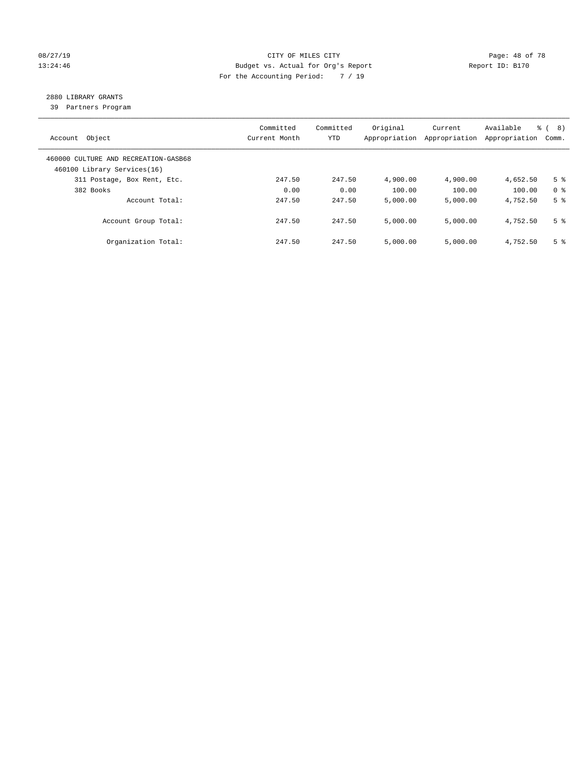#### 08/27/19 **Page: 48 of 78** CITY OF MILES CITY **Page: 48 of 78** 13:24:46 Budget vs. Actual for Org's Report Changer Report ID: B170 For the Accounting Period: 7 / 19

## 2880 LIBRARY GRANTS

39 Partners Program

| Account Object                                                      | Committed<br>Current Month | Committed<br><b>YTD</b> | Original<br>Appropriation | Current<br>Appropriation | Available<br>Appropriation | % ( 8 )<br>Comm. |
|---------------------------------------------------------------------|----------------------------|-------------------------|---------------------------|--------------------------|----------------------------|------------------|
| 460000 CULTURE AND RECREATION-GASB68<br>460100 Library Services(16) |                            |                         |                           |                          |                            |                  |
| 311 Postage, Box Rent, Etc.                                         | 247.50                     | 247.50                  | 4,900.00                  | 4,900.00                 | 4,652.50                   | 5 <sup>8</sup>   |
| 382 Books                                                           | 0.00                       | 0.00                    | 100.00                    | 100.00                   | 100.00                     | 0 <sup>8</sup>   |
| Account Total:                                                      | 247.50                     | 247.50                  | 5,000.00                  | 5,000.00                 | 4,752.50                   | 5 <sup>8</sup>   |
| Account Group Total:                                                | 247.50                     | 247.50                  | 5,000.00                  | 5,000.00                 | 4,752.50                   | 5 <sup>8</sup>   |
| Organization Total:                                                 | 247.50                     | 247.50                  | 5.000.00                  | 5,000.00                 | 4,752.50                   | 5 <sup>8</sup>   |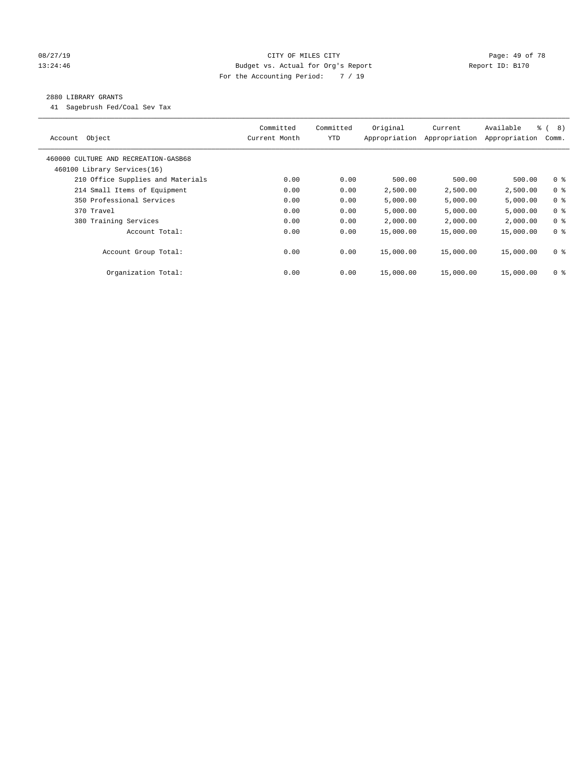#### 08/27/19 **Page: 49 of 78** CITY OF MILES CITY **Page: 49 of 78** 13:24:46 Budget vs. Actual for Org's Report Changer Report ID: B170 For the Accounting Period: 7 / 19

#### 2880 LIBRARY GRANTS

41 Sagebrush Fed/Coal Sev Tax

| Object<br>Account                    | Committed<br>Current Month | Committed<br><b>YTD</b> | Original<br>Appropriation | Current<br>Appropriation | Available<br>Appropriation | $\frac{6}{6}$ ( 8)<br>Comm. |
|--------------------------------------|----------------------------|-------------------------|---------------------------|--------------------------|----------------------------|-----------------------------|
| 460000 CULTURE AND RECREATION-GASB68 |                            |                         |                           |                          |                            |                             |
| 460100 Library Services(16)          |                            |                         |                           |                          |                            |                             |
| 210 Office Supplies and Materials    | 0.00                       | 0.00                    | 500.00                    | 500.00                   | 500.00                     | 0 <sub>8</sub>              |
| 214 Small Items of Equipment         | 0.00                       | 0.00                    | 2,500.00                  | 2,500.00                 | 2,500.00                   | 0 <sup>8</sup>              |
| 350 Professional Services            | 0.00                       | 0.00                    | 5,000.00                  | 5,000.00                 | 5,000.00                   | 0 <sup>8</sup>              |
| 370 Travel                           | 0.00                       | 0.00                    | 5,000.00                  | 5,000.00                 | 5,000.00                   | 0 <sup>8</sup>              |
| 380 Training Services                | 0.00                       | 0.00                    | 2,000.00                  | 2,000.00                 | 2,000.00                   | 0 <sup>8</sup>              |
| Account Total:                       | 0.00                       | 0.00                    | 15,000.00                 | 15,000.00                | 15,000.00                  | 0 <sup>8</sup>              |
| Account Group Total:                 | 0.00                       | 0.00                    | 15,000.00                 | 15,000.00                | 15,000.00                  | 0 <sup>8</sup>              |
| Organization Total:                  | 0.00                       | 0.00                    | 15,000.00                 | 15,000.00                | 15,000.00                  | 0 %                         |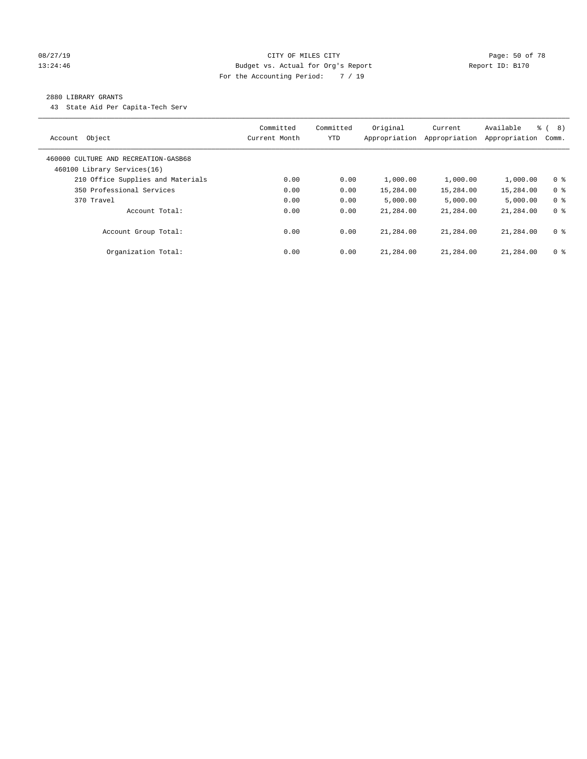#### 08/27/19 **Page: 50 of 78** CITY OF MILES CITY **Page: 50 of 78** 13:24:46 Budget vs. Actual for Org's Report Changer Report ID: B170 For the Accounting Period: 7 / 19

#### 2880 LIBRARY GRANTS

43 State Aid Per Capita-Tech Serv

| Object<br>Account                                                   | Committed<br>Current Month | Committed<br><b>YTD</b> | Original<br>Appropriation | Current<br>Appropriation | Available<br>Appropriation | $\approx$ (<br>(8)<br>Comm. |
|---------------------------------------------------------------------|----------------------------|-------------------------|---------------------------|--------------------------|----------------------------|-----------------------------|
| 460000 CULTURE AND RECREATION-GASB68<br>460100 Library Services(16) |                            |                         |                           |                          |                            |                             |
| 210 Office Supplies and Materials                                   | 0.00                       | 0.00                    | 1,000.00                  | 1,000.00                 | 1,000.00                   | 0 <sup>8</sup>              |
| 350 Professional Services                                           | 0.00                       | 0.00                    | 15,284.00                 | 15,284.00                | 15,284.00                  | 0 <sup>8</sup>              |
| 370 Travel                                                          | 0.00                       | 0.00                    | 5.000.00                  | 5,000.00                 | 5.000.00                   | 0 <sup>8</sup>              |
| Account Total:                                                      | 0.00                       | 0.00                    | 21,284.00                 | 21,284.00                | 21,284.00                  | 0 <sup>8</sup>              |
| Account Group Total:                                                | 0.00                       | 0.00                    | 21,284.00                 | 21,284.00                | 21,284.00                  | 0 <sup>8</sup>              |
| Organization Total:                                                 | 0.00                       | 0.00                    | 21,284.00                 | 21,284.00                | 21,284.00                  | 0 <sup>8</sup>              |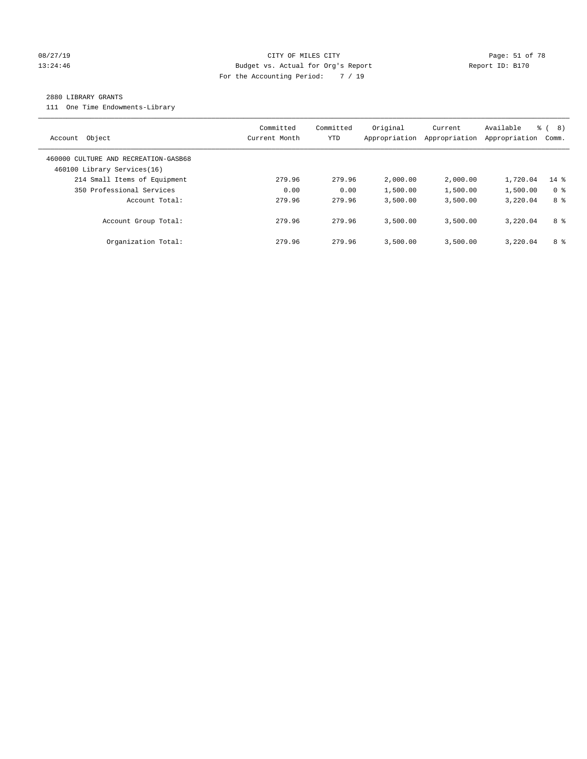#### 08/27/19 Page: 51 of 78 CITY OF MILES CITY CHANGES CONSTRUCT AND RAGGES OF 78 13:24:46 Budget vs. Actual for Org's Report Changer Report ID: B170 For the Accounting Period: 7 / 19

#### 2880 LIBRARY GRANTS

111 One Time Endowments-Library

| Object<br>Account                                                   | Committed<br>Current Month | Committed<br>YTD | Original<br>Appropriation | Current<br>Appropriation | Available<br>Appropriation | 응 (<br>8)<br>Comm. |
|---------------------------------------------------------------------|----------------------------|------------------|---------------------------|--------------------------|----------------------------|--------------------|
| 460000 CULTURE AND RECREATION-GASB68<br>460100 Library Services(16) |                            |                  |                           |                          |                            |                    |
| 214 Small Items of Equipment                                        | 279.96                     | 279.96           | 2,000.00                  | 2,000.00                 | 1,720.04                   | 14 %               |
| 350 Professional Services                                           | 0.00                       | 0.00             | 1,500.00                  | 1,500.00                 | 1,500.00                   | 0 <sup>8</sup>     |
| Account Total:                                                      | 279.96                     | 279.96           | 3,500.00                  | 3,500.00                 | 3,220.04                   | 8 %                |
| Account Group Total:                                                | 279.96                     | 279.96           | 3,500.00                  | 3,500.00                 | 3,220.04                   | 8 %                |
| Organization Total:                                                 | 279.96                     | 279.96           | 3,500.00                  | 3,500.00                 | 3,220.04                   | 8 %                |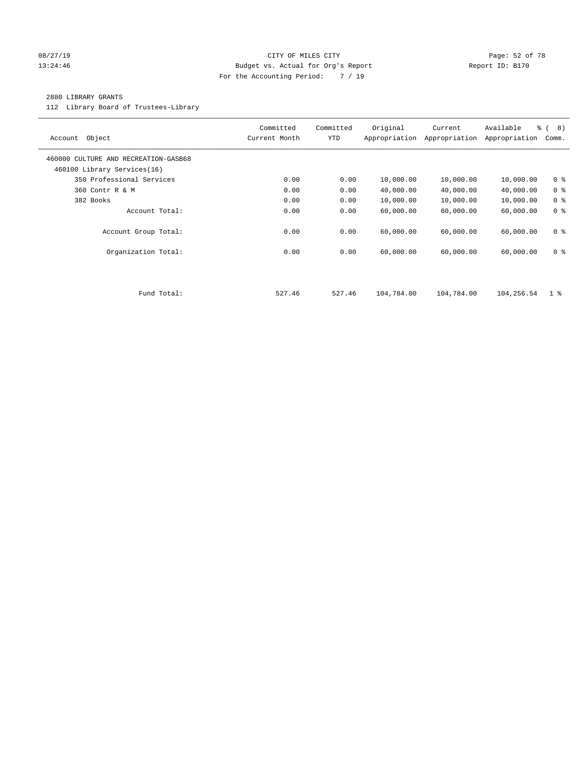#### 08/27/19 **Page: 52 of 78** CITY OF MILES CITY **Page: 52 of 78** 13:24:46 Budget vs. Actual for Org's Report Changer Report ID: B170 For the Accounting Period: 7 / 19

#### 2880 LIBRARY GRANTS

112 Library Board of Trustees-Library

| Object<br>Account                                                   | Committed<br>Current Month | Committed<br><b>YTD</b> | Original<br>Appropriation | Current<br>Appropriation | Available<br>Appropriation | % ( 8 )<br>Comm. |
|---------------------------------------------------------------------|----------------------------|-------------------------|---------------------------|--------------------------|----------------------------|------------------|
| 460000 CULTURE AND RECREATION-GASB68<br>460100 Library Services(16) |                            |                         |                           |                          |                            |                  |
| 350 Professional Services                                           | 0.00                       | 0.00                    | 10,000.00                 | 10,000.00                | 10,000.00                  | 0 <sup>8</sup>   |
| 360 Contr R & M                                                     | 0.00                       | 0.00                    | 40,000.00                 | 40,000.00                | 40,000.00                  | 0 <sup>8</sup>   |
| 382 Books                                                           | 0.00                       | 0.00                    | 10,000.00                 | 10,000.00                | 10,000.00                  | 0 <sup>8</sup>   |
| Account Total:                                                      | 0.00                       | 0.00                    | 60,000.00                 | 60,000.00                | 60,000.00                  | 0 <sup>8</sup>   |
| Account Group Total:                                                | 0.00                       | 0.00                    | 60,000.00                 | 60,000.00                | 60,000.00                  | 0 <sup>8</sup>   |
| Organization Total:                                                 | 0.00                       | 0.00                    | 60,000.00                 | 60,000.00                | 60,000.00                  | 0 <sup>8</sup>   |
|                                                                     |                            |                         |                           |                          |                            |                  |
| Fund Total:                                                         | 527.46                     | 527.46                  | 104,784.00                | 104,784.00               | 104,256.54                 | 1 <sup>8</sup>   |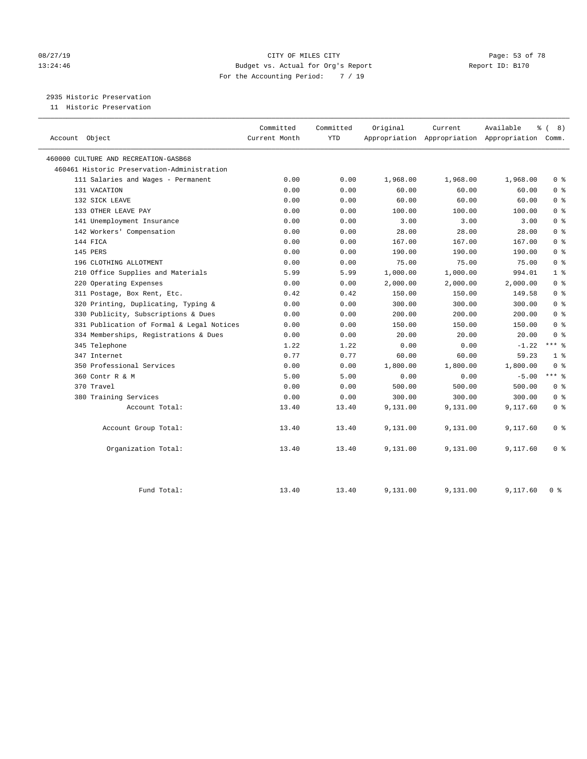#### 08/27/19 Page: 53 of 78 13:24:46 Budget vs. Actual for Org's Report Changer Report ID: B170 For the Accounting Period: 7 / 19

2935 Historic Preservation

11 Historic Preservation

| Account Object                              | Committed<br>Current Month | Committed<br><b>YTD</b> | Original | Current  | Available<br>န့<br>Appropriation Appropriation Appropriation Comm. | 8)<br>$\sqrt{ }$ |
|---------------------------------------------|----------------------------|-------------------------|----------|----------|--------------------------------------------------------------------|------------------|
| 460000 CULTURE AND RECREATION-GASB68        |                            |                         |          |          |                                                                    |                  |
| 460461 Historic Preservation-Administration |                            |                         |          |          |                                                                    |                  |
| 111 Salaries and Wages - Permanent          | 0.00                       | 0.00                    | 1,968.00 | 1,968.00 | 1,968.00                                                           | 0 <sup>8</sup>   |
| 131 VACATION                                | 0.00                       | 0.00                    | 60.00    | 60.00    | 60.00                                                              | 0 <sup>8</sup>   |
| 132 SICK LEAVE                              | 0.00                       | 0.00                    | 60.00    | 60.00    | 60.00                                                              | 0 <sup>8</sup>   |
| 133 OTHER LEAVE PAY                         | 0.00                       | 0.00                    | 100.00   | 100.00   | 100.00                                                             | 0 <sup>8</sup>   |
| 141 Unemployment Insurance                  | 0.00                       | 0.00                    | 3.00     | 3.00     | 3.00                                                               | 0 <sup>8</sup>   |
| 142 Workers' Compensation                   | 0.00                       | 0.00                    | 28.00    | 28.00    | 28.00                                                              | 0 <sup>8</sup>   |
| 144 FICA                                    | 0.00                       | 0.00                    | 167.00   | 167.00   | 167.00                                                             | 0 <sup>8</sup>   |
| 145 PERS                                    | 0.00                       | 0.00                    | 190.00   | 190.00   | 190.00                                                             | 0 <sup>8</sup>   |
| 196 CLOTHING ALLOTMENT                      | 0.00                       | 0.00                    | 75.00    | 75.00    | 75.00                                                              | 0 <sup>8</sup>   |
| 210 Office Supplies and Materials           | 5.99                       | 5.99                    | 1,000.00 | 1,000.00 | 994.01                                                             | 1 <sup>°</sup>   |
| 220 Operating Expenses                      | 0.00                       | 0.00                    | 2,000.00 | 2,000.00 | 2,000.00                                                           | 0 <sup>8</sup>   |
| 311 Postage, Box Rent, Etc.                 | 0.42                       | 0.42                    | 150.00   | 150.00   | 149.58                                                             | 0 <sup>8</sup>   |
| 320 Printing, Duplicating, Typing &         | 0.00                       | 0.00                    | 300.00   | 300.00   | 300.00                                                             | 0 <sup>8</sup>   |
| 330 Publicity, Subscriptions & Dues         | 0.00                       | 0.00                    | 200.00   | 200.00   | 200.00                                                             | 0 <sup>8</sup>   |
| 331 Publication of Formal & Legal Notices   | 0.00                       | 0.00                    | 150.00   | 150.00   | 150.00                                                             | 0 <sup>8</sup>   |
| 334 Memberships, Registrations & Dues       | 0.00                       | 0.00                    | 20.00    | 20.00    | 20.00                                                              | 0 <sup>8</sup>   |
| 345 Telephone                               | 1.22                       | 1.22                    | 0.00     | 0.00     | $-1.22$                                                            | $***$ 8          |
| 347 Internet                                | 0.77                       | 0.77                    | 60.00    | 60.00    | 59.23                                                              | 1 <sup>8</sup>   |
| 350 Professional Services                   | 0.00                       | 0.00                    | 1,800.00 | 1,800.00 | 1,800.00                                                           | 0 <sup>8</sup>   |
| 360 Contr R & M                             | 5.00                       | 5.00                    | 0.00     | 0.00     | $-5.00$                                                            | $***$ 8          |
| 370 Travel                                  | 0.00                       | 0.00                    | 500.00   | 500.00   | 500.00                                                             | 0 <sup>8</sup>   |
| 380 Training Services                       | 0.00                       | 0.00                    | 300.00   | 300.00   | 300.00                                                             | 0 <sup>8</sup>   |
| Account Total:                              | 13.40                      | 13.40                   | 9,131.00 | 9,131.00 | 9,117.60                                                           | 0 <sup>8</sup>   |
| Account Group Total:                        | 13.40                      | 13.40                   | 9,131.00 | 9,131.00 | 9,117.60                                                           | 0 <sup>8</sup>   |
| Organization Total:                         | 13.40                      | 13.40                   | 9,131.00 | 9,131.00 | 9,117.60                                                           | 0 <sup>8</sup>   |
| Fund Total:                                 | 13.40                      | 13.40                   | 9,131.00 | 9,131.00 | 9,117.60                                                           | 0 <sup>8</sup>   |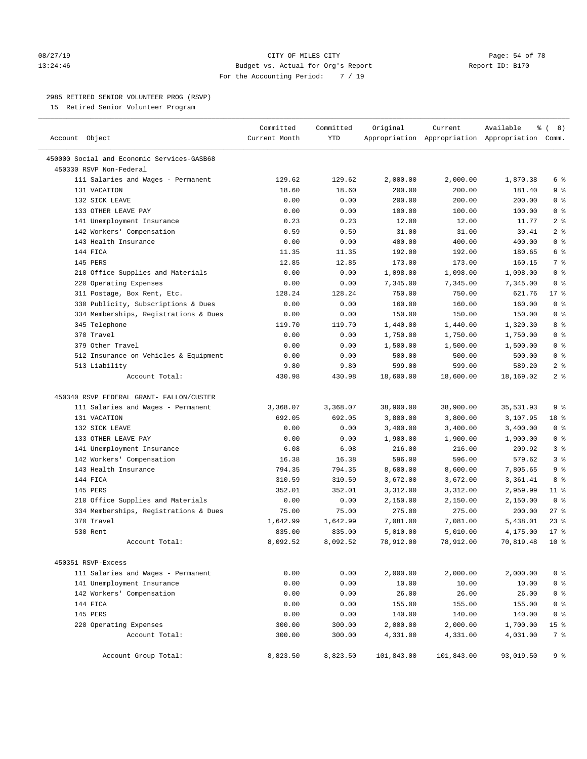#### 08/27/19 **Page: 54 of 78** CITY OF MILES CITY **Page: 54 of 78** 13:24:46 Budget vs. Actual for Org's Report Report ID: B170 For the Accounting Period: 7 / 19

————————————————————————————————————————————————————————————————————————————————————————————————————————————————————————————————————

#### 2985 RETIRED SENIOR VOLUNTEER PROG (RSVP)

15 Retired Senior Volunteer Program

|                                            | Committed     | Committed | Original   | Current    | Available                                       | ී (<br>8)       |
|--------------------------------------------|---------------|-----------|------------|------------|-------------------------------------------------|-----------------|
| Account Object                             | Current Month | YTD       |            |            | Appropriation Appropriation Appropriation Comm. |                 |
| 450000 Social and Economic Services-GASB68 |               |           |            |            |                                                 |                 |
| 450330 RSVP Non-Federal                    |               |           |            |            |                                                 |                 |
| 111 Salaries and Wages - Permanent         | 129.62        | 129.62    | 2,000.00   | 2,000.00   | 1,870.38                                        | 6 %             |
| 131 VACATION                               | 18.60         | 18.60     | 200.00     | 200.00     | 181.40                                          | 9%              |
| 132 SICK LEAVE                             | 0.00          | 0.00      | 200.00     | 200.00     | 200.00                                          | 0 <sup>8</sup>  |
| 133 OTHER LEAVE PAY                        | 0.00          | 0.00      | 100.00     | 100.00     | 100.00                                          | 0 <sup>8</sup>  |
| 141 Unemployment Insurance                 | 0.23          | 0.23      | 12.00      | 12.00      | 11.77                                           | 2 <sup>8</sup>  |
| 142 Workers' Compensation                  | 0.59          | 0.59      | 31.00      | 31.00      | 30.41                                           | 2 <sup>8</sup>  |
| 143 Health Insurance                       | 0.00          | 0.00      | 400.00     | 400.00     | 400.00                                          | 0 <sup>8</sup>  |
| 144 FICA                                   | 11.35         | 11.35     | 192.00     | 192.00     | 180.65                                          | 6 <sup>°</sup>  |
| 145 PERS                                   | 12.85         | 12.85     | 173.00     | 173.00     | 160.15                                          | 7 %             |
| 210 Office Supplies and Materials          | 0.00          | 0.00      | 1,098.00   | 1,098.00   | 1,098.00                                        | 0 <sup>8</sup>  |
| 220 Operating Expenses                     | 0.00          | 0.00      | 7,345.00   | 7,345.00   | 7,345.00                                        | 0 <sup>8</sup>  |
| 311 Postage, Box Rent, Etc.                | 128.24        | 128.24    | 750.00     | 750.00     | 621.76                                          | $17$ %          |
| 330 Publicity, Subscriptions & Dues        | 0.00          | 0.00      | 160.00     | 160.00     | 160.00                                          | 0 <sup>8</sup>  |
| 334 Memberships, Registrations & Dues      | 0.00          | 0.00      | 150.00     | 150.00     | 150.00                                          | 0 <sup>8</sup>  |
| 345 Telephone                              | 119.70        | 119.70    | 1,440.00   | 1,440.00   | 1,320.30                                        | 8%              |
| 370 Travel                                 | 0.00          | 0.00      | 1,750.00   | 1,750.00   | 1,750.00                                        | 0 <sup>8</sup>  |
| 379 Other Travel                           | 0.00          | 0.00      | 1,500.00   | 1,500.00   | 1,500.00                                        | 0 <sup>8</sup>  |
| 512 Insurance on Vehicles & Equipment      | 0.00          | 0.00      | 500.00     | 500.00     | 500.00                                          | 0 <sup>8</sup>  |
| 513 Liability                              | 9.80          | 9.80      | 599.00     | 599.00     | 589.20                                          | 2 <sup>8</sup>  |
| Account Total:                             | 430.98        | 430.98    | 18,600.00  | 18,600.00  | 18,169.02                                       | 2 <sup>°</sup>  |
| 450340 RSVP FEDERAL GRANT- FALLON/CUSTER   |               |           |            |            |                                                 |                 |
| 111 Salaries and Wages - Permanent         | 3,368.07      | 3,368.07  | 38,900.00  | 38,900.00  | 35,531.93                                       | 9%              |
| 131 VACATION                               | 692.05        | 692.05    | 3,800.00   | 3,800.00   | 3,107.95                                        | 18 %            |
| 132 SICK LEAVE                             | 0.00          | 0.00      | 3,400.00   | 3,400.00   | 3,400.00                                        | 0 <sup>8</sup>  |
| 133 OTHER LEAVE PAY                        | 0.00          | 0.00      | 1,900.00   | 1,900.00   | 1,900.00                                        | 0 <sup>8</sup>  |
| 141 Unemployment Insurance                 | 6.08          | 6.08      | 216.00     | 216.00     | 209.92                                          | 3 <sup>8</sup>  |
| 142 Workers' Compensation                  | 16.38         | 16.38     | 596.00     | 596.00     | 579.62                                          | 3 <sup>°</sup>  |
| 143 Health Insurance                       | 794.35        | 794.35    | 8,600.00   | 8,600.00   | 7,805.65                                        | 9 <sup>°</sup>  |
| 144 FICA                                   | 310.59        | 310.59    | 3,672.00   | 3,672.00   | 3,361.41                                        | 8%              |
| 145 PERS                                   | 352.01        | 352.01    | 3,312.00   | 3,312.00   | 2,959.99                                        | $11$ %          |
| 210 Office Supplies and Materials          | 0.00          | 0.00      | 2,150.00   | 2,150.00   | 2,150.00                                        | 0 <sup>8</sup>  |
| 334 Memberships, Registrations & Dues      | 75.00         | 75.00     | 275.00     | 275.00     | 200.00                                          | $27$ %          |
| 370 Travel                                 | 1,642.99      | 1,642.99  | 7,081.00   | 7,081.00   | 5,438.01                                        | $23$ %          |
| 530 Rent                                   | 835.00        | 835.00    | 5,010.00   | 5,010.00   | 4,175.00                                        | $17*$           |
| Account Total:                             | 8,092.52      | 8,092.52  | 78,912.00  | 78,912.00  | 70,819.48                                       | $10*$           |
| 450351 RSVP-Excess                         |               |           |            |            |                                                 |                 |
| 111 Salaries and Wages - Permanent         | 0.00          | 0.00      | 2,000.00   | 2,000.00   | 2,000.00                                        | 0 <sup>8</sup>  |
| 141 Unemployment Insurance                 | 0.00          | 0.00      | 10.00      | 10.00      | 10.00                                           | 0 <sup>8</sup>  |
| 142 Workers' Compensation                  | 0.00          | 0.00      | 26.00      | 26.00      | 26.00                                           | 0 <sup>8</sup>  |
| 144 FICA                                   | 0.00          | 0.00      | 155.00     | 155.00     | 155.00                                          | 0 <sup>8</sup>  |
| 145 PERS                                   | 0.00          | 0.00      | 140.00     | 140.00     | 140.00                                          | 0 <sup>8</sup>  |
| 220 Operating Expenses                     | 300.00        | 300.00    | 2,000.00   | 2,000.00   | 1,700.00                                        | 15 <sup>°</sup> |
| Account Total:                             | 300.00        | 300.00    | 4,331.00   | 4,331.00   | 4,031.00                                        | 7 %             |
| Account Group Total:                       | 8,823.50      | 8,823.50  | 101,843.00 | 101,843.00 | 93,019.50                                       | 9%              |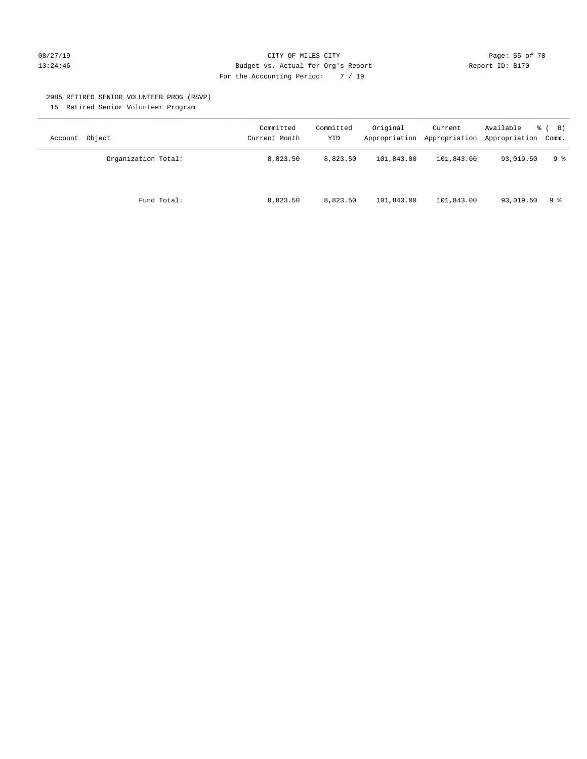#### 08/27/19 **Page: 55 of 78** CITY OF MILES CITY **Page: 55 of 78** 13:24:46 Budget vs. Actual for Org's Report Changer Report ID: B170 For the Accounting Period: 7 / 19

#### 2985 RETIRED SENIOR VOLUNTEER PROG (RSVP)

15 Retired Senior Volunteer Program

| Account Object      | Committed<br>Current Month | Committed<br><b>YTD</b> | Original   | Current    | Available<br>Appropriation Appropriation Appropriation Comm. | <sub>රී</sub> ( 8 ) |
|---------------------|----------------------------|-------------------------|------------|------------|--------------------------------------------------------------|---------------------|
| Organization Total: | 8,823.50                   | 8,823.50                | 101,843.00 | 101,843.00 | 93,019.50                                                    | 9 ક                 |
| Fund Total:         | 8,823.50                   | 8,823.50                | 101,843.00 | 101,843.00 | 93,019.50                                                    | 9 ક                 |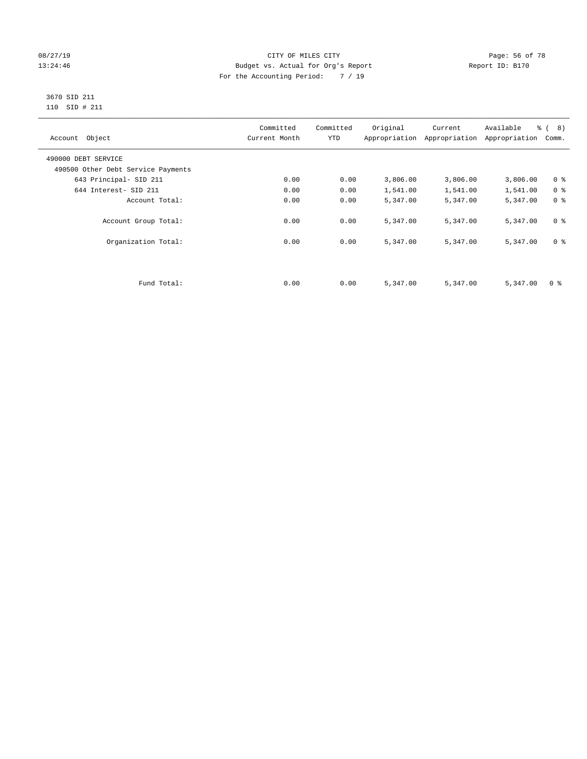#### 08/27/19 **Page: 56 of 78** CITY OF MILES CITY **Page: 56 of 78** 13:24:46 Budget vs. Actual for Org's Report Changer Report ID: B170 For the Accounting Period: 7 / 19

#### 3670 SID 211 110 SID # 211

| Account Object                     | Committed<br>Current Month | Committed<br><b>YTD</b> | Original | Current<br>Appropriation Appropriation | Available<br>Appropriation | % ( 8 )<br>Comm. |
|------------------------------------|----------------------------|-------------------------|----------|----------------------------------------|----------------------------|------------------|
| 490000 DEBT SERVICE                |                            |                         |          |                                        |                            |                  |
| 490500 Other Debt Service Payments |                            |                         |          |                                        |                            |                  |
| 643 Principal- SID 211             | 0.00                       | 0.00                    | 3,806.00 | 3,806.00                               | 3,806.00                   | 0 <sup>8</sup>   |
| 644 Interest- SID 211              | 0.00                       | 0.00                    | 1,541.00 | 1,541.00                               | 1,541.00                   | 0 <sup>8</sup>   |
| Account Total:                     | 0.00                       | 0.00                    | 5,347.00 | 5,347.00                               | 5,347.00                   | 0 <sup>8</sup>   |
| Account Group Total:               | 0.00                       | 0.00                    | 5,347.00 | 5,347.00                               | 5,347.00                   | 0 <sup>8</sup>   |
| Organization Total:                | 0.00                       | 0.00                    | 5,347.00 | 5,347.00                               | 5,347.00                   | 0 <sup>8</sup>   |
|                                    |                            |                         |          |                                        |                            |                  |
| Fund Total:                        | 0.00                       | 0.00                    | 5,347.00 | 5,347.00                               | 5,347.00                   | 0 %              |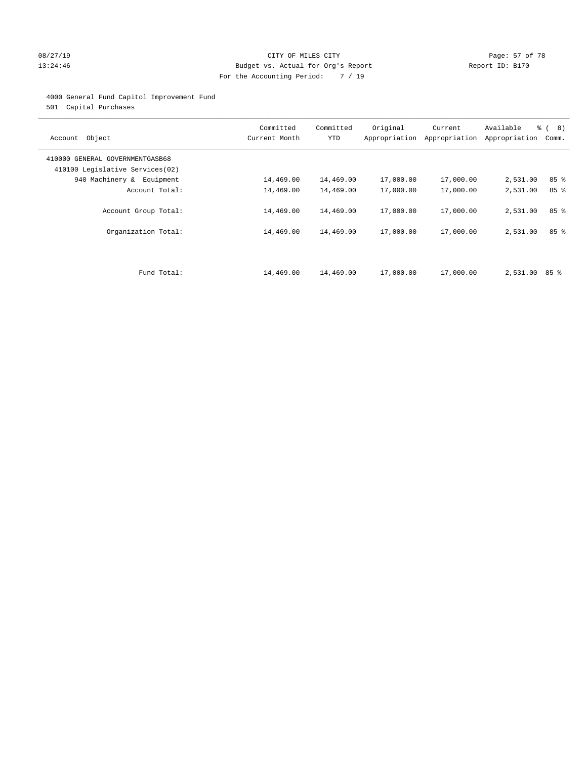#### 08/27/19 **Page: 57 of 78** CITY OF MILES CITY **Page: 57 of 78** 13:24:46 Budget vs. Actual for Org's Report Changer Report ID: B170 For the Accounting Period: 7 / 19

#### 4000 General Fund Capitol Improvement Fund

501 Capital Purchases

| Account Object                                                     | Committed<br>Current Month | Committed<br><b>YTD</b> | Original  | Current<br>Appropriation Appropriation | Available<br>Appropriation | % ( 8 )<br>Comm. |
|--------------------------------------------------------------------|----------------------------|-------------------------|-----------|----------------------------------------|----------------------------|------------------|
| 410000 GENERAL GOVERNMENTGASB68<br>410100 Legislative Services(02) |                            |                         |           |                                        |                            |                  |
| 940 Machinery & Equipment                                          | 14,469.00                  | 14,469.00               | 17,000.00 | 17,000.00                              | 2,531.00                   | 85%              |
| Account Total:                                                     | 14,469.00                  | 14,469.00               | 17,000.00 | 17,000.00                              | 2,531.00                   | 85%              |
| Account Group Total:                                               | 14,469.00                  | 14,469.00               | 17,000.00 | 17,000.00                              | 2,531.00                   | 85%              |
| Organization Total:                                                | 14,469.00                  | 14,469.00               | 17,000.00 | 17,000.00                              | 2,531.00                   | 85%              |
|                                                                    |                            |                         |           |                                        |                            |                  |
| Fund Total:                                                        | 14,469.00                  | 14,469.00               | 17,000.00 | 17,000.00                              | 2,531.00 85 %              |                  |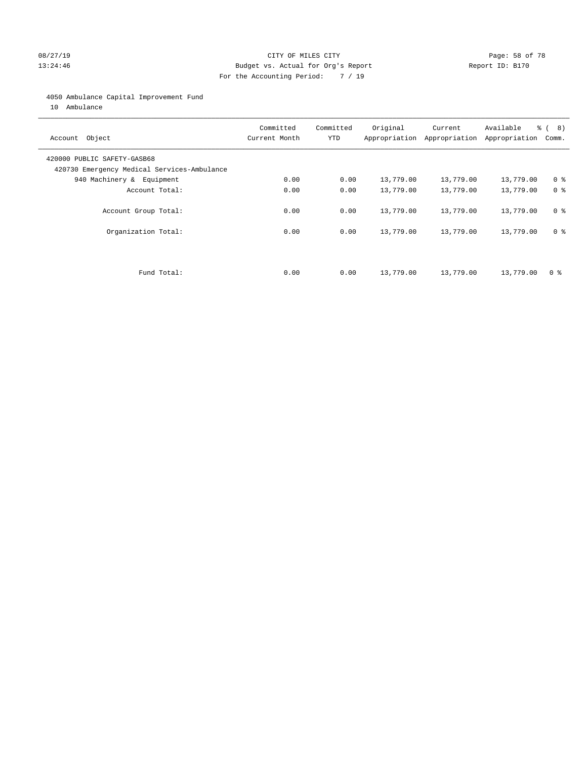#### 08/27/19 **Page: 58 of 78** CITY OF MILES CITY **Page: 58 of 78** 13:24:46 Budget vs. Actual for Org's Report Changer Report ID: B170 For the Accounting Period: 7 / 19

#### 4050 Ambulance Capital Improvement Fund

10 Ambulance

| Account Object                                                             | Committed<br>Current Month | Committed<br><b>YTD</b> | Original  | Current<br>Appropriation Appropriation | Available<br>Appropriation | % ( 8 )<br>Comm. |
|----------------------------------------------------------------------------|----------------------------|-------------------------|-----------|----------------------------------------|----------------------------|------------------|
| 420000 PUBLIC SAFETY-GASB68<br>420730 Emergency Medical Services-Ambulance |                            |                         |           |                                        |                            |                  |
| 940 Machinery & Equipment                                                  | 0.00                       | 0.00                    | 13,779.00 | 13,779.00                              | 13,779.00                  | 0 <sup>8</sup>   |
| Account Total:                                                             | 0.00                       | 0.00                    | 13,779.00 | 13,779.00                              | 13,779.00                  | 0 <sup>8</sup>   |
| Account Group Total:                                                       | 0.00                       | 0.00                    | 13,779.00 | 13,779.00                              | 13,779.00                  | 0 <sup>8</sup>   |
| Organization Total:                                                        | 0.00                       | 0.00                    | 13,779.00 | 13,779.00                              | 13,779.00                  | 0 <sup>8</sup>   |
|                                                                            |                            |                         |           |                                        |                            |                  |
| Fund Total:                                                                | 0.00                       | 0.00                    | 13,779.00 | 13,779.00                              | 13,779.00                  | 0 %              |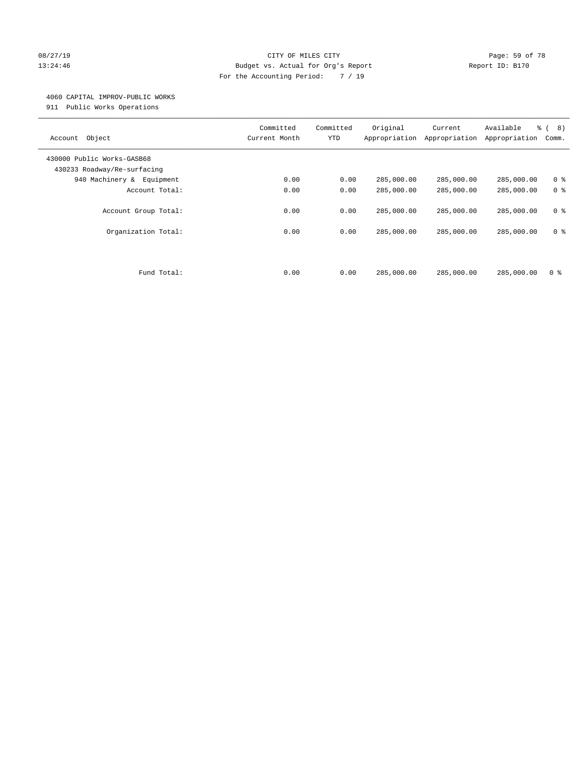#### 08/27/19 **Page: 59 of 78** CITY OF MILES CITY **Page: 59 of 78** 13:24:46 Budget vs. Actual for Org's Report Changer Report ID: B170 For the Accounting Period: 7 / 19

#### 4060 CAPITAL IMPROV-PUBLIC WORKS

911 Public Works Operations

| Object<br>Account                                         | Committed<br>Current Month | Committed<br><b>YTD</b> | Original<br>Appropriation | Current<br>Appropriation | Available<br>Appropriation | $\frac{6}{6}$ ( 8)<br>Comm. |
|-----------------------------------------------------------|----------------------------|-------------------------|---------------------------|--------------------------|----------------------------|-----------------------------|
| 430000 Public Works-GASB68<br>430233 Roadway/Re-surfacing |                            |                         |                           |                          |                            |                             |
| 940 Machinery &<br>Equipment                              | 0.00                       | 0.00                    | 285,000.00                | 285,000.00               | 285,000.00                 | 0 <sup>8</sup>              |
| Account Total:                                            | 0.00                       | 0.00                    | 285,000.00                | 285,000.00               | 285,000.00                 | 0 <sup>8</sup>              |
| Account Group Total:                                      | 0.00                       | 0.00                    | 285,000.00                | 285,000.00               | 285,000.00                 | 0 <sup>8</sup>              |
| Organization Total:                                       | 0.00                       | 0.00                    | 285,000.00                | 285,000.00               | 285,000.00                 | 0 <sup>8</sup>              |
|                                                           |                            |                         |                           |                          |                            |                             |
| Fund Total:                                               | 0.00                       | 0.00                    | 285,000.00                | 285,000.00               | 285,000.00                 | 0 <sup>8</sup>              |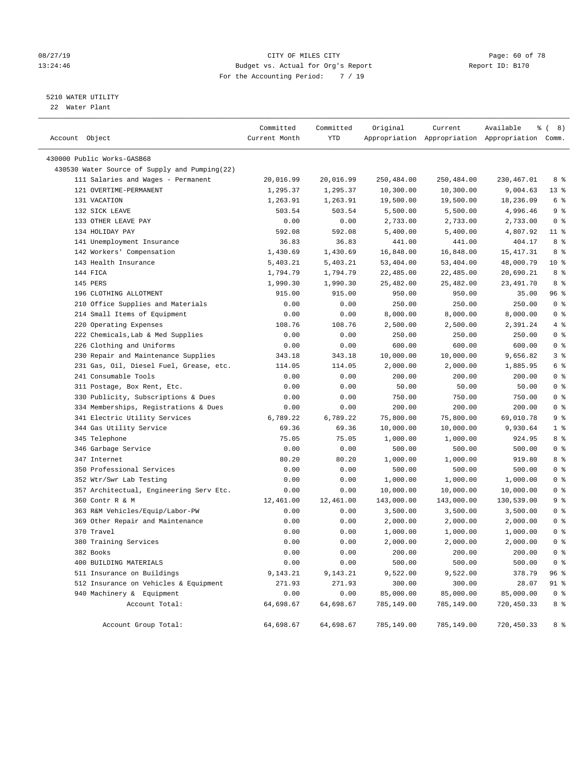#### 08/27/19 **Page: 60 of 78** CITY OF MILES CITY **Page: 60 of 78** 13:24:46 Budget vs. Actual for Org's Report Changer Report ID: B170 For the Accounting Period: 7 / 19

#### 5210 WATER UTILITY

22 Water Plant

| Account Object                                | Committed<br>Current Month | Committed<br>YTD | Original   | Current    | Available<br>Appropriation Appropriation Appropriation Comm. | <sub>රි</sub> ( 8 ) |
|-----------------------------------------------|----------------------------|------------------|------------|------------|--------------------------------------------------------------|---------------------|
| 430000 Public Works-GASB68                    |                            |                  |            |            |                                                              |                     |
| 430530 Water Source of Supply and Pumping(22) |                            |                  |            |            |                                                              |                     |
| 111 Salaries and Wages - Permanent            | 20,016.99                  | 20,016.99        | 250,484.00 | 250,484.00 | 230,467.01                                                   | 8 %                 |
| 121 OVERTIME-PERMANENT                        | 1,295.37                   | 1,295.37         | 10,300.00  | 10,300.00  | 9,004.63                                                     | $13*$               |
| 131 VACATION                                  | 1,263.91                   | 1,263.91         | 19,500.00  | 19,500.00  | 18,236.09                                                    | 6 <sup>°</sup>      |
| 132 SICK LEAVE                                | 503.54                     | 503.54           | 5,500.00   | 5,500.00   | 4,996.46                                                     | 9 <sup>°</sup>      |
| 133 OTHER LEAVE PAY                           | 0.00                       | 0.00             | 2,733.00   | 2,733.00   | 2,733.00                                                     | 0 <sup>8</sup>      |
| 134 HOLIDAY PAY                               | 592.08                     | 592.08           | 5,400.00   | 5,400.00   | 4,807.92                                                     | $11$ %              |
| 141 Unemployment Insurance                    | 36.83                      | 36.83            | 441.00     | 441.00     | 404.17                                                       | 8 %                 |
| 142 Workers' Compensation                     | 1,430.69                   | 1,430.69         | 16,848.00  | 16,848.00  | 15, 417.31                                                   | 8 %                 |
| 143 Health Insurance                          | 5,403.21                   | 5,403.21         | 53,404.00  | 53,404.00  | 48,000.79                                                    | $10*$               |
| 144 FICA                                      | 1,794.79                   | 1,794.79         | 22,485.00  | 22,485.00  | 20,690.21                                                    | 8 %                 |
| 145 PERS                                      | 1,990.30                   | 1,990.30         | 25,482.00  | 25,482.00  | 23,491.70                                                    | 8 %                 |
| 196 CLOTHING ALLOTMENT                        | 915.00                     | 915.00           | 950.00     | 950.00     | 35.00                                                        | 96%                 |
| 210 Office Supplies and Materials             | 0.00                       | 0.00             | 250.00     | 250.00     | 250.00                                                       | 0 <sup>8</sup>      |
| 214 Small Items of Equipment                  | 0.00                       | 0.00             | 8,000.00   | 8,000.00   | 8,000.00                                                     | 0 <sup>8</sup>      |
| 220 Operating Expenses                        | 108.76                     | 108.76           | 2,500.00   | 2,500.00   | 2,391.24                                                     | 4%                  |
| 222 Chemicals, Lab & Med Supplies             | 0.00                       | 0.00             | 250.00     | 250.00     | 250.00                                                       | 0 <sup>8</sup>      |
| 226 Clothing and Uniforms                     | 0.00                       | 0.00             | 600.00     | 600.00     | 600.00                                                       | 0 <sup>8</sup>      |
| 230 Repair and Maintenance Supplies           | 343.18                     | 343.18           | 10,000.00  | 10,000.00  | 9,656.82                                                     | 3 <sup>8</sup>      |
| 231 Gas, Oil, Diesel Fuel, Grease, etc.       | 114.05                     | 114.05           | 2,000.00   | 2,000.00   | 1,885.95                                                     | 6 %                 |
| 241 Consumable Tools                          | 0.00                       | 0.00             | 200.00     | 200.00     | 200.00                                                       | 0 <sup>8</sup>      |
| 311 Postage, Box Rent, Etc.                   | 0.00                       | 0.00             | 50.00      | 50.00      | 50.00                                                        | 0 <sup>8</sup>      |
| 330 Publicity, Subscriptions & Dues           | 0.00                       | 0.00             | 750.00     | 750.00     | 750.00                                                       | 0 <sup>8</sup>      |
| 334 Memberships, Registrations & Dues         | 0.00                       | 0.00             | 200.00     | 200.00     | 200.00                                                       | 0 <sup>8</sup>      |
| 341 Electric Utility Services                 | 6,789.22                   | 6,789.22         | 75,800.00  | 75,800.00  | 69,010.78                                                    | 9 <sup>°</sup>      |
| 344 Gas Utility Service                       | 69.36                      | 69.36            | 10,000.00  | 10,000.00  | 9,930.64                                                     | 1 <sup>°</sup>      |
| 345 Telephone                                 | 75.05                      | 75.05            | 1,000.00   | 1,000.00   | 924.95                                                       | 8 %                 |
| 346 Garbage Service                           | 0.00                       | 0.00             | 500.00     | 500.00     | 500.00                                                       | 0 <sup>8</sup>      |
| 347 Internet                                  | 80.20                      | 80.20            | 1,000.00   | 1,000.00   | 919.80                                                       | 8%                  |
| 350 Professional Services                     | 0.00                       | 0.00             | 500.00     | 500.00     | 500.00                                                       | 0 <sup>8</sup>      |
| 352 Wtr/Swr Lab Testing                       | 0.00                       | 0.00             | 1,000.00   | 1,000.00   | 1,000.00                                                     | 0 <sup>8</sup>      |
| 357 Architectual, Engineering Serv Etc.       | 0.00                       | 0.00             | 10,000.00  | 10,000.00  | 10,000.00                                                    | 0 <sup>8</sup>      |
| 360 Contr R & M                               | 12,461.00                  | 12,461.00        | 143,000.00 | 143,000.00 | 130,539.00                                                   | 9 <sup>°</sup>      |
| 363 R&M Vehicles/Equip/Labor-PW               | 0.00                       | 0.00             | 3,500.00   | 3,500.00   | 3,500.00                                                     | 0 <sup>8</sup>      |
| 369 Other Repair and Maintenance              | 0.00                       | 0.00             | 2,000.00   | 2,000.00   | 2,000.00                                                     | 0 <sup>8</sup>      |
| 370 Travel                                    | 0.00                       | 0.00             | 1,000.00   | 1,000.00   | 1,000.00                                                     | 0 <sup>8</sup>      |
| 380 Training Services                         | 0.00                       | 0.00             | 2,000.00   | 2,000.00   | 2,000.00                                                     | 0 <sup>8</sup>      |
| 382 Books                                     | 0.00                       | 0.00             | 200.00     | 200.00     | 200.00                                                       | 0 <sup>8</sup>      |
| 400 BUILDING MATERIALS                        | 0.00                       | 0.00             | 500.00     | 500.00     | 500.00                                                       | 0 <sup>8</sup>      |
| 511 Insurance on Buildings                    | 9,143.21                   | 9,143.21         | 9,522.00   | 9,522.00   | 378.79                                                       | 96 %                |
| 512 Insurance on Vehicles & Equipment         | 271.93                     | 271.93           | 300.00     | 300.00     | 28.07                                                        | 91 %                |
| 940 Machinery & Equipment                     | 0.00                       | 0.00             | 85,000.00  | 85,000.00  | 85,000.00                                                    | $0$ %               |
| Account Total:                                | 64,698.67                  | 64,698.67        | 785,149.00 | 785,149.00 | 720,450.33                                                   | 8 %                 |
| Account Group Total:                          | 64,698.67                  | 64,698.67        | 785,149.00 | 785,149.00 | 720,450.33                                                   | 8 %                 |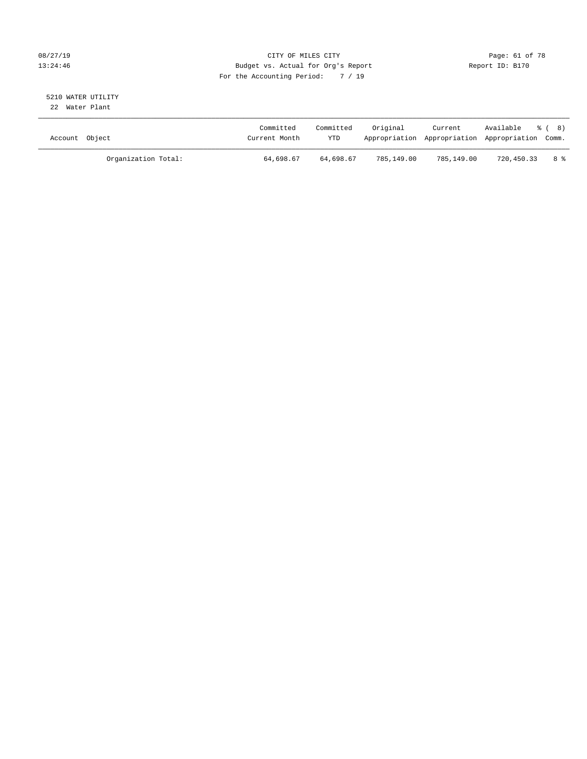#### 08/27/19 **Page: 61 of 78** CITY OF MILES CITY **Page: 61 of 78** 13:24:46 Budget vs. Actual for Org's Report Changer Report ID: B170 For the Accounting Period: 7 / 19

# 5210 WATER UTILITY

22 Water Plant

| Account Object |                     | Committed<br>Current Month | Committed<br><b>YTD</b> | Original   | Current    | Available % (8)<br>Appropriation Appropriation Appropriation Comm. |                 |
|----------------|---------------------|----------------------------|-------------------------|------------|------------|--------------------------------------------------------------------|-----------------|
|                | Organization Total: | 64,698.67                  | 64,698.67               | 785,149.00 | 785,149.00 | 720,450.33                                                         | $8 \frac{6}{3}$ |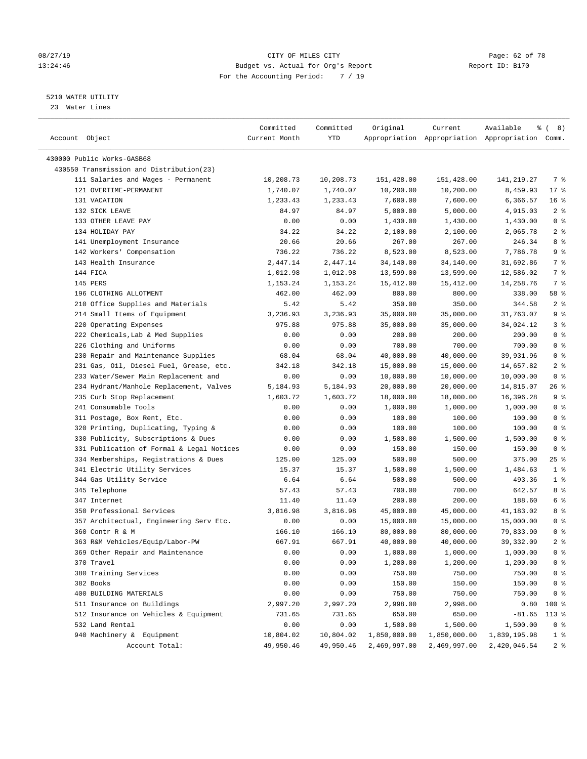#### 08/27/19 **Page: 62 of 78** CITY OF MILES CITY **Page: 62 of 78** 13:24:46 Budget vs. Actual for Org's Report Changer Report ID: B170 For the Accounting Period: 7 / 19

————————————————————————————————————————————————————————————————————————————————————————————————————————————————————————————————————

#### 5210 WATER UTILITY

23 Water Lines

|                                           | Committed     | Committed | Original     | Current                                         | Available<br>ွေ | 8)<br>$\left($  |
|-------------------------------------------|---------------|-----------|--------------|-------------------------------------------------|-----------------|-----------------|
| Account Object                            | Current Month | YTD       |              | Appropriation Appropriation Appropriation Comm. |                 |                 |
|                                           |               |           |              |                                                 |                 |                 |
| 430000 Public Works-GASB68                |               |           |              |                                                 |                 |                 |
| 430550 Transmission and Distribution(23)  |               |           |              |                                                 |                 |                 |
| 111 Salaries and Wages - Permanent        | 10,208.73     | 10,208.73 | 151,428.00   | 151,428.00                                      | 141,219.27      | 7 %             |
| 121 OVERTIME-PERMANENT                    | 1,740.07      | 1,740.07  | 10,200.00    | 10,200.00                                       | 8,459.93        | 17%             |
| 131 VACATION                              | 1,233.43      | 1,233.43  | 7,600.00     | 7,600.00                                        | 6,366.57        | 16 <sup>°</sup> |
| 132 SICK LEAVE                            | 84.97         | 84.97     | 5,000.00     | 5,000.00                                        | 4,915.03        | 2 <sub>8</sub>  |
| 133 OTHER LEAVE PAY                       | 0.00          | 0.00      | 1,430.00     | 1,430.00                                        | 1,430.00        | 0 <sup>8</sup>  |
| 134 HOLIDAY PAY                           | 34.22         | 34.22     | 2,100.00     | 2,100.00                                        | 2,065.78        | 2 <sup>°</sup>  |
| 141 Unemployment Insurance                | 20.66         | 20.66     | 267.00       | 267.00                                          | 246.34          | 8%              |
| 142 Workers' Compensation                 | 736.22        | 736.22    | 8,523.00     | 8,523.00                                        | 7,786.78        | 9 <sup>°</sup>  |
| 143 Health Insurance                      | 2,447.14      | 2,447.14  | 34,140.00    | 34,140.00                                       | 31,692.86       | 7 %             |
| 144 FICA                                  | 1,012.98      | 1,012.98  | 13,599.00    | 13,599.00                                       | 12,586.02       | 7 %             |
| 145 PERS                                  | 1,153.24      | 1,153.24  | 15,412.00    | 15,412.00                                       | 14,258.76       | 7 %             |
| 196 CLOTHING ALLOTMENT                    | 462.00        | 462.00    | 800.00       | 800.00                                          | 338.00          | 58 %            |
| 210 Office Supplies and Materials         | 5.42          | 5.42      | 350.00       | 350.00                                          | 344.58          | 2 <sup>8</sup>  |
| 214 Small Items of Equipment              | 3,236.93      | 3,236.93  | 35,000.00    | 35,000.00                                       | 31,763.07       | 9 <sup>°</sup>  |
| 220 Operating Expenses                    | 975.88        | 975.88    | 35,000.00    | 35,000.00                                       | 34,024.12       | 3%              |
| 222 Chemicals, Lab & Med Supplies         | 0.00          | 0.00      | 200.00       | 200.00                                          | 200.00          | 0 <sup>8</sup>  |
| 226 Clothing and Uniforms                 | 0.00          | 0.00      | 700.00       | 700.00                                          | 700.00          | 0 <sup>8</sup>  |
| 230 Repair and Maintenance Supplies       | 68.04         | 68.04     | 40,000.00    | 40,000.00                                       | 39,931.96       | 0 <sup>8</sup>  |
| 231 Gas, Oil, Diesel Fuel, Grease, etc.   | 342.18        | 342.18    | 15,000.00    | 15,000.00                                       | 14,657.82       | 2 <sub>8</sub>  |
| 233 Water/Sewer Main Replacement and      | 0.00          | 0.00      | 10,000.00    | 10,000.00                                       | 10,000.00       | 0 <sup>8</sup>  |
| 234 Hydrant/Manhole Replacement, Valves   | 5,184.93      | 5,184.93  | 20,000.00    | 20,000.00                                       | 14,815.07       | 26 %            |
| 235 Curb Stop Replacement                 | 1,603.72      | 1,603.72  | 18,000.00    | 18,000.00                                       | 16,396.28       | 9%              |
| 241 Consumable Tools                      | 0.00          | 0.00      | 1,000.00     | 1,000.00                                        | 1,000.00        | 0 <sup>8</sup>  |
| 311 Postage, Box Rent, Etc.               | 0.00          | 0.00      | 100.00       | 100.00                                          | 100.00          | 0 <sup>8</sup>  |
| 320 Printing, Duplicating, Typing &       | 0.00          | 0.00      | 100.00       | 100.00                                          | 100.00          | 0 <sup>8</sup>  |
| 330 Publicity, Subscriptions & Dues       | 0.00          | 0.00      | 1,500.00     | 1,500.00                                        | 1,500.00        | 0 <sup>°</sup>  |
| 331 Publication of Formal & Legal Notices | 0.00          | 0.00      | 150.00       | 150.00                                          | 150.00          | 0 <sup>8</sup>  |
| 334 Memberships, Registrations & Dues     | 125.00        | 125.00    | 500.00       | 500.00                                          | 375.00          | $25$ %          |
| 341 Electric Utility Services             | 15.37         | 15.37     | 1,500.00     | 1,500.00                                        | 1,484.63        | 1 <sup>8</sup>  |
| 344 Gas Utility Service                   | 6.64          | 6.64      | 500.00       | 500.00                                          | 493.36          | 1 <sup>°</sup>  |
| 345 Telephone                             | 57.43         | 57.43     | 700.00       | 700.00                                          | 642.57          | 8%              |
| 347 Internet                              | 11.40         | 11.40     | 200.00       | 200.00                                          | 188.60          | 6 %             |
| 350 Professional Services                 | 3,816.98      | 3,816.98  | 45,000.00    | 45,000.00                                       | 41,183.02       | 8 %             |
| 357 Architectual, Engineering Serv Etc.   | 0.00          | 0.00      | 15,000.00    | 15,000.00                                       | 15,000.00       | 0 <sup>8</sup>  |
| 360 Contr R & M                           | 166.10        | 166.10    | 80,000.00    | 80,000.00                                       | 79,833.90       | 0 <sup>°</sup>  |
| 363 R&M Vehicles/Equip/Labor-PW           | 667.91        | 667.91    | 40,000.00    | 40,000.00                                       | 39, 332.09      | 2 <sup>°</sup>  |
| 369 Other Repair and Maintenance          | 0.00          | 0.00      | 1,000.00     | 1,000.00                                        | 1,000.00        | 0 <sup>8</sup>  |
|                                           |               |           |              |                                                 |                 |                 |
| 370 Travel                                | 0.00          | 0.00      | 1,200.00     | 1,200.00                                        | 1,200.00        | $0$ %           |
| 380 Training Services<br>382 Books        | 0.00          | 0.00      | 750.00       | 750.00                                          | 750.00          | 0 <sup>8</sup>  |
|                                           | 0.00          | 0.00      | 150.00       | 150.00                                          | 150.00          | 0 <sup>8</sup>  |
| 400 BUILDING MATERIALS                    | 0.00          | 0.00      | 750.00       | 750.00                                          | 750.00          | $0$ %           |
| 511 Insurance on Buildings                | 2,997.20      | 2,997.20  | 2,998.00     | 2,998.00                                        | 0.80            | 100 %           |
| 512 Insurance on Vehicles & Equipment     | 731.65        | 731.65    | 650.00       | 650.00                                          | $-81.65$        | 113 %           |
| 532 Land Rental                           | 0.00          | 0.00      | 1,500.00     | 1,500.00                                        | 1,500.00        | 0 <sup>8</sup>  |
| 940 Machinery & Equipment                 | 10,804.02     | 10,804.02 | 1,850,000.00 | 1,850,000.00                                    | 1,839,195.98    | 1 <sup>8</sup>  |
| Account Total:                            | 49,950.46     | 49,950.46 | 2,469,997.00 | 2,469,997.00                                    | 2,420,046.54    | 2 <sup>8</sup>  |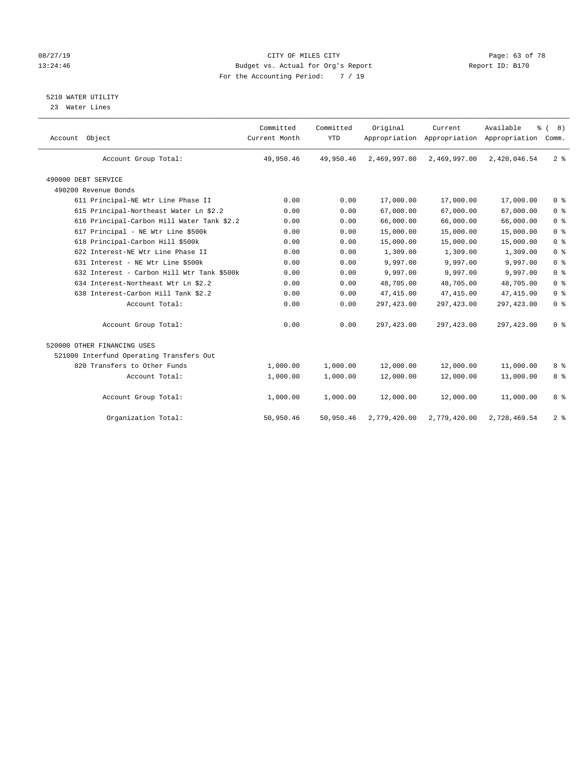#### 08/27/19 **Page: 63 of 78** CITY OF MILES CITY **Page: 63 of 78** 13:24:46 Budget vs. Actual for Org's Report Changer Report ID: B170 For the Accounting Period: 7 / 19

5210 WATER UTILITY

23 Water Lines

| Account Object                             | Committed<br>Current Month | Committed<br><b>YTD</b> | Original     | Current      | Available<br>Appropriation Appropriation Appropriation | % (8)<br>Comm. |
|--------------------------------------------|----------------------------|-------------------------|--------------|--------------|--------------------------------------------------------|----------------|
| Account Group Total:                       | 49,950.46                  | 49,950.46               | 2,469,997.00 | 2,469,997.00 | 2,420,046.54                                           | 2 <sup>8</sup> |
| 490000 DEBT SERVICE                        |                            |                         |              |              |                                                        |                |
| 490200 Revenue Bonds                       |                            |                         |              |              |                                                        |                |
| 611 Principal-NE Wtr Line Phase II         | 0.00                       | 0.00                    | 17,000.00    | 17,000.00    | 17,000.00                                              | 0 <sup>8</sup> |
| 615 Principal-Northeast Water Ln \$2.2     | 0.00                       | 0.00                    | 67,000.00    | 67,000.00    | 67,000.00                                              | 0 <sup>8</sup> |
| 616 Principal-Carbon Hill Water Tank \$2.2 | 0.00                       | 0.00                    | 66,000.00    | 66,000.00    | 66,000.00                                              | 0 <sup>8</sup> |
| 617 Principal - NE Wtr Line \$500k         | 0.00                       | 0.00                    | 15,000.00    | 15,000.00    | 15,000.00                                              | 0 <sup>8</sup> |
| 618 Principal-Carbon Hill \$500k           | 0.00                       | 0.00                    | 15,000.00    | 15,000.00    | 15,000.00                                              | 0 <sup>8</sup> |
| 622 Interest-NE Wtr Line Phase II          | 0.00                       | 0.00                    | 1,309.00     | 1,309.00     | 1,309.00                                               | 0 <sup>8</sup> |
| 631 Interest - NE Wtr Line \$500k          | 0.00                       | 0.00                    | 9,997.00     | 9,997.00     | 9,997.00                                               | 0 <sup>8</sup> |
| 632 Interest - Carbon Hill Wtr Tank \$500k | 0.00                       | 0.00                    | 9,997.00     | 9,997.00     | 9,997.00                                               | 0 <sup>8</sup> |
| 634 Interest-Northeast Wtr Ln \$2.2        | 0.00                       | 0.00                    | 48,705.00    | 48,705.00    | 48,705.00                                              | 0 <sup>8</sup> |
| 638 Interest-Carbon Hill Tank \$2.2        | 0.00                       | 0.00                    | 47, 415.00   | 47, 415.00   | 47, 415.00                                             | 0 <sup>8</sup> |
| Account Total:                             | 0.00                       | 0.00                    | 297,423.00   | 297, 423.00  | 297, 423.00                                            | 0 <sup>8</sup> |
| Account Group Total:                       | 0.00                       | 0.00                    | 297,423.00   | 297, 423.00  | 297, 423.00                                            | 0 <sup>8</sup> |
| 520000 OTHER FINANCING USES                |                            |                         |              |              |                                                        |                |
| 521000 Interfund Operating Transfers Out   |                            |                         |              |              |                                                        |                |
| 820 Transfers to Other Funds               | 1,000.00                   | 1,000.00                | 12,000.00    | 12,000.00    | 11,000.00                                              | 8 %            |
| Account Total:                             | 1,000.00                   | 1,000.00                | 12,000.00    | 12,000.00    | 11,000.00                                              | 8 %            |
| Account Group Total:                       | 1,000.00                   | 1,000.00                | 12,000.00    | 12,000.00    | 11,000.00                                              | 8 <sup>8</sup> |
| Organization Total:                        | 50,950.46                  | 50,950.46               | 2,779,420.00 | 2,779,420.00 | 2,728,469.54                                           | 2 <sup>8</sup> |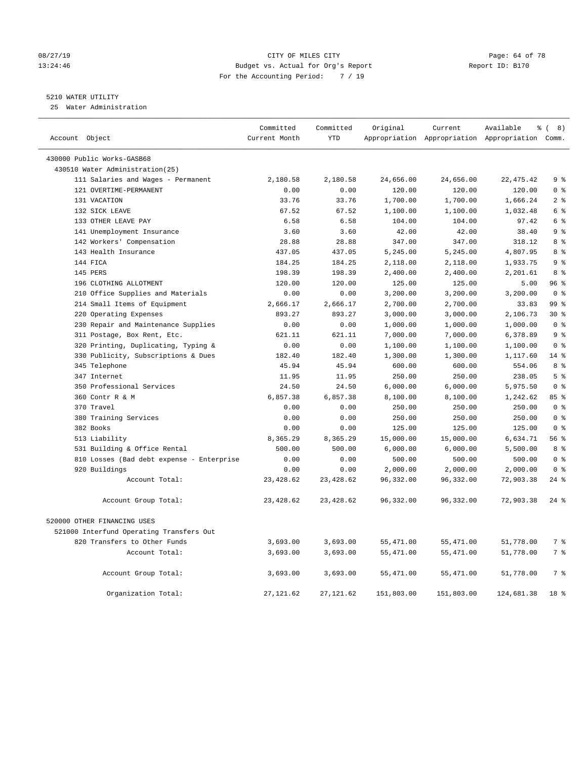#### 08/27/19 Page: 64 of 78 13:24:46 Budget vs. Actual for Org's Report Report ID: B170 For the Accounting Period: 7 / 19

#### 5210 WATER UTILITY

25 Water Administration

| Account Object                            | Committed<br>Current Month | Committed<br><b>YTD</b> | Original   | Current    | Available<br>Appropriation Appropriation Appropriation Comm. | <sub>ර</sub> ි (8)                 |
|-------------------------------------------|----------------------------|-------------------------|------------|------------|--------------------------------------------------------------|------------------------------------|
| 430000 Public Works-GASB68                |                            |                         |            |            |                                                              |                                    |
| 430510 Water Administration(25)           |                            |                         |            |            |                                                              |                                    |
| 111 Salaries and Wages - Permanent        | 2,180.58                   | 2,180.58                | 24,656.00  | 24,656.00  | 22, 475.42                                                   | 9 <sup>°</sup>                     |
| 121 OVERTIME-PERMANENT                    | 0.00                       | 0.00                    | 120.00     | 120.00     | 120.00                                                       | 0 <sup>8</sup>                     |
| 131 VACATION                              | 33.76                      | 33.76                   | 1,700.00   | 1,700.00   | 1,666.24                                                     | 2 <sup>8</sup>                     |
| 132 SICK LEAVE                            | 67.52                      | 67.52                   | 1,100.00   | 1,100.00   | 1,032.48                                                     | 6 %                                |
| 133 OTHER LEAVE PAY                       | 6.58                       | 6.58                    | 104.00     | 104.00     | 97.42                                                        | $6 \text{ }$ $\text{ }$ $\text{ }$ |
| 141 Unemployment Insurance                | 3.60                       | 3.60                    | 42.00      | 42.00      | 38.40                                                        | 9 <sup>8</sup>                     |
| 142 Workers' Compensation                 | 28.88                      | 28.88                   | 347.00     | 347.00     | 318.12                                                       | 8 %                                |
| 143 Health Insurance                      | 437.05                     | 437.05                  | 5,245.00   | 5,245.00   | 4,807.95                                                     | 8 %                                |
| 144 FICA                                  | 184.25                     | 184.25                  | 2,118.00   | 2,118.00   | 1,933.75                                                     | 9 <sup>8</sup>                     |
| 145 PERS                                  | 198.39                     | 198.39                  | 2,400.00   | 2,400.00   | 2,201.61                                                     | 8 %                                |
| 196 CLOTHING ALLOTMENT                    | 120.00                     | 120.00                  | 125.00     | 125.00     | 5.00                                                         | 96%                                |
| 210 Office Supplies and Materials         | 0.00                       | 0.00                    | 3,200.00   | 3,200.00   | 3,200.00                                                     | 0 <sup>8</sup>                     |
| 214 Small Items of Equipment              | 2,666.17                   | 2,666.17                | 2,700.00   | 2,700.00   | 33.83                                                        | 99 <sub>8</sub>                    |
| 220 Operating Expenses                    | 893.27                     | 893.27                  | 3,000.00   | 3,000.00   | 2,106.73                                                     | $30*$                              |
| 230 Repair and Maintenance Supplies       | 0.00                       | 0.00                    | 1,000.00   | 1,000.00   | 1,000.00                                                     | 0 <sup>8</sup>                     |
| 311 Postage, Box Rent, Etc.               | 621.11                     | 621.11                  | 7,000.00   | 7,000.00   | 6,378.89                                                     | 9%                                 |
| 320 Printing, Duplicating, Typing &       | 0.00                       | 0.00                    | 1,100.00   | 1,100.00   | 1,100.00                                                     | 0 <sup>8</sup>                     |
| 330 Publicity, Subscriptions & Dues       | 182.40                     | 182.40                  | 1,300.00   | 1,300.00   | 1,117.60                                                     | $14*$                              |
| 345 Telephone                             | 45.94                      | 45.94                   | 600.00     | 600.00     | 554.06                                                       | 8 %                                |
| 347 Internet                              | 11.95                      | 11.95                   | 250.00     | 250.00     | 238.05                                                       | 5 <sup>°</sup>                     |
| 350 Professional Services                 | 24.50                      | 24.50                   | 6,000.00   | 6,000.00   | 5,975.50                                                     | 0 <sup>8</sup>                     |
| 360 Contr R & M                           | 6,857.38                   | 6,857.38                | 8,100.00   | 8,100.00   | 1,242.62                                                     | 85 %                               |
| 370 Travel                                | 0.00                       | 0.00                    | 250.00     | 250.00     | 250.00                                                       | 0 <sup>8</sup>                     |
| 380 Training Services                     | 0.00                       | 0.00                    | 250.00     | 250.00     | 250.00                                                       | 0 <sup>8</sup>                     |
| 382 Books                                 | 0.00                       | 0.00                    | 125.00     | 125.00     | 125.00                                                       | 0 <sup>8</sup>                     |
| 513 Liability                             | 8,365.29                   | 8,365.29                | 15,000.00  | 15,000.00  | 6,634.71                                                     | 56 %                               |
| 531 Building & Office Rental              | 500.00                     | 500.00                  | 6,000.00   | 6,000.00   | 5,500.00                                                     | 8 %                                |
| 810 Losses (Bad debt expense - Enterprise | 0.00                       | 0.00                    | 500.00     | 500.00     | 500.00                                                       | 0 <sup>8</sup>                     |
| 920 Buildings                             | 0.00                       | 0.00                    | 2,000.00   | 2,000.00   | 2,000.00                                                     | 0 <sup>8</sup>                     |
| Account Total:                            | 23, 428.62                 | 23, 428.62              | 96,332.00  | 96,332.00  | 72,903.38                                                    | $24$ %                             |
| Account Group Total:                      | 23,428.62                  | 23,428.62               | 96,332.00  | 96,332.00  | 72,903.38                                                    | $24$ %                             |
| 520000 OTHER FINANCING USES               |                            |                         |            |            |                                                              |                                    |
| 521000 Interfund Operating Transfers Out  |                            |                         |            |            |                                                              |                                    |
| 820 Transfers to Other Funds              | 3,693.00                   | 3,693.00                | 55,471.00  | 55,471.00  | 51,778.00                                                    | 7 %                                |
| Account Total:                            | 3,693.00                   | 3,693.00                | 55,471.00  | 55,471.00  | 51,778.00                                                    | 7 %                                |
| Account Group Total:                      | 3,693.00                   | 3,693.00                | 55,471.00  | 55,471.00  | 51,778.00                                                    | 7 %                                |
| Organization Total:                       | 27, 121.62                 | 27, 121.62              | 151,803.00 | 151,803.00 | 124,681.38                                                   | 18 %                               |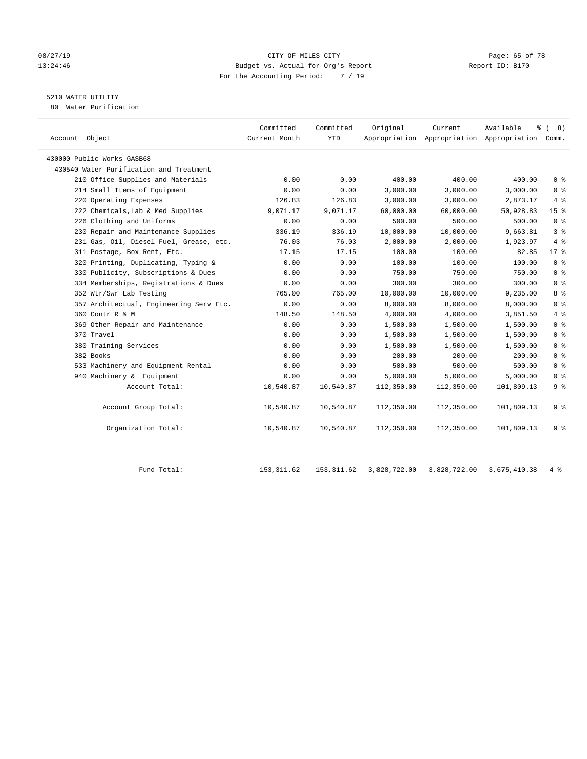#### 08/27/19 **Page: 65 of 78** CITY OF MILES CITY **Page: 65 of 78** 13:24:46 Budget vs. Actual for Org's Report Changer Report ID: B170 For the Accounting Period: 7 / 19

# 5210 WATER UTILITY

80 Water Purification

| Account Object                          | Committed<br>Current Month | Committed<br><b>YTD</b> | Original   | Current    | Available<br>Appropriation Appropriation Appropriation Comm. | <sub>රි</sub> ( 8 ) |
|-----------------------------------------|----------------------------|-------------------------|------------|------------|--------------------------------------------------------------|---------------------|
| 430000 Public Works-GASB68              |                            |                         |            |            |                                                              |                     |
| 430540 Water Purification and Treatment |                            |                         |            |            |                                                              |                     |
| 210 Office Supplies and Materials       | 0.00                       | 0.00                    | 400.00     | 400.00     | 400.00                                                       | 0 <sup>8</sup>      |
| 214 Small Items of Equipment            | 0.00                       | 0.00                    | 3,000.00   | 3,000.00   | 3,000.00                                                     | 0 <sup>8</sup>      |
| 220 Operating Expenses                  | 126.83                     | 126.83                  | 3,000.00   | 3,000.00   | 2,873.17                                                     | 4%                  |
| 222 Chemicals, Lab & Med Supplies       | 9,071.17                   | 9,071.17                | 60,000.00  | 60,000.00  | 50,928.83                                                    | 15 <sup>8</sup>     |
| 226 Clothing and Uniforms               | 0.00                       | 0.00                    | 500.00     | 500.00     | 500.00                                                       | 0 <sup>8</sup>      |
| 230 Repair and Maintenance Supplies     | 336.19                     | 336.19                  | 10,000.00  | 10,000.00  | 9,663.81                                                     | 3 <sup>8</sup>      |
| 231 Gas, Oil, Diesel Fuel, Grease, etc. | 76.03                      | 76.03                   | 2,000.00   | 2,000.00   | 1,923.97                                                     | 4%                  |
| 311 Postage, Box Rent, Etc.             | 17.15                      | 17.15                   | 100.00     | 100.00     | 82.85                                                        | $17*$               |
| 320 Printing, Duplicating, Typing &     | 0.00                       | 0.00                    | 100.00     | 100.00     | 100.00                                                       | 0 <sup>8</sup>      |
| 330 Publicity, Subscriptions & Dues     | 0.00                       | 0.00                    | 750.00     | 750.00     | 750.00                                                       | 0 <sup>8</sup>      |
| 334 Memberships, Registrations & Dues   | 0.00                       | 0.00                    | 300.00     | 300.00     | 300.00                                                       | 0 <sup>8</sup>      |
| 352 Wtr/Swr Lab Testing                 | 765.00                     | 765.00                  | 10,000.00  | 10,000.00  | 9,235.00                                                     | 8 <sup>°</sup>      |
| 357 Architectual, Engineering Serv Etc. | 0.00                       | 0.00                    | 8,000.00   | 8,000.00   | 8,000.00                                                     | 0 <sup>8</sup>      |
| 360 Contr R & M                         | 148.50                     | 148.50                  | 4,000.00   | 4,000.00   | 3,851.50                                                     | 4%                  |
| 369 Other Repair and Maintenance        | 0.00                       | 0.00                    | 1,500.00   | 1,500.00   | 1,500.00                                                     | 0 <sup>8</sup>      |
| 370 Travel                              | 0.00                       | 0.00                    | 1,500.00   | 1,500.00   | 1,500.00                                                     | 0 <sup>8</sup>      |
| 380 Training Services                   | 0.00                       | 0.00                    | 1,500.00   | 1,500.00   | 1,500.00                                                     | 0 <sup>8</sup>      |
| 382 Books                               | 0.00                       | 0.00                    | 200.00     | 200.00     | 200.00                                                       | 0 <sup>8</sup>      |
| 533 Machinery and Equipment Rental      | 0.00                       | 0.00                    | 500.00     | 500.00     | 500.00                                                       | 0 <sup>8</sup>      |
| 940 Machinery & Equipment               | 0.00                       | 0.00                    | 5,000.00   | 5,000.00   | 5,000.00                                                     | 0 <sup>8</sup>      |
| Account Total:                          | 10,540.87                  | 10,540.87               | 112,350.00 | 112,350.00 | 101,809.13                                                   | 9 <sup>°</sup>      |
| Account Group Total:                    | 10,540.87                  | 10,540.87               | 112,350.00 | 112,350.00 | 101,809.13                                                   | 9 <sup>8</sup>      |
| Organization Total:                     | 10,540.87                  | 10,540.87               | 112,350.00 | 112,350.00 | 101,809.13                                                   | 9 <sup>8</sup>      |

| ` Total<br>Fund | 153,311.62 | 153,311.62 | 3,828,722.00 | 3,828,722.00 | 3,675,410.38 |  |
|-----------------|------------|------------|--------------|--------------|--------------|--|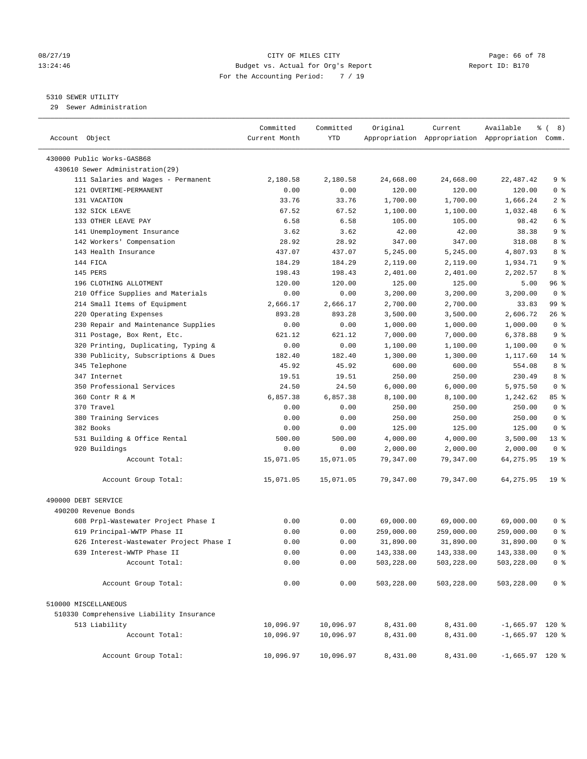#### 08/27/19 **Page: 66 of 78** CITY OF MILES CITY **Page: 66 of 78** 13:24:46 Budget vs. Actual for Org's Report Changer Report ID: B170 For the Accounting Period: 7 / 19

————————————————————————————————————————————————————————————————————————————————————————————————————————————————————————————————————

#### 5310 SEWER UTILITY

29 Sewer Administration

|                                          | Committed         | Committed         | Original   | Current    | Available                                       | နွ<br>8)<br>$\left($ |
|------------------------------------------|-------------------|-------------------|------------|------------|-------------------------------------------------|----------------------|
| Account Object                           | Current Month     | YTD               |            |            | Appropriation Appropriation Appropriation Comm. |                      |
| 430000 Public Works-GASB68               |                   |                   |            |            |                                                 |                      |
| 430610 Sewer Administration(29)          |                   |                   |            |            |                                                 |                      |
| 111 Salaries and Wages - Permanent       | 2,180.58          | 2,180.58          | 24,668.00  | 24,668.00  | 22,487.42                                       | 9%                   |
| 121 OVERTIME-PERMANENT                   | 0.00              | 0.00              | 120.00     | 120.00     | 120.00                                          | 0 <sup>8</sup>       |
| 131 VACATION                             | 33.76             | 33.76             | 1,700.00   | 1,700.00   | 1,666.24                                        | 2 <sub>8</sub>       |
| 132 SICK LEAVE                           | 67.52             | 67.52             | 1,100.00   | 1,100.00   | 1,032.48                                        | 6 %                  |
| 133 OTHER LEAVE PAY                      | 6.58              | 6.58              | 105.00     | 105.00     | 98.42                                           | 6 %                  |
| 141 Unemployment Insurance               | 3.62              | 3.62              | 42.00      | 42.00      | 38.38                                           | 9%                   |
| 142 Workers' Compensation                | 28.92             | 28.92             | 347.00     | 347.00     | 318.08                                          | 8 %                  |
| 143 Health Insurance                     | 437.07            | 437.07            | 5,245.00   | 5,245.00   | 4,807.93                                        | 8 %                  |
| 144 FICA                                 | 184.29            | 184.29            | 2,119.00   | 2,119.00   | 1,934.71                                        | 9 <sub>8</sub>       |
| 145 PERS                                 | 198.43            | 198.43            | 2,401.00   | 2,401.00   | 2,202.57                                        | 8 %                  |
| 196 CLOTHING ALLOTMENT                   | 120.00            | 120.00            | 125.00     | 125.00     | 5.00                                            | 96%                  |
| 210 Office Supplies and Materials        | 0.00              | 0.00              | 3,200.00   | 3,200.00   | 3,200.00                                        | 0 <sup>8</sup>       |
| 214 Small Items of Equipment             | 2,666.17          | 2,666.17          | 2,700.00   | 2,700.00   | 33.83                                           | 99 %                 |
| 220 Operating Expenses                   | 893.28            | 893.28            | 3,500.00   | 3,500.00   | 2,606.72                                        | 26 %                 |
| 230 Repair and Maintenance Supplies      | 0.00              | 0.00              | 1,000.00   | 1,000.00   | 1,000.00                                        | 0 <sup>8</sup>       |
| 311 Postage, Box Rent, Etc.              | 621.12            | 621.12            | 7,000.00   | 7,000.00   | 6,378.88                                        | 9 <sup>°</sup>       |
| 320 Printing, Duplicating, Typing &      | 0.00              | 0.00              | 1,100.00   | 1,100.00   | 1,100.00                                        | 0 <sup>8</sup>       |
| 330 Publicity, Subscriptions & Dues      | 182.40            | 182.40            | 1,300.00   | 1,300.00   | 1,117.60                                        | $14$ %               |
| 345 Telephone                            | 45.92             | 45.92             | 600.00     | 600.00     | 554.08                                          | 8 %                  |
| 347 Internet                             | 19.51             | 19.51             | 250.00     | 250.00     | 230.49                                          | 8 %                  |
| 350 Professional Services                |                   |                   |            |            |                                                 | 0 <sup>8</sup>       |
| 360 Contr R & M                          | 24.50<br>6,857.38 | 24.50<br>6,857.38 | 6,000.00   | 6,000.00   | 5,975.50                                        | 85%                  |
|                                          |                   |                   | 8,100.00   | 8,100.00   | 1,242.62                                        | 0 <sup>8</sup>       |
| 370 Travel                               | 0.00              | 0.00              | 250.00     | 250.00     | 250.00                                          |                      |
| 380 Training Services                    | 0.00              | 0.00              | 250.00     | 250.00     | 250.00                                          | 0 <sup>8</sup>       |
| 382 Books                                | 0.00              | 0.00              | 125.00     | 125.00     | 125.00                                          | 0 <sup>8</sup>       |
| 531 Building & Office Rental             | 500.00            | 500.00            | 4,000.00   | 4,000.00   | 3,500.00                                        | $13*$                |
| 920 Buildings                            | 0.00              | 0.00              | 2,000.00   | 2,000.00   | 2,000.00                                        | 0 <sup>8</sup>       |
| Account Total:                           | 15,071.05         | 15,071.05         | 79,347.00  | 79,347.00  | 64,275.95                                       | 19 <sup>°</sup>      |
| Account Group Total:                     | 15,071.05         | 15,071.05         | 79,347.00  | 79,347.00  | 64,275.95                                       | 19 <sup>°</sup>      |
| 490000 DEBT SERVICE                      |                   |                   |            |            |                                                 |                      |
| 490200 Revenue Bonds                     |                   |                   |            |            |                                                 |                      |
| 608 Prpl-Wastewater Project Phase I      | 0.00              | 0.00              | 69,000.00  | 69,000.00  | 69,000.00                                       | 0 <sup>8</sup>       |
| 619 Principal-WWTP Phase II              | 0.00              | 0.00              | 259,000.00 | 259,000.00 | 259,000.00                                      | 0 <sup>8</sup>       |
| 626 Interest-Wastewater Project Phase I  | 0.00              | 0.00              | 31,890.00  | 31,890.00  | 31,890.00                                       | 0 <sup>8</sup>       |
| 639 Interest-WWTP Phase II               | 0.00              | 0.00              | 143,338.00 | 143,338.00 | 143,338.00                                      | 0 %                  |
| Account Total:                           | 0.00              | 0.00              | 503,228.00 | 503,228.00 | 503,228.00                                      | 0 <sup>8</sup>       |
| Account Group Total:                     | 0.00              | 0.00              | 503,228.00 | 503,228.00 | 503,228.00                                      | 0 <sup>8</sup>       |
| 510000 MISCELLANEOUS                     |                   |                   |            |            |                                                 |                      |
| 510330 Comprehensive Liability Insurance |                   |                   |            |            |                                                 |                      |
| 513 Liability                            | 10,096.97         | 10,096.97         | 8,431.00   | 8,431.00   | $-1,665.97$ 120 %                               |                      |
| Account Total:                           | 10,096.97         | 10,096.97         | 8,431.00   | 8,431.00   | $-1,665.97$ 120 %                               |                      |
| Account Group Total:                     | 10,096.97         | 10,096.97         | 8,431.00   | 8,431.00   | $-1,665.97$ 120 %                               |                      |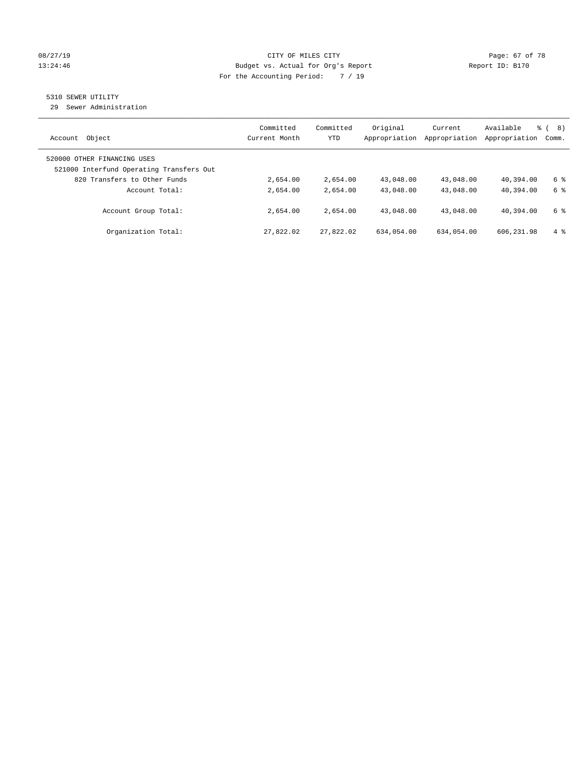#### 08/27/19 **Page: 67 of 78** CITY OF MILES CITY **Page: 67 of 78** 13:24:46 Budget vs. Actual for Org's Report Changer Report ID: B170 For the Accounting Period: 7 / 19

### 5310 SEWER UTILITY

29 Sewer Administration

| Object<br>Account                                                       | Committed<br>Current Month | Committed<br><b>YTD</b> | Original<br>Appropriation | Current<br>Appropriation | Available<br>Appropriation | ී (<br>8)<br>Comm. |
|-------------------------------------------------------------------------|----------------------------|-------------------------|---------------------------|--------------------------|----------------------------|--------------------|
| 520000 OTHER FINANCING USES<br>521000 Interfund Operating Transfers Out |                            |                         |                           |                          |                            |                    |
| 820 Transfers to Other Funds                                            | 2,654.00                   | 2,654.00                | 43,048.00                 | 43,048.00                | 40,394.00                  | 6 %                |
| Account Total:                                                          | 2,654.00                   | 2,654.00                | 43,048.00                 | 43,048.00                | 40,394.00                  | 6 %                |
| Account Group Total:                                                    | 2,654.00                   | 2,654.00                | 43,048.00                 | 43,048.00                | 40,394.00                  | 6 %                |
| Organization Total:                                                     | 27,822.02                  | 27,822.02               | 634,054.00                | 634,054.00               | 606, 231, 98               | $4\degree$         |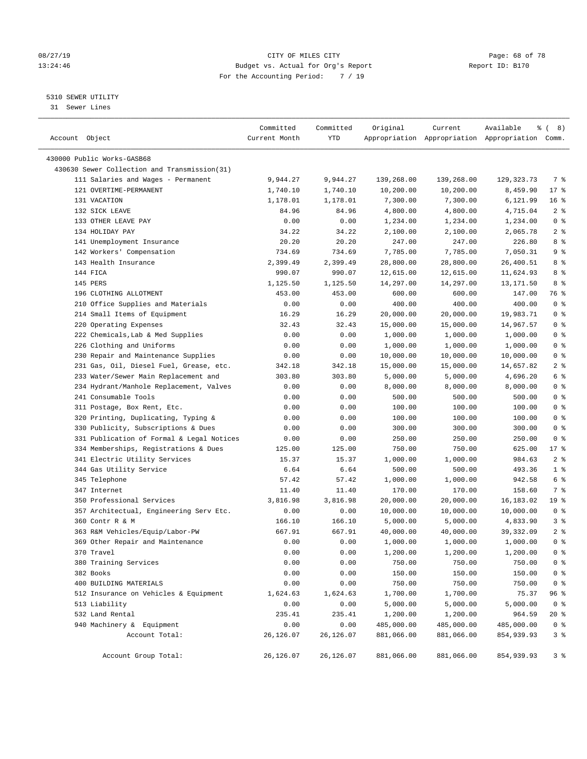#### 08/27/19 **Page: 68 of 78** CITY OF MILES CITY **Page: 68 of 78** 13:24:46 Budget vs. Actual for Org's Report Changer Report ID: B170 For the Accounting Period: 7 / 19

————————————————————————————————————————————————————————————————————————————————————————————————————————————————————————————————————

#### 5310 SEWER UTILITY

31 Sewer Lines

| Account Object                               | Committed<br>Current Month | Committed<br>YTD | Original   | Current    | Available<br>Appropriation Appropriation Appropriation Comm. | ී (<br>8)       |
|----------------------------------------------|----------------------------|------------------|------------|------------|--------------------------------------------------------------|-----------------|
|                                              |                            |                  |            |            |                                                              |                 |
| 430000 Public Works-GASB68                   |                            |                  |            |            |                                                              |                 |
| 430630 Sewer Collection and Transmission(31) |                            |                  |            |            |                                                              |                 |
| 111 Salaries and Wages - Permanent           | 9,944.27                   | 9,944.27         | 139,268.00 | 139,268.00 | 129, 323. 73                                                 | 7 %             |
| 121 OVERTIME-PERMANENT                       | 1,740.10                   | 1,740.10         | 10,200.00  | 10,200.00  | 8,459.90                                                     | $17$ %          |
| 131 VACATION                                 | 1,178.01                   | 1,178.01         | 7,300.00   | 7,300.00   | 6,121.99                                                     | $16*$           |
| 132 SICK LEAVE                               | 84.96                      | 84.96            | 4,800.00   | 4,800.00   | 4,715.04                                                     | 2 <sup>°</sup>  |
| 133 OTHER LEAVE PAY                          | 0.00                       | 0.00             | 1,234.00   | 1,234.00   | 1,234.00                                                     | 0 <sup>8</sup>  |
| 134 HOLIDAY PAY                              | 34.22                      | 34.22            | 2,100.00   | 2,100.00   | 2,065.78                                                     | 2 <sup>°</sup>  |
| 141 Unemployment Insurance                   | 20.20                      | 20.20            | 247.00     | 247.00     | 226.80                                                       | 8%              |
| 142 Workers' Compensation                    | 734.69                     | 734.69           | 7,785.00   | 7,785.00   | 7,050.31                                                     | 9 <sup>°</sup>  |
| 143 Health Insurance                         | 2,399.49                   | 2,399.49         | 28,800.00  | 28,800.00  | 26,400.51                                                    | 8%              |
| 144 FICA                                     | 990.07                     | 990.07           | 12,615.00  | 12,615.00  | 11,624.93                                                    | 8%              |
| 145 PERS                                     | 1,125.50                   | 1,125.50         | 14,297.00  | 14,297.00  | 13,171.50                                                    | 8 %             |
| 196 CLOTHING ALLOTMENT                       | 453.00                     | 453.00           | 600.00     | 600.00     | 147.00                                                       | 76 %            |
| 210 Office Supplies and Materials            | 0.00                       | 0.00             | 400.00     | 400.00     | 400.00                                                       | 0 <sup>8</sup>  |
| 214 Small Items of Equipment                 | 16.29                      | 16.29            | 20,000.00  | 20,000.00  | 19,983.71                                                    | 0 <sup>8</sup>  |
| 220 Operating Expenses                       | 32.43                      | 32.43            | 15,000.00  | 15,000.00  | 14,967.57                                                    | 0 <sup>8</sup>  |
| 222 Chemicals, Lab & Med Supplies            | 0.00                       | 0.00             | 1,000.00   | 1,000.00   | 1,000.00                                                     | 0 <sup>8</sup>  |
| 226 Clothing and Uniforms                    | 0.00                       | 0.00             | 1,000.00   | 1,000.00   | 1,000.00                                                     | 0 <sup>8</sup>  |
| 230 Repair and Maintenance Supplies          | 0.00                       | 0.00             | 10,000.00  | 10,000.00  | 10,000.00                                                    | 0 <sup>8</sup>  |
| 231 Gas, Oil, Diesel Fuel, Grease, etc.      | 342.18                     | 342.18           | 15,000.00  | 15,000.00  | 14,657.82                                                    | 2 <sup>8</sup>  |
| 233 Water/Sewer Main Replacement and         | 303.80                     | 303.80           | 5,000.00   | 5,000.00   | 4,696.20                                                     | 6 <sup>°</sup>  |
| 234 Hydrant/Manhole Replacement, Valves      | 0.00                       | 0.00             | 8,000.00   | 8,000.00   | 8,000.00                                                     | 0 <sup>8</sup>  |
| 241 Consumable Tools                         | 0.00                       | 0.00             | 500.00     | 500.00     | 500.00                                                       | 0 <sup>8</sup>  |
| 311 Postage, Box Rent, Etc.                  | 0.00                       | 0.00             | 100.00     | 100.00     | 100.00                                                       | 0 <sup>8</sup>  |
| 320 Printing, Duplicating, Typing &          | 0.00                       | 0.00             | 100.00     | 100.00     | 100.00                                                       | 0 <sup>8</sup>  |
| 330 Publicity, Subscriptions & Dues          | 0.00                       | 0.00             | 300.00     | 300.00     | 300.00                                                       | 0 <sup>8</sup>  |
| 331 Publication of Formal & Legal Notices    | 0.00                       | 0.00             | 250.00     | 250.00     | 250.00                                                       | 0 <sup>8</sup>  |
| 334 Memberships, Registrations & Dues        | 125.00                     | 125.00           | 750.00     | 750.00     | 625.00                                                       | $17$ %          |
| 341 Electric Utility Services                | 15.37                      | 15.37            | 1,000.00   | 1,000.00   | 984.63                                                       | 2 <sup>8</sup>  |
| 344 Gas Utility Service                      | 6.64                       | 6.64             | 500.00     | 500.00     | 493.36                                                       | 1 <sup>°</sup>  |
| 345 Telephone                                | 57.42                      | 57.42            | 1,000.00   | 1,000.00   | 942.58                                                       | 6 <sup>°</sup>  |
| 347 Internet                                 | 11.40                      | 11.40            | 170.00     | 170.00     | 158.60                                                       | 7%              |
| 350 Professional Services                    | 3,816.98                   | 3,816.98         | 20,000.00  | 20,000.00  | 16,183.02                                                    | 19 <sup>8</sup> |
| 357 Architectual, Engineering Serv Etc.      | 0.00                       | 0.00             | 10,000.00  | 10,000.00  | 10,000.00                                                    | 0 <sup>8</sup>  |
| 360 Contr R & M                              | 166.10                     | 166.10           | 5,000.00   | 5,000.00   | 4,833.90                                                     | 3 <sup>°</sup>  |
| 363 R&M Vehicles/Equip/Labor-PW              | 667.91                     | 667.91           | 40,000.00  | 40,000.00  | 39,332.09                                                    | 2 <sup>°</sup>  |
| 369 Other Repair and Maintenance             | 0.00                       | 0.00             | 1,000.00   | 1,000.00   | 1,000.00                                                     | 0 <sup>8</sup>  |
| 370 Travel                                   | 0.00                       | 0.00             | 1,200.00   | 1,200.00   | 1,200.00                                                     | 0 <sup>8</sup>  |
| 380 Training Services                        | 0.00                       | 0.00             | 750.00     | 750.00     | 750.00                                                       | 0 <sup>8</sup>  |
| 382 Books                                    | 0.00                       | 0.00             | 150.00     | 150.00     | 150.00                                                       | 0 <sup>°</sup>  |
| 400 BUILDING MATERIALS                       | 0.00                       | 0.00             | 750.00     | 750.00     | 750.00                                                       | 0 <sup>8</sup>  |
| 512 Insurance on Vehicles & Equipment        | 1,624.63                   | 1,624.63         | 1,700.00   | 1,700.00   | 75.37                                                        | 96 %            |
| 513 Liability                                | 0.00                       | 0.00             | 5,000.00   | 5,000.00   | 5,000.00                                                     | 0 <sup>8</sup>  |
| 532 Land Rental                              | 235.41                     | 235.41           | 1,200.00   | 1,200.00   | 964.59                                                       | 20 %            |
| 940 Machinery & Equipment                    | 0.00                       | 0.00             | 485,000.00 | 485,000.00 | 485,000.00                                                   | $0$ %           |
| Account Total:                               | 26,126.07                  | 26, 126.07       | 881,066.00 | 881,066.00 | 854,939.93                                                   | 3 <sup>°</sup>  |
| Account Group Total:                         | 26,126.07                  | 26,126.07        | 881,066.00 | 881,066.00 | 854,939.93                                                   | 3%              |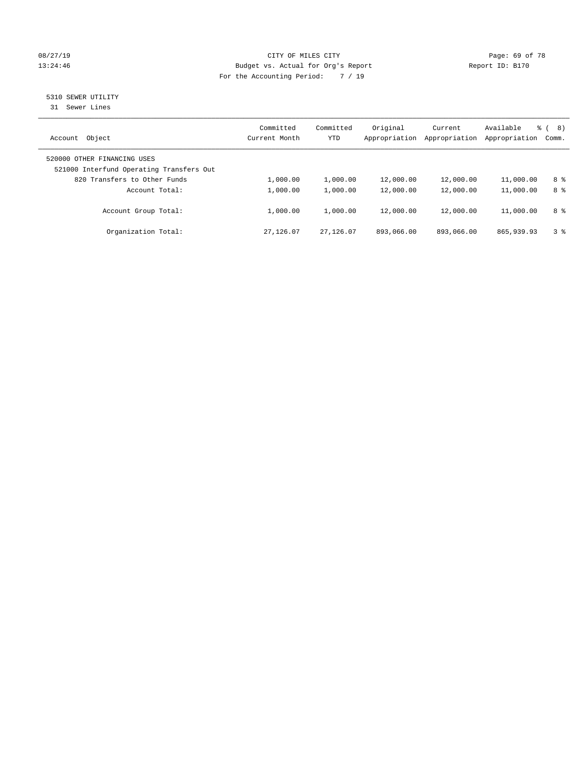#### 08/27/19 **Page: 69 of 78** CITY OF MILES CITY **Page: 69 of 78** 13:24:46 Budget vs. Actual for Org's Report Changer Report ID: B170 For the Accounting Period: 7 / 19

# 5310 SEWER UTILITY

31 Sewer Lines

| Object<br>Account                                                       | Committed<br>Current Month | Committed<br><b>YTD</b> | Original<br>Appropriation | Current<br>Appropriation | Available<br>Appropriation | ී (<br>8)<br>Comm. |
|-------------------------------------------------------------------------|----------------------------|-------------------------|---------------------------|--------------------------|----------------------------|--------------------|
| 520000 OTHER FINANCING USES<br>521000 Interfund Operating Transfers Out |                            |                         |                           |                          |                            |                    |
| 820 Transfers to Other Funds                                            | 1,000.00                   | 1,000.00                | 12,000.00                 | 12,000.00                | 11,000.00                  | 8 %                |
| Account Total:                                                          | 1,000.00                   | 1,000.00                | 12,000.00                 | 12,000.00                | 11,000.00                  | 8 %                |
| Account Group Total:                                                    | 1,000.00                   | 1,000.00                | 12,000.00                 | 12,000.00                | 11,000.00                  | 8 %                |
| Organization Total:                                                     | 27, 126, 07                | 27,126.07               | 893,066.00                | 893,066.00               | 865, 939, 93               | 38                 |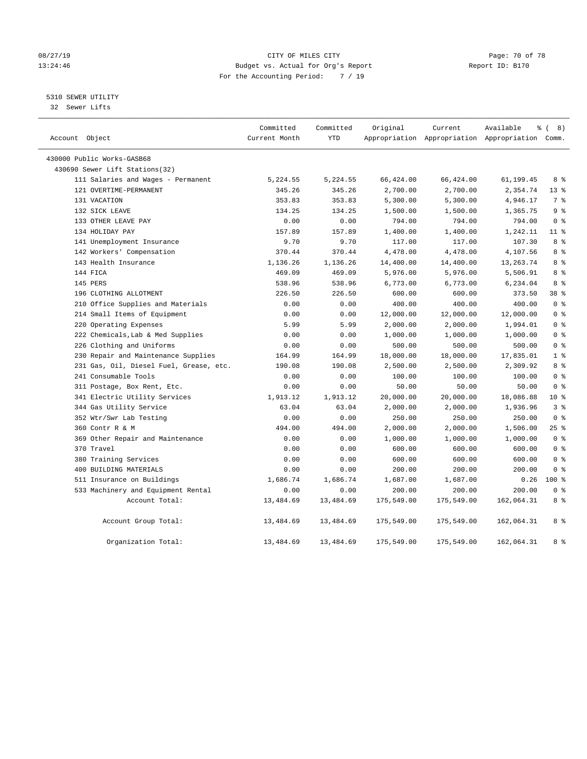#### 08/27/19 **Page: 70 of 78** CITY OF MILES CITY **Page: 70 of 78** 13:24:46 Budget vs. Actual for Org's Report Changer Report ID: B170 For the Accounting Period: 7 / 19

### 5310 SEWER UTILITY

32 Sewer Lifts

| Account Object                          | Committed<br>Current Month | Committed<br>YTD | Original   | Current    | Available<br>Appropriation Appropriation Appropriation Comm. | <sub>රි</sub> ( 8 ) |
|-----------------------------------------|----------------------------|------------------|------------|------------|--------------------------------------------------------------|---------------------|
| 430000 Public Works-GASB68              |                            |                  |            |            |                                                              |                     |
| 430690 Sewer Lift Stations(32)          |                            |                  |            |            |                                                              |                     |
| 111 Salaries and Wages - Permanent      | 5,224.55                   | 5,224.55         | 66,424.00  | 66,424.00  | 61,199.45                                                    | 8 %                 |
| 121 OVERTIME-PERMANENT                  | 345.26                     | 345.26           | 2,700.00   | 2,700.00   | 2,354.74                                                     | $13*$               |
| 131 VACATION                            | 353.83                     | 353.83           | 5,300.00   | 5,300.00   | 4,946.17                                                     | 7 %                 |
| 132 SICK LEAVE                          | 134.25                     | 134.25           | 1,500.00   | 1,500.00   | 1,365.75                                                     | 9 <sup>°</sup>      |
| 133 OTHER LEAVE PAY                     | 0.00                       | 0.00             | 794.00     | 794.00     | 794.00                                                       | 0 <sup>8</sup>      |
| 134 HOLIDAY PAY                         | 157.89                     | 157.89           | 1,400.00   | 1,400.00   | 1,242.11                                                     | $11$ %              |
| 141 Unemployment Insurance              | 9.70                       | 9.70             | 117.00     | 117.00     | 107.30                                                       | 8 %                 |
| 142 Workers' Compensation               | 370.44                     | 370.44           | 4,478.00   | 4,478.00   | 4,107.56                                                     | 8 %                 |
| 143 Health Insurance                    | 1,136.26                   | 1,136.26         | 14,400.00  | 14,400.00  | 13,263.74                                                    | 8 %                 |
| 144 FICA                                | 469.09                     | 469.09           | 5,976.00   | 5,976.00   | 5,506.91                                                     | 8 %                 |
| 145 PERS                                | 538.96                     | 538.96           | 6,773.00   | 6,773.00   | 6,234.04                                                     | 8 %                 |
| 196 CLOTHING ALLOTMENT                  | 226.50                     | 226.50           | 600.00     | 600.00     | 373.50                                                       | 38 %                |
| 210 Office Supplies and Materials       | 0.00                       | 0.00             | 400.00     | 400.00     | 400.00                                                       | 0 <sup>8</sup>      |
| 214 Small Items of Equipment            | 0.00                       | 0.00             | 12,000.00  | 12,000.00  | 12,000.00                                                    | 0 <sup>8</sup>      |
| 220 Operating Expenses                  | 5.99                       | 5.99             | 2,000.00   | 2,000.00   | 1,994.01                                                     | 0 <sup>8</sup>      |
| 222 Chemicals, Lab & Med Supplies       | 0.00                       | 0.00             | 1,000.00   | 1,000.00   | 1,000.00                                                     | 0 <sup>8</sup>      |
| 226 Clothing and Uniforms               | 0.00                       | 0.00             | 500.00     | 500.00     | 500.00                                                       | 0 <sup>8</sup>      |
| 230 Repair and Maintenance Supplies     | 164.99                     | 164.99           | 18,000.00  | 18,000.00  | 17,835.01                                                    | 1 <sup>8</sup>      |
| 231 Gas, Oil, Diesel Fuel, Grease, etc. | 190.08                     | 190.08           | 2,500.00   | 2,500.00   | 2,309.92                                                     | 8 %                 |
| 241 Consumable Tools                    | 0.00                       | 0.00             | 100.00     | 100.00     | 100.00                                                       | 0 <sup>8</sup>      |
| 311 Postage, Box Rent, Etc.             | 0.00                       | 0.00             | 50.00      | 50.00      | 50.00                                                        | 0 <sup>8</sup>      |
| 341 Electric Utility Services           | 1,913.12                   | 1,913.12         | 20,000.00  | 20,000.00  | 18,086.88                                                    | $10*$               |
| 344 Gas Utility Service                 | 63.04                      | 63.04            | 2,000.00   | 2,000.00   | 1,936.96                                                     | 3 <sup>°</sup>      |
| 352 Wtr/Swr Lab Testing                 | 0.00                       | 0.00             | 250.00     | 250.00     | 250.00                                                       | 0 <sup>8</sup>      |
| 360 Contr R & M                         | 494.00                     | 494.00           | 2,000.00   | 2,000.00   | 1,506.00                                                     | 25%                 |
| 369 Other Repair and Maintenance        | 0.00                       | 0.00             | 1,000.00   | 1,000.00   | 1,000.00                                                     | 0 <sup>8</sup>      |
| 370 Travel                              | 0.00                       | 0.00             | 600.00     | 600.00     | 600.00                                                       | 0 <sup>8</sup>      |
| 380 Training Services                   | 0.00                       | 0.00             | 600.00     | 600.00     | 600.00                                                       | 0 <sup>8</sup>      |
| 400 BUILDING MATERIALS                  | 0.00                       | 0.00             | 200.00     | 200.00     | 200.00                                                       | 0 <sup>8</sup>      |
| 511 Insurance on Buildings              | 1,686.74                   | 1,686.74         | 1,687.00   | 1,687.00   | 0.26                                                         | $100*$              |
| 533 Machinery and Equipment Rental      | 0.00                       | 0.00             | 200.00     | 200.00     | 200.00                                                       | 0 <sup>8</sup>      |
| Account Total:                          | 13,484.69                  | 13,484.69        | 175,549.00 | 175,549.00 | 162,064.31                                                   | 8 %                 |
| Account Group Total:                    | 13,484.69                  | 13,484.69        | 175,549.00 | 175,549.00 | 162,064.31                                                   | 8 %                 |
| Organization Total:                     | 13,484.69                  | 13,484.69        | 175,549.00 | 175,549.00 | 162,064.31                                                   | 8 %                 |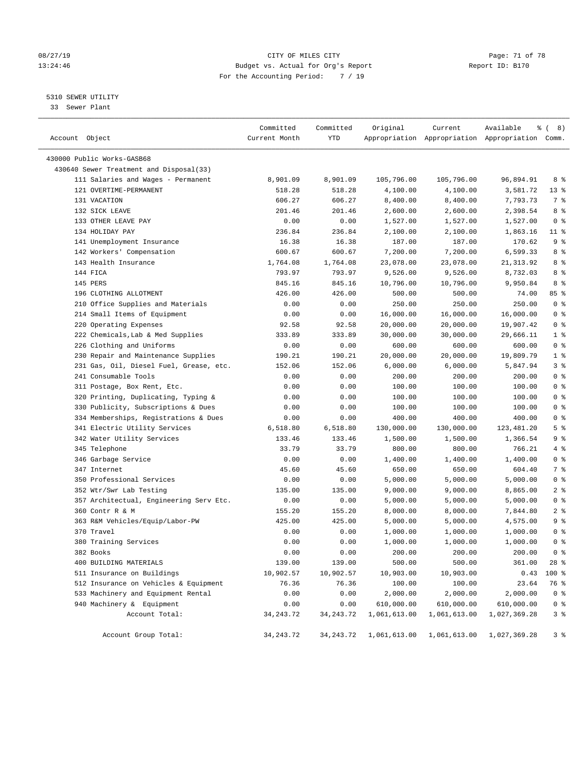#### 08/27/19 Page: 71 of 78 13:24:46 Budget vs. Actual for Org's Report Changer Report ID: B170 For the Accounting Period: 7 / 19

————————————————————————————————————————————————————————————————————————————————————————————————————————————————————————————————————

#### 5310 SEWER UTILITY

33 Sewer Plant

|                                         | Committed     | Committed   | Original                                                | Current      | Available                                       | ී (<br>8)      |
|-----------------------------------------|---------------|-------------|---------------------------------------------------------|--------------|-------------------------------------------------|----------------|
| Account Object                          | Current Month | YTD         |                                                         |              | Appropriation Appropriation Appropriation Comm. |                |
| 430000 Public Works-GASB68              |               |             |                                                         |              |                                                 |                |
| 430640 Sewer Treatment and Disposal(33) |               |             |                                                         |              |                                                 |                |
| 111 Salaries and Wages - Permanent      | 8,901.09      | 8,901.09    | 105,796.00                                              | 105,796.00   | 96,894.91                                       | 8 %            |
| 121 OVERTIME-PERMANENT                  | 518.28        | 518.28      | 4,100.00                                                | 4,100.00     | 3,581.72                                        | $13*$          |
| 131 VACATION                            | 606.27        | 606.27      | 8,400.00                                                | 8,400.00     | 7,793.73                                        | 7 %            |
| 132 SICK LEAVE                          | 201.46        | 201.46      | 2,600.00                                                | 2,600.00     | 2,398.54                                        | 8 %            |
| 133 OTHER LEAVE PAY                     | 0.00          | 0.00        | 1,527.00                                                | 1,527.00     | 1,527.00                                        | 0 <sup>8</sup> |
| 134 HOLIDAY PAY                         | 236.84        | 236.84      | 2,100.00                                                | 2,100.00     | 1,863.16                                        | $11$ %         |
| 141 Unemployment Insurance              | 16.38         | 16.38       | 187.00                                                  | 187.00       | 170.62                                          | 9%             |
| 142 Workers' Compensation               | 600.67        | 600.67      | 7,200.00                                                | 7,200.00     | 6,599.33                                        | 8 %            |
| 143 Health Insurance                    | 1,764.08      | 1,764.08    | 23,078.00                                               | 23,078.00    | 21,313.92                                       | 8 %            |
| 144 FICA                                | 793.97        | 793.97      | 9,526.00                                                | 9,526.00     | 8,732.03                                        | 8 %            |
| 145 PERS                                | 845.16        | 845.16      | 10,796.00                                               | 10,796.00    | 9,950.84                                        | 8 %            |
| 196 CLOTHING ALLOTMENT                  | 426.00        | 426.00      | 500.00                                                  | 500.00       | 74.00                                           | 85 %           |
| 210 Office Supplies and Materials       | 0.00          | 0.00        | 250.00                                                  | 250.00       | 250.00                                          | 0 <sup>8</sup> |
| 214 Small Items of Equipment            | 0.00          | 0.00        | 16,000.00                                               | 16,000.00    | 16,000.00                                       | 0 <sup>8</sup> |
| 220 Operating Expenses                  | 92.58         | 92.58       | 20,000.00                                               | 20,000.00    | 19,907.42                                       | 0 <sup>8</sup> |
| 222 Chemicals, Lab & Med Supplies       | 333.89        | 333.89      | 30,000.00                                               | 30,000.00    | 29,666.11                                       | 1 <sup>°</sup> |
| 226 Clothing and Uniforms               | 0.00          | 0.00        | 600.00                                                  | 600.00       | 600.00                                          | 0 <sup>8</sup> |
| 230 Repair and Maintenance Supplies     | 190.21        | 190.21      | 20,000.00                                               | 20,000.00    | 19,809.79                                       | 1 <sup>8</sup> |
| 231 Gas, Oil, Diesel Fuel, Grease, etc. | 152.06        | 152.06      | 6,000.00                                                | 6,000.00     | 5,847.94                                        | 3%             |
| 241 Consumable Tools                    | 0.00          | 0.00        | 200.00                                                  | 200.00       | 200.00                                          | 0 <sup>8</sup> |
| 311 Postage, Box Rent, Etc.             | 0.00          | 0.00        | 100.00                                                  | 100.00       | 100.00                                          | 0 <sup>8</sup> |
| 320 Printing, Duplicating, Typing &     | 0.00          | 0.00        | 100.00                                                  | 100.00       | 100.00                                          | 0 <sup>8</sup> |
| 330 Publicity, Subscriptions & Dues     | 0.00          | 0.00        | 100.00                                                  | 100.00       | 100.00                                          | 0 <sup>8</sup> |
| 334 Memberships, Registrations & Dues   | 0.00          | 0.00        | 400.00                                                  | 400.00       | 400.00                                          | 0 <sup>8</sup> |
| 341 Electric Utility Services           | 6,518.80      | 6,518.80    | 130,000.00                                              | 130,000.00   | 123,481.20                                      | 5 <sup>°</sup> |
| 342 Water Utility Services              | 133.46        | 133.46      | 1,500.00                                                | 1,500.00     | 1,366.54                                        | 9 <sup>°</sup> |
| 345 Telephone                           | 33.79         | 33.79       | 800.00                                                  | 800.00       | 766.21                                          | 4 %            |
| 346 Garbage Service                     | 0.00          | 0.00        | 1,400.00                                                | 1,400.00     | 1,400.00                                        | 0 <sup>8</sup> |
| 347 Internet                            | 45.60         | 45.60       | 650.00                                                  | 650.00       | 604.40                                          | 7 %            |
| 350 Professional Services               | 0.00          | 0.00        | 5,000.00                                                | 5,000.00     | 5,000.00                                        | 0 <sup>8</sup> |
| 352 Wtr/Swr Lab Testing                 | 135.00        | 135.00      | 9,000.00                                                | 9,000.00     | 8,865.00                                        | 2 <sub>8</sub> |
| 357 Architectual, Engineering Serv Etc. | 0.00          | 0.00        | 5,000.00                                                | 5,000.00     | 5,000.00                                        | 0 <sup>8</sup> |
| 360 Contr R & M                         | 155.20        | 155.20      | 8,000.00                                                | 8,000.00     | 7,844.80                                        | 2 <sup>8</sup> |
| 363 R&M Vehicles/Equip/Labor-PW         | 425.00        | 425.00      | 5,000.00                                                | 5,000.00     | 4,575.00                                        | 9%             |
| 370 Travel                              | 0.00          | 0.00        | 1,000.00                                                | 1,000.00     | 1,000.00                                        | 0 <sup>8</sup> |
| 380 Training Services                   | 0.00          | 0.00        | 1,000.00                                                | 1,000.00     | 1,000.00                                        | 0 <sup>8</sup> |
| 382 Books                               | 0.00          | 0.00        | 200.00                                                  | 200.00       | 200.00                                          | 0 <sup>8</sup> |
| 400 BUILDING MATERIALS                  | 139.00        | 139.00      | 500.00                                                  | 500.00       | 361.00                                          | 28 %           |
| 511 Insurance on Buildings              | 10,902.57     | 10,902.57   | 10,903.00                                               | 10,903.00    | 0.43                                            | 100 %          |
| 512 Insurance on Vehicles & Equipment   | 76.36         | 76.36       | 100.00                                                  | 100.00       | 23.64                                           | 76 %           |
| 533 Machinery and Equipment Rental      | 0.00          | 0.00        | 2,000.00                                                | 2,000.00     | 2,000.00                                        | 0 <sup>8</sup> |
| 940 Machinery & Equipment               | 0.00          | 0.00        | 610,000.00                                              | 610,000.00   | 610,000.00                                      | 0 <sup>8</sup> |
| Account Total:                          | 34, 243. 72   | 34, 243. 72 | 1,061,613.00                                            | 1,061,613.00 | 1,027,369.28                                    | 3 <sup>8</sup> |
|                                         |               |             |                                                         |              |                                                 |                |
| Account Group Total:                    | 34, 243. 72   |             | 34, 243.72 1, 061, 613.00 1, 061, 613.00 1, 027, 369.28 |              |                                                 | 3%             |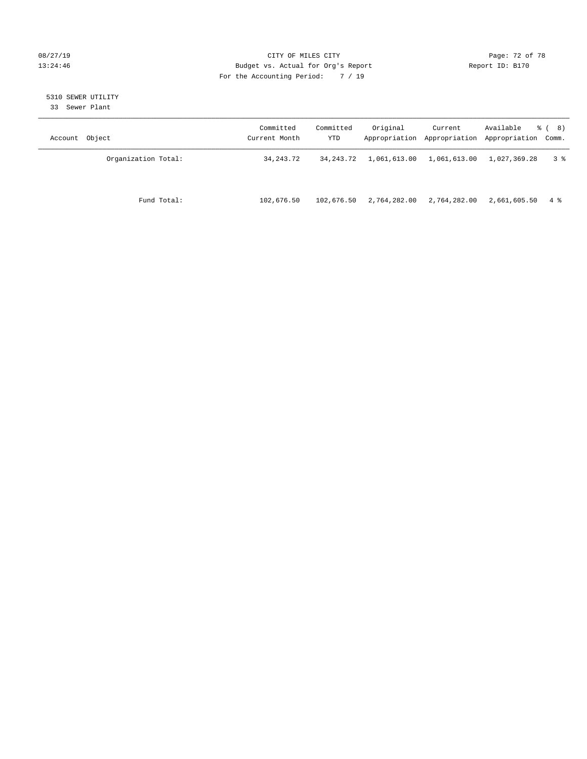#### 08/27/19 **Page: 72 of 78** CITY OF MILES CITY **Page: 72 of 78** 13:24:46 Budget vs. Actual for Org's Report Report ID: B170 For the Accounting Period: 7 / 19

# 5310 SEWER UTILITY

33 Sewer Plant

| Account Object      | Committed<br>Current Month | Committed<br>YTD | Original     | Current      | Available<br>Appropriation Appropriation Appropriation Comm. | <sub>රී</sub> ( 8 ) |
|---------------------|----------------------------|------------------|--------------|--------------|--------------------------------------------------------------|---------------------|
| Organization Total: | 34, 243. 72                | 34,243.72        | 1,061,613.00 | 1,061,613.00 | 1,027,369.28                                                 | 3 ક                 |
| Fund Total:         | 102,676.50                 | 102,676.50       | 2,764,282.00 | 2,764,282.00 | 2,661,605.50                                                 | 4 %                 |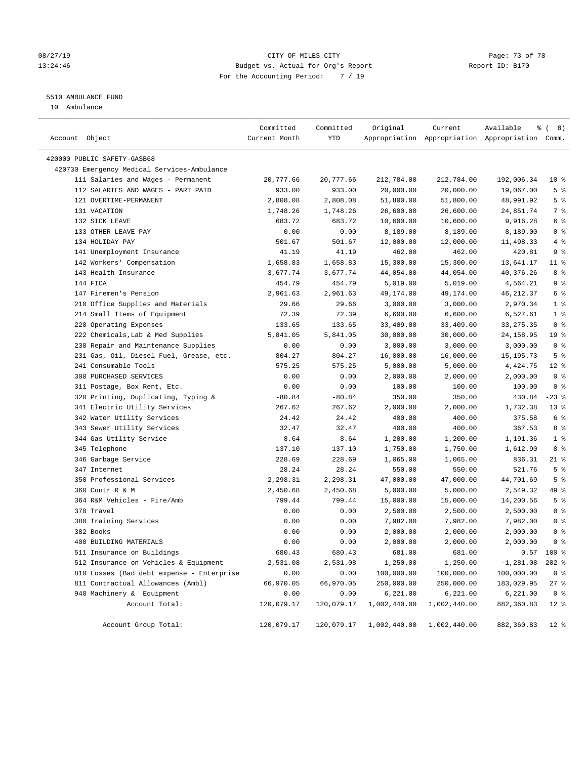## 08/27/19 Page: 73 of 78 13:24:46 Budget vs. Actual for Org's Report Changer Report ID: B170 For the Accounting Period: 7 / 19

# 5510 AMBULANCE FUND

10 Ambulance

| Account Object                              | Committed<br>Current Month | Committed<br>YTD | Original     | Current      | Available<br>Appropriation Appropriation Appropriation Comm. | $\frac{6}{6}$ ( 8) |
|---------------------------------------------|----------------------------|------------------|--------------|--------------|--------------------------------------------------------------|--------------------|
| 420000 PUBLIC SAFETY-GASB68                 |                            |                  |              |              |                                                              |                    |
| 420730 Emergency Medical Services-Ambulance |                            |                  |              |              |                                                              |                    |
| 111 Salaries and Wages - Permanent          | 20,777.66                  | 20,777.66        | 212,784.00   | 212,784.00   | 192,006.34                                                   | $10*$              |
| 112 SALARIES AND WAGES - PART PAID          | 933.00                     | 933.00           | 20,000.00    | 20,000.00    | 19,067.00                                                    | 5 <sup>8</sup>     |
| 121 OVERTIME-PERMANENT                      | 2,808.08                   | 2,808.08         | 51,800.00    | 51,800.00    | 48,991.92                                                    | 5 <sup>°</sup>     |
| 131 VACATION                                | 1,748.26                   | 1,748.26         | 26,600.00    | 26,600.00    | 24,851.74                                                    | 7 %                |
| 132 SICK LEAVE                              | 683.72                     | 683.72           | 10,600.00    | 10,600.00    | 9,916.28                                                     | 6 %                |
| 133 OTHER LEAVE PAY                         | 0.00                       | 0.00             | 8,189.00     | 8,189.00     | 8,189.00                                                     | 0 <sup>8</sup>     |
| 134 HOLIDAY PAY                             | 501.67                     | 501.67           | 12,000.00    | 12,000.00    | 11,498.33                                                    | 4%                 |
| 141 Unemployment Insurance                  | 41.19                      | 41.19            | 462.00       | 462.00       | 420.81                                                       | 9 <sup>°</sup>     |
| 142 Workers' Compensation                   | 1,658.83                   | 1,658.83         | 15,300.00    | 15,300.00    | 13,641.17                                                    | $11$ %             |
| 143 Health Insurance                        | 3,677.74                   | 3,677.74         | 44,054.00    | 44,054.00    | 40,376.26                                                    | 8%                 |
| 144 FICA                                    | 454.79                     | 454.79           | 5,019.00     | 5,019.00     | 4,564.21                                                     | 9 <sup>°</sup>     |
| 147 Firemen's Pension                       | 2,961.63                   | 2,961.63         | 49,174.00    | 49,174.00    | 46, 212.37                                                   | 6 %                |
| 210 Office Supplies and Materials           | 29.66                      | 29.66            | 3,000.00     | 3,000.00     | 2,970.34                                                     | 1 <sup>°</sup>     |
| 214 Small Items of Equipment                | 72.39                      | 72.39            | 6,600.00     | 6,600.00     | 6,527.61                                                     | 1 <sup>°</sup>     |
| 220 Operating Expenses                      | 133.65                     | 133.65           | 33,409.00    | 33,409.00    | 33, 275. 35                                                  | 0 <sup>8</sup>     |
| 222 Chemicals, Lab & Med Supplies           | 5,841.05                   | 5,841.05         | 30,000.00    | 30,000.00    | 24, 158.95                                                   | 19 <sup>°</sup>    |
| 230 Repair and Maintenance Supplies         | 0.00                       | 0.00             | 3,000.00     | 3,000.00     | 3,000.00                                                     | 0 <sup>8</sup>     |
| 231 Gas, Oil, Diesel Fuel, Grease, etc.     | 804.27                     | 804.27           | 16,000.00    | 16,000.00    | 15, 195. 73                                                  | 5 <sup>°</sup>     |
| 241 Consumable Tools                        | 575.25                     | 575.25           | 5,000.00     | 5,000.00     | 4,424.75                                                     | $12*$              |
| 300 PURCHASED SERVICES                      | 0.00                       | 0.00             | 2,000.00     | 2,000.00     | 2,000.00                                                     | 0 <sup>8</sup>     |
| 311 Postage, Box Rent, Etc.                 | 0.00                       | 0.00             | 100.00       | 100.00       | 100.00                                                       | 0 <sup>8</sup>     |
| 320 Printing, Duplicating, Typing &         | $-80.84$                   | $-80.84$         | 350.00       | 350.00       | 430.84                                                       | $-23$ %            |
| 341 Electric Utility Services               | 267.62                     | 267.62           | 2,000.00     | 2,000.00     | 1,732.38                                                     | $13*$              |
| 342 Water Utility Services                  | 24.42                      | 24.42            | 400.00       | 400.00       | 375.58                                                       | 6 %                |
| 343 Sewer Utility Services                  | 32.47                      | 32.47            | 400.00       | 400.00       | 367.53                                                       | 8 %                |
| 344 Gas Utility Service                     | 8.64                       | 8.64             | 1,200.00     | 1,200.00     | 1,191.36                                                     | 1 <sup>°</sup>     |
| 345 Telephone                               | 137.10                     | 137.10           | 1,750.00     | 1,750.00     | 1,612.90                                                     | 8 %                |
| 346 Garbage Service                         | 228.69                     | 228.69           | 1,065.00     | 1,065.00     | 836.31                                                       | $21$ %             |
| 347 Internet                                | 28.24                      | 28.24            | 550.00       | 550.00       | 521.76                                                       | 5 <sup>°</sup>     |
| 350 Professional Services                   | 2,298.31                   | 2,298.31         | 47,000.00    | 47,000.00    | 44,701.69                                                    | 5 <sup>°</sup>     |
| 360 Contr R & M                             | 2,450.68                   | 2,450.68         | 5,000.00     | 5,000.00     | 2,549.32                                                     | 49 %               |
| 364 R&M Vehicles - Fire/Amb                 | 799.44                     | 799.44           | 15,000.00    | 15,000.00    | 14,200.56                                                    | 5 <sup>°</sup>     |
| 370 Travel                                  | 0.00                       | 0.00             | 2,500.00     | 2,500.00     | 2,500.00                                                     | 0 <sup>8</sup>     |
| 380 Training Services                       | 0.00                       | 0.00             | 7,982.00     | 7,982.00     | 7,982.00                                                     | 0 <sup>8</sup>     |
| 382 Books                                   | 0.00                       | 0.00             | 2,000.00     | 2,000.00     | 2,000.00                                                     | 0 <sup>8</sup>     |
| 400 BUILDING MATERIALS                      | 0.00                       | 0.00             | 2,000.00     | 2,000.00     | 2,000.00                                                     | 0 <sup>8</sup>     |
| 511 Insurance on Buildings                  | 680.43                     | 680.43           | 681.00       | 681.00       | 0.57                                                         | 100 %              |
| 512 Insurance on Vehicles & Equipment       | 2,531.08                   | 2,531.08         | 1,250.00     | 1,250.00     | $-1, 281.08$                                                 | $202$ %            |
| 810 Losses (Bad debt expense - Enterprise   | 0.00                       | 0.00             | 100,000.00   | 100,000.00   | 100,000.00                                                   | 0 <sup>8</sup>     |
| 811 Contractual Allowances (Ambl)           | 66,970.05                  | 66,970.05        | 250,000.00   | 250,000.00   | 183,029.95                                                   | $27$ %             |
| 940 Machinery & Equipment                   | 0.00                       | 0.00             | 6,221.00     | 6,221.00     | 6,221.00                                                     | 0 <sup>8</sup>     |
| Account Total:                              | 120,079.17                 | 120,079.17       | 1,002,440.00 | 1,002,440.00 | 882,360.83                                                   | $12*$              |
| Account Group Total:                        | 120,079.17                 | 120,079.17       | 1,002,440.00 | 1,002,440.00 | 882,360.83                                                   | 12 <sub>8</sub>    |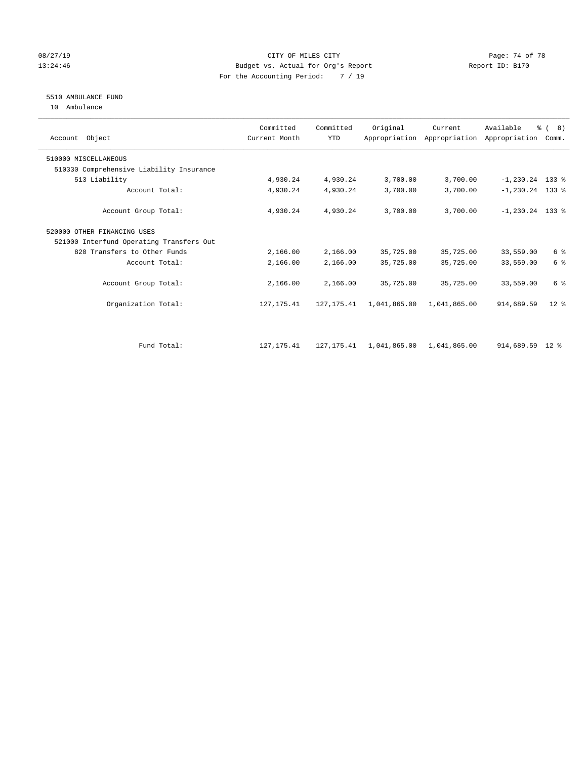## 08/27/19 Page: 74 of 78 13:24:46 Budget vs. Actual for Org's Report Changer Report ID: B170 For the Accounting Period: 7 / 19

# 5510 AMBULANCE FUND

10 Ambulance

| Account Object                           | Committed<br>Current Month | Committed<br><b>YTD</b> | Original     | Current      | Available<br>Appropriation Appropriation Appropriation | $\frac{6}{6}$ ( 8)<br>Comm. |  |
|------------------------------------------|----------------------------|-------------------------|--------------|--------------|--------------------------------------------------------|-----------------------------|--|
| 510000 MISCELLANEOUS                     |                            |                         |              |              |                                                        |                             |  |
| 510330 Comprehensive Liability Insurance |                            |                         |              |              |                                                        |                             |  |
| 513 Liability                            | 4,930.24                   | 4,930.24                | 3,700.00     | 3,700.00     | $-1, 230.24$ 133 %                                     |                             |  |
| Account Total:                           | 4,930.24                   | 4,930.24                | 3,700.00     | 3,700.00     | $-1, 230.24$ 133 %                                     |                             |  |
| Account Group Total:                     | 4,930.24                   | 4,930.24                | 3,700.00     | 3,700.00     | $-1, 230.24$ 133 %                                     |                             |  |
| 520000 OTHER FINANCING USES              |                            |                         |              |              |                                                        |                             |  |
| 521000 Interfund Operating Transfers Out |                            |                         |              |              |                                                        |                             |  |
| 820 Transfers to Other Funds             | 2,166.00                   | 2,166.00                | 35,725.00    | 35,725.00    | 33,559.00                                              | 6 %                         |  |
| Account Total:                           | 2,166.00                   | 2,166.00                | 35,725.00    | 35,725.00    | 33,559.00                                              | 6 <sup>°</sup>              |  |
| Account Group Total:                     | 2,166.00                   | 2,166.00                | 35,725.00    | 35,725.00    | 33,559.00                                              | 6 %                         |  |
| Organization Total:                      | 127, 175.41                | 127, 175.41             | 1,041,865.00 | 1,041,865.00 | 914,689.59                                             | $12*$                       |  |
|                                          |                            |                         |              |              |                                                        |                             |  |
| Fund Total:                              | 127, 175.41                | 127, 175.41             | 1,041,865.00 | 1,041,865.00 | 914,689.59 12 %                                        |                             |  |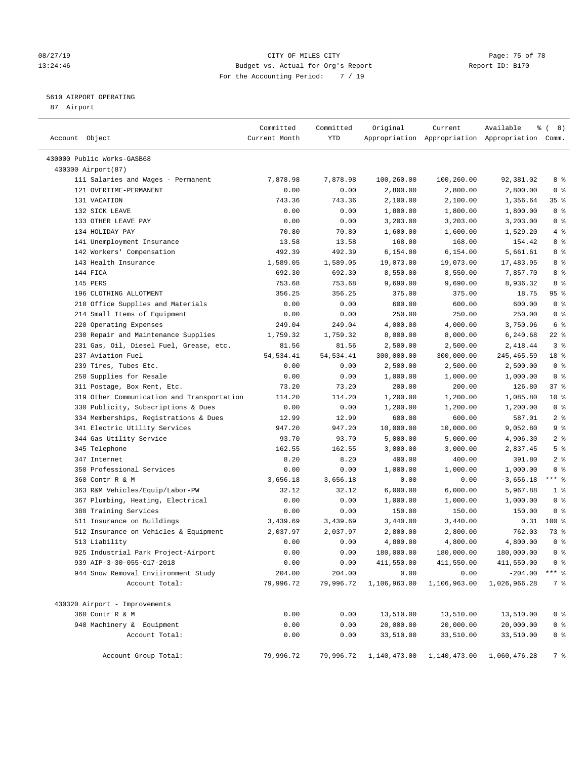## 08/27/19 Page: 75 of 78 13:24:46 Budget vs. Actual for Org's Report Changer Report ID: B170 For the Accounting Period: 7 / 19

#### 5610 AIRPORT OPERATING

87 Airport

| Account Object                             | Committed<br>Current Month | Committed<br>YTD | Original     | Current      | Available<br>Appropriation Appropriation Appropriation Comm. | $\frac{6}{6}$ ( 8) |
|--------------------------------------------|----------------------------|------------------|--------------|--------------|--------------------------------------------------------------|--------------------|
| 430000 Public Works-GASB68                 |                            |                  |              |              |                                                              |                    |
| 430300 Airport(87)                         |                            |                  |              |              |                                                              |                    |
| 111 Salaries and Wages - Permanent         | 7,878.98                   | 7,878.98         | 100,260.00   | 100,260.00   | 92,381.02                                                    | 8 %                |
| 121 OVERTIME-PERMANENT                     | 0.00                       | 0.00             | 2,800.00     | 2,800.00     | 2,800.00                                                     | 0 <sup>8</sup>     |
| 131 VACATION                               | 743.36                     | 743.36           | 2,100.00     | 2,100.00     | 1,356.64                                                     | 35%                |
| 132 SICK LEAVE                             | 0.00                       | 0.00             | 1,800.00     | 1,800.00     | 1,800.00                                                     | 0 <sup>8</sup>     |
| 133 OTHER LEAVE PAY                        | 0.00                       | 0.00             | 3,203.00     | 3,203.00     | 3,203.00                                                     | 0 <sup>8</sup>     |
| 134 HOLIDAY PAY                            | 70.80                      | 70.80            | 1,600.00     | 1,600.00     | 1,529.20                                                     | 4%                 |
| 141 Unemployment Insurance                 | 13.58                      | 13.58            | 168.00       | 168.00       | 154.42                                                       | 8 %                |
| 142 Workers' Compensation                  | 492.39                     | 492.39           | 6,154.00     | 6,154.00     | 5,661.61                                                     | 8 %                |
| 143 Health Insurance                       | 1,589.05                   | 1,589.05         | 19,073.00    | 19,073.00    | 17,483.95                                                    | 8 %                |
| 144 FICA                                   | 692.30                     | 692.30           | 8,550.00     | 8,550.00     | 7,857.70                                                     | 8 %                |
| 145 PERS                                   | 753.68                     | 753.68           | 9,690.00     | 9,690.00     | 8,936.32                                                     | 8 %                |
| 196 CLOTHING ALLOTMENT                     | 356.25                     | 356.25           | 375.00       | 375.00       | 18.75                                                        | 95%                |
| 210 Office Supplies and Materials          | 0.00                       | 0.00             | 600.00       | 600.00       | 600.00                                                       | 0 <sup>8</sup>     |
| 214 Small Items of Equipment               | 0.00                       | 0.00             | 250.00       | 250.00       | 250.00                                                       | 0 <sup>8</sup>     |
| 220 Operating Expenses                     | 249.04                     | 249.04           | 4,000.00     | 4,000.00     | 3,750.96                                                     | 6 %                |
| 230 Repair and Maintenance Supplies        | 1,759.32                   | 1,759.32         | 8,000.00     | 8,000.00     | 6,240.68                                                     | $22$ %             |
| 231 Gas, Oil, Diesel Fuel, Grease, etc.    | 81.56                      | 81.56            | 2,500.00     | 2,500.00     | 2,418.44                                                     | 3 <sup>°</sup>     |
| 237 Aviation Fuel                          | 54, 534.41                 | 54, 534.41       | 300,000.00   | 300,000.00   | 245, 465.59                                                  | 18 %               |
| 239 Tires, Tubes Etc.                      | 0.00                       | 0.00             | 2,500.00     | 2,500.00     | 2,500.00                                                     | 0 <sup>8</sup>     |
| 250 Supplies for Resale                    | 0.00                       | 0.00             | 1,000.00     | 1,000.00     | 1,000.00                                                     | 0 <sup>8</sup>     |
| 311 Postage, Box Rent, Etc.                | 73.20                      | 73.20            | 200.00       | 200.00       | 126.80                                                       | 37%                |
| 319 Other Communication and Transportation | 114.20                     | 114.20           | 1,200.00     | 1,200.00     | 1,085.80                                                     | $10*$              |
| 330 Publicity, Subscriptions & Dues        | 0.00                       | 0.00             | 1,200.00     | 1,200.00     | 1,200.00                                                     | 0 <sup>8</sup>     |
| 334 Memberships, Registrations & Dues      | 12.99                      | 12.99            | 600.00       | 600.00       | 587.01                                                       | 2 <sup>°</sup>     |
| 341 Electric Utility Services              | 947.20                     | 947.20           | 10,000.00    | 10,000.00    | 9,052.80                                                     | 9 <sup>°</sup>     |
| 344 Gas Utility Service                    | 93.70                      | 93.70            | 5,000.00     | 5,000.00     | 4,906.30                                                     | 2 <sup>°</sup>     |
| 345 Telephone                              | 162.55                     | 162.55           | 3,000.00     | 3,000.00     | 2,837.45                                                     | 5 <sup>8</sup>     |
| 347 Internet                               | 8.20                       | 8.20             | 400.00       | 400.00       | 391.80                                                       | 2 <sup>°</sup>     |
| 350 Professional Services                  | 0.00                       | 0.00             | 1,000.00     | 1,000.00     | 1,000.00                                                     | 0 <sup>8</sup>     |
| 360 Contr R & M                            | 3,656.18                   | 3,656.18         | 0.00         | 0.00         | $-3,656.18$                                                  | $***$ $-$          |
| 363 R&M Vehicles/Equip/Labor-PW            | 32.12                      | 32.12            | 6,000.00     | 6,000.00     | 5,967.88                                                     | 1 <sup>°</sup>     |
| 367 Plumbing, Heating, Electrical          | 0.00                       | 0.00             | 1,000.00     | 1,000.00     | 1,000.00                                                     | 0 <sup>8</sup>     |
| 380 Training Services                      | 0.00                       | 0.00             | 150.00       | 150.00       | 150.00                                                       | 0 <sup>8</sup>     |
| 511 Insurance on Buildings                 | 3,439.69                   | 3,439.69         | 3,440.00     | 3,440.00     | 0.31                                                         | $100*$             |
| 512 Insurance on Vehicles & Equipment      | 2,037.97                   | 2,037.97         | 2,800.00     | 2,800.00     | 762.03                                                       | 73 %               |
| 513 Liability                              | 0.00                       | 0.00             | 4,800.00     | 4,800.00     | 4,800.00                                                     | 0 <sup>8</sup>     |
| 925 Industrial Park Project-Airport        | 0.00                       | 0.00             | 180,000.00   | 180,000.00   | 180,000.00                                                   | 0 <sup>8</sup>     |
| 939 AIP-3-30-055-017-2018                  | 0.00                       | 0.00             | 411,550.00   | 411,550.00   | 411,550.00                                                   | 0 <sup>8</sup>     |
| 944 Snow Removal Enviironment Study        | 204.00                     | 204.00           | 0.00         | 0.00         | $-204.00$                                                    | $***$ $_{8}$       |
| Account Total:                             | 79,996.72                  | 79,996.72        | 1,106,963.00 | 1,106,963.00 | 1,026,966.28                                                 | 7 %                |
| 430320 Airport - Improvements              |                            |                  |              |              |                                                              |                    |
| 360 Contr R & M                            | 0.00                       | 0.00             | 13,510.00    | 13,510.00    | 13,510.00                                                    | 0 <sup>8</sup>     |
| 940 Machinery & Equipment                  | 0.00                       | 0.00             | 20,000.00    | 20,000.00    | 20,000.00                                                    | 0 <sup>8</sup>     |
| Account Total:                             | 0.00                       | 0.00             | 33,510.00    | 33,510.00    | 33,510.00                                                    | 0 <sup>8</sup>     |
| Account Group Total:                       | 79,996.72                  | 79,996.72        | 1,140,473.00 | 1,140,473.00 | 1,060,476.28                                                 | 7 %                |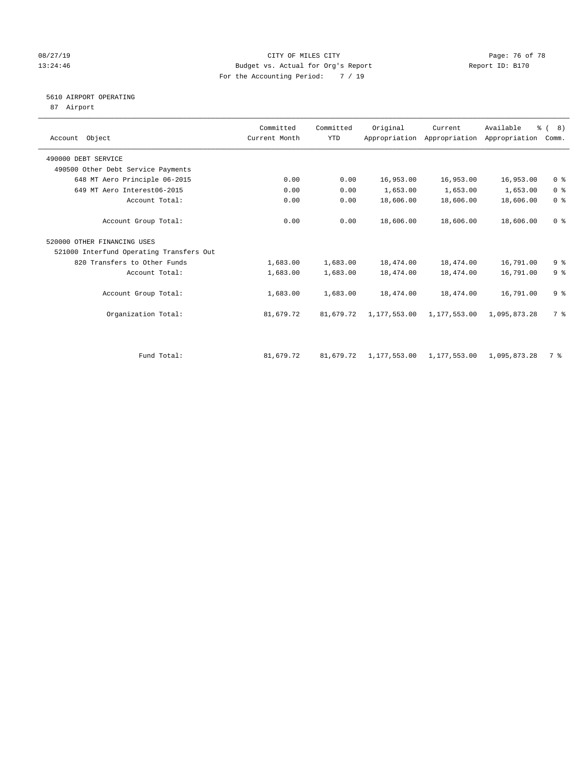## 08/27/19 Page: 76 of 78 13:24:46 Budget vs. Actual for Org's Report Report ID: B170 For the Accounting Period: 7 / 19

## 5610 AIRPORT OPERATING

87 Airport

| Account Object                           | Committed<br>Current Month | Committed<br><b>YTD</b> | Original     | Current<br>Appropriation Appropriation | Available<br>Appropriation | $\frac{6}{6}$ ( 8)<br>Comm. |
|------------------------------------------|----------------------------|-------------------------|--------------|----------------------------------------|----------------------------|-----------------------------|
| 490000 DEBT SERVICE                      |                            |                         |              |                                        |                            |                             |
| 490500 Other Debt Service Payments       |                            |                         |              |                                        |                            |                             |
| 648 MT Aero Principle 06-2015            | 0.00                       | 0.00                    | 16,953.00    | 16,953.00                              | 16,953.00                  | 0 <sup>8</sup>              |
| 649 MT Aero Interest06-2015              | 0.00                       | 0.00                    | 1,653.00     | 1,653.00                               | 1,653.00                   | 0 <sup>8</sup>              |
| Account Total:                           | 0.00                       | 0.00                    | 18,606.00    | 18,606.00                              | 18,606.00                  | 0 <sup>8</sup>              |
| Account Group Total:                     | 0.00                       | 0.00                    | 18,606.00    | 18,606.00                              | 18,606.00                  | 0 <sup>8</sup>              |
| 520000 OTHER FINANCING USES              |                            |                         |              |                                        |                            |                             |
| 521000 Interfund Operating Transfers Out |                            |                         |              |                                        |                            |                             |
| 820 Transfers to Other Funds             | 1,683.00                   | 1,683.00                | 18,474.00    | 18,474.00                              | 16,791.00                  | 9 <sup>°</sup>              |
| Account Total:                           | 1,683.00                   | 1,683.00                | 18,474.00    | 18,474.00                              | 16,791.00                  | 9 <sup>°</sup>              |
| Account Group Total:                     | 1,683.00                   | 1,683.00                | 18,474.00    | 18,474.00                              | 16,791.00                  | 9 <sup>°</sup>              |
| Organization Total:                      | 81,679.72                  | 81,679.72               | 1,177,553.00 | 1,177,553.00                           | 1,095,873.28               | 7 %                         |
|                                          |                            |                         |              |                                        |                            |                             |
| Fund Total:                              | 81,679.72                  | 81,679.72               | 1,177,553.00 | 1,177,553.00                           | 1,095,873.28               | 7 %                         |